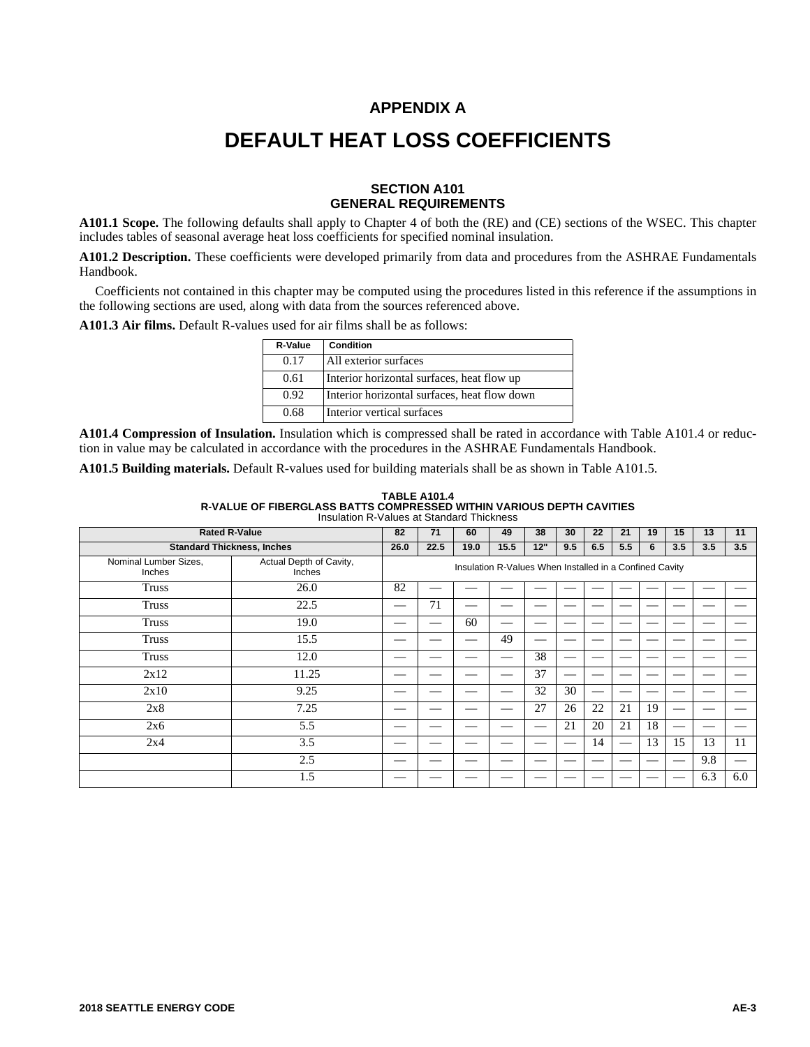### **APPENDIX A**

## **DEFAULT HEAT LOSS COEFFICIENTS**

### **SECTION A101 GENERAL REQUIREMENTS**

**A101.1 Scope.** The following defaults shall apply to Chapter 4 of both the (RE) and (CE) sections of the WSEC. This chapter includes tables of seasonal average heat loss coefficients for specified nominal insulation.

**A101.2 Description.** These coefficients were developed primarily from data and procedures from the ASHRAE Fundamentals Handbook.

Coefficients not contained in this chapter may be computed using the procedures listed in this reference if the assumptions in the following sections are used, along with data from the sources referenced above.

**A101.3 Air films.** Default R-values used for air films shall be as follows:

| R-Value | Condition                                    |
|---------|----------------------------------------------|
| 0.17    | All exterior surfaces                        |
| 0.61    | Interior horizontal surfaces, heat flow up   |
| 0.92    | Interior horizontal surfaces, heat flow down |
| 0.68    | Interior vertical surfaces                   |

**A101.4 Compression of Insulation.** Insulation which is compressed shall be rated in accordance with Table A101.4 or reduction in value may be calculated in accordance with the procedures in the ASHRAE Fundamentals Handbook.

**A101.5 Building materials.** Default R-values used for building materials shall be as shown in Table A101.5.

| <b>TABLE A101.4</b>                                                         |
|-----------------------------------------------------------------------------|
| <b>R-VALUE OF FIBERGLASS BATTS COMPRESSED WITHIN VARIOUS DEPTH CAVITIES</b> |
| Insulation R-Values at Standard Thickness                                   |

| <b>Rated R-Value</b>            | 82                                | 71                                                      | 60   | 49   | 38   | 30  | 22  | 21  | 19  | 15 | 13  | 11         |     |  |  |  |  |  |
|---------------------------------|-----------------------------------|---------------------------------------------------------|------|------|------|-----|-----|-----|-----|----|-----|------------|-----|--|--|--|--|--|
|                                 | <b>Standard Thickness, Inches</b> | 26.0                                                    | 22.5 | 19.0 | 15.5 | 12" | 9.5 | 6.5 | 5.5 | 6  | 3.5 | 3.5<br>3.5 |     |  |  |  |  |  |
| Nominal Lumber Sizes,<br>Inches | Actual Depth of Cavity,<br>Inches | Insulation R-Values When Installed in a Confined Cavity |      |      |      |     |     |     |     |    |     |            |     |  |  |  |  |  |
| <b>Truss</b>                    | 26.0                              | 82                                                      |      |      |      |     |     |     |     |    |     |            |     |  |  |  |  |  |
| <b>Truss</b>                    | 22.5                              |                                                         | 71   |      |      |     |     |     |     |    |     |            |     |  |  |  |  |  |
| <b>Truss</b>                    | 19.0                              |                                                         |      | 60   |      |     |     |     |     |    |     |            |     |  |  |  |  |  |
| <b>Truss</b>                    | 15.5                              |                                                         |      |      | 49   |     |     |     |     |    |     |            |     |  |  |  |  |  |
| <b>Truss</b>                    | 12.0                              |                                                         |      |      |      | 38  |     |     |     |    |     |            |     |  |  |  |  |  |
| 2x12                            | 11.25                             |                                                         |      |      |      | 37  |     |     |     |    |     |            |     |  |  |  |  |  |
| 2x10                            | 9.25                              |                                                         |      |      |      | 32  | 30  |     |     |    |     |            |     |  |  |  |  |  |
| 2x8                             | 7.25                              |                                                         |      |      |      | 27  | 26  | 22  | 21  | 19 |     |            |     |  |  |  |  |  |
| 2x6                             | 5.5                               |                                                         |      |      |      |     | 21  | 20  | 21  | 18 |     |            |     |  |  |  |  |  |
| 2x4                             | 3.5                               |                                                         |      |      |      |     |     | 14  |     | 13 | 15  | 13         | 11  |  |  |  |  |  |
|                                 | 2.5                               |                                                         |      |      |      |     |     |     |     |    |     | 9.8        |     |  |  |  |  |  |
|                                 | 1.5                               |                                                         |      |      |      |     |     |     |     |    |     | 6.3        | 6.0 |  |  |  |  |  |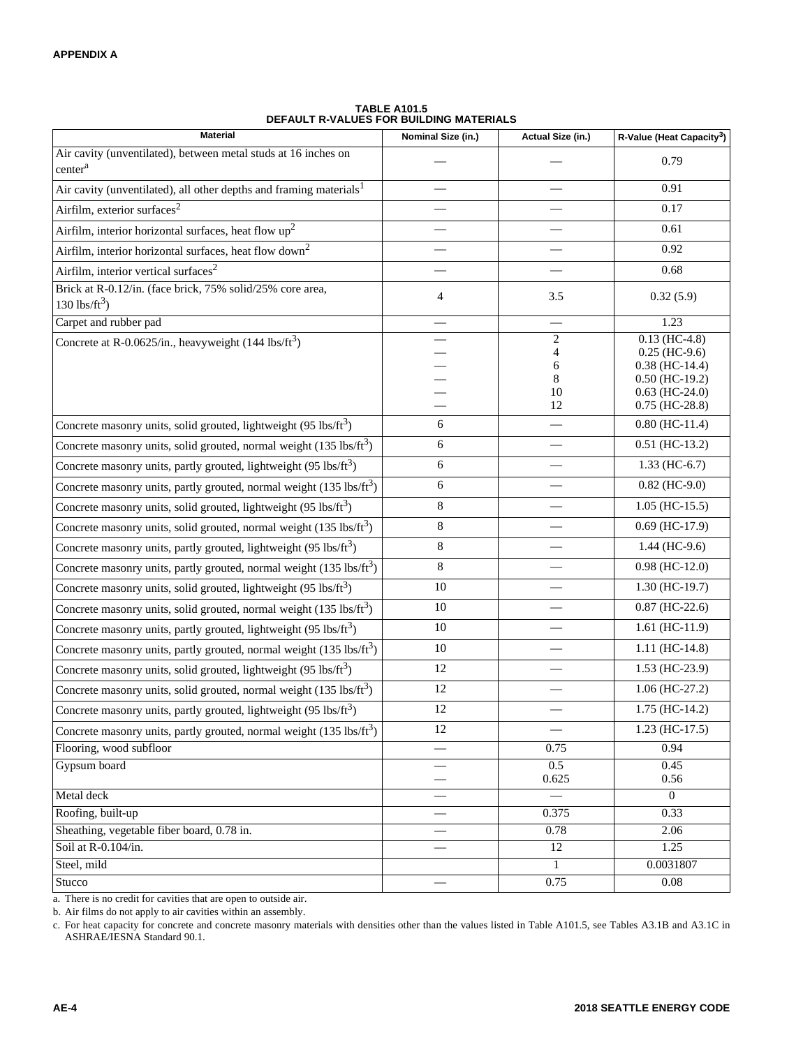| <b>Material</b>                                                                       | Nominal Size (in.)             | Actual Size (in.)                         | R-Value (Heat Capacity <sup>3</sup> )                                                                              |
|---------------------------------------------------------------------------------------|--------------------------------|-------------------------------------------|--------------------------------------------------------------------------------------------------------------------|
| Air cavity (unventilated), between metal studs at 16 inches on<br>center <sup>a</sup> |                                |                                           | 0.79                                                                                                               |
| Air cavity (unventilated), all other depths and framing materials <sup>1</sup>        |                                |                                           | 0.91                                                                                                               |
| Airfilm, exterior surfaces <sup>2</sup>                                               |                                |                                           | 0.17                                                                                                               |
| Airfilm, interior horizontal surfaces, heat flow $up2$                                |                                |                                           | 0.61                                                                                                               |
| Airfilm, interior horizontal surfaces, heat flow down <sup>2</sup>                    |                                |                                           | 0.92                                                                                                               |
| Airfilm, interior vertical surfaces <sup>2</sup>                                      |                                |                                           | 0.68                                                                                                               |
| Brick at R-0.12/in. (face brick, 75% solid/25% core area,<br>130 lbs/ $ft^3$ )        | $\overline{4}$                 | 3.5                                       | 0.32(5.9)                                                                                                          |
| Carpet and rubber pad                                                                 |                                | $\overline{\phantom{0}}$                  | 1.23                                                                                                               |
| Concrete at R-0.0625/in., heavyweight $(144 \text{ lbs/ft}^3)$                        |                                | $\overline{2}$<br>4<br>6<br>8<br>10<br>12 | $0.13$ (HC-4.8)<br>$0.25$ (HC-9.6)<br>$0.38$ (HC-14.4)<br>$0.50$ (HC-19.2)<br>$0.63$ (HC-24.0)<br>$0.75$ (HC-28.8) |
| Concrete masonry units, solid grouted, lightweight (95 lbs/ft <sup>3</sup> )          | 6                              |                                           | $0.80$ (HC-11.4)                                                                                                   |
| Concrete masonry units, solid grouted, normal weight $(135 \text{ lbs/ft}^3)$         | 6                              | $\overline{\phantom{0}}$                  | $0.51$ (HC-13.2)                                                                                                   |
| Concrete masonry units, partly grouted, lightweight (95 lbs/ft <sup>3</sup> )         | $\sqrt{6}$                     |                                           | $1.33$ (HC-6.7)                                                                                                    |
| Concrete masonry units, partly grouted, normal weight (135 lbs/ft <sup>3</sup> )      | 6                              | $\overline{\phantom{0}}$                  | $0.82$ (HC-9.0)                                                                                                    |
| Concrete masonry units, solid grouted, lightweight (95 lbs/ft <sup>3</sup> )          | 8                              | $\qquad \qquad$                           | $1.05$ (HC-15.5)                                                                                                   |
| Concrete masonry units, solid grouted, normal weight (135 lbs/ft <sup>3</sup> )       | $\,$ 8 $\,$                    |                                           | $0.69$ (HC-17.9)                                                                                                   |
| Concrete masonry units, partly grouted, lightweight $(95 \text{ lbs/ft}^3)$           | $\,8\,$                        |                                           | $1.44$ (HC-9.6)                                                                                                    |
| Concrete masonry units, partly grouted, normal weight (135 lbs/ft <sup>3</sup> )      | $\,8\,$                        |                                           | $0.98$ (HC-12.0)                                                                                                   |
| Concrete masonry units, solid grouted, lightweight (95 lbs/ft <sup>3</sup> )          | 10                             |                                           | $1.30$ (HC-19.7)                                                                                                   |
| Concrete masonry units, solid grouted, normal weight (135 lbs/ft <sup>3</sup> )       | 10                             |                                           | $0.87$ (HC-22.6)                                                                                                   |
| Concrete masonry units, partly grouted, lightweight (95 lbs/ft <sup>3</sup> )         | 10                             |                                           | $1.61$ (HC-11.9)                                                                                                   |
| Concrete masonry units, partly grouted, normal weight (135 lbs/ft <sup>3</sup> )      | 10                             |                                           | $1.11$ (HC-14.8)                                                                                                   |
| Concrete masonry units, solid grouted, lightweight (95 lbs/ft <sup>3</sup> )          | 12                             |                                           | $1.53$ (HC-23.9)                                                                                                   |
| Concrete masonry units, solid grouted, normal weight (135 lbs/ft <sup>3</sup> )       | 12                             |                                           | $1.06$ (HC-27.2)                                                                                                   |
| Concrete masonry units, partly grouted, lightweight $(95 \text{ lbs/ft}^3)$           | 12                             |                                           | $1.75$ (HC-14.2)                                                                                                   |
| Concrete masonry units, partly grouted, normal weight (135 lbs/ft <sup>3</sup> )      | 12                             |                                           | $1.23$ (HC-17.5)                                                                                                   |
| Flooring, wood subfloor                                                               |                                | 0.75                                      | 0.94                                                                                                               |
| Gypsum board                                                                          |                                | 0.5<br>0.625                              | 0.45<br>0.56                                                                                                       |
| Metal deck                                                                            |                                |                                           | $\Omega$                                                                                                           |
| Roofing, built-up                                                                     |                                | 0.375                                     | 0.33                                                                                                               |
| Sheathing, vegetable fiber board, 0.78 in.                                            |                                | 0.78                                      | 2.06                                                                                                               |
| Soil at R-0.104/in.                                                                   | $\qquad \qquad \longleftarrow$ | $\overline{12}$                           | 1.25                                                                                                               |
| Steel, mild<br>Stucco                                                                 |                                | $\mathbf{1}$                              | 0.0031807<br>0.08                                                                                                  |
|                                                                                       |                                | 0.75                                      |                                                                                                                    |

| <b>TABLE A101.5</b>                            |
|------------------------------------------------|
| <b>DEFAULT R-VALUES FOR BUILDING MATERIALS</b> |

a. There is no credit for cavities that are open to outside air.

b. Air films do not apply to air cavities within an assembly.

c. For heat capacity for concrete and concrete masonry materials with densities other than the values listed in Table A101.5, see Tables A3.1B and A3.1C in ASHRAE/IESNA Standard 90.1.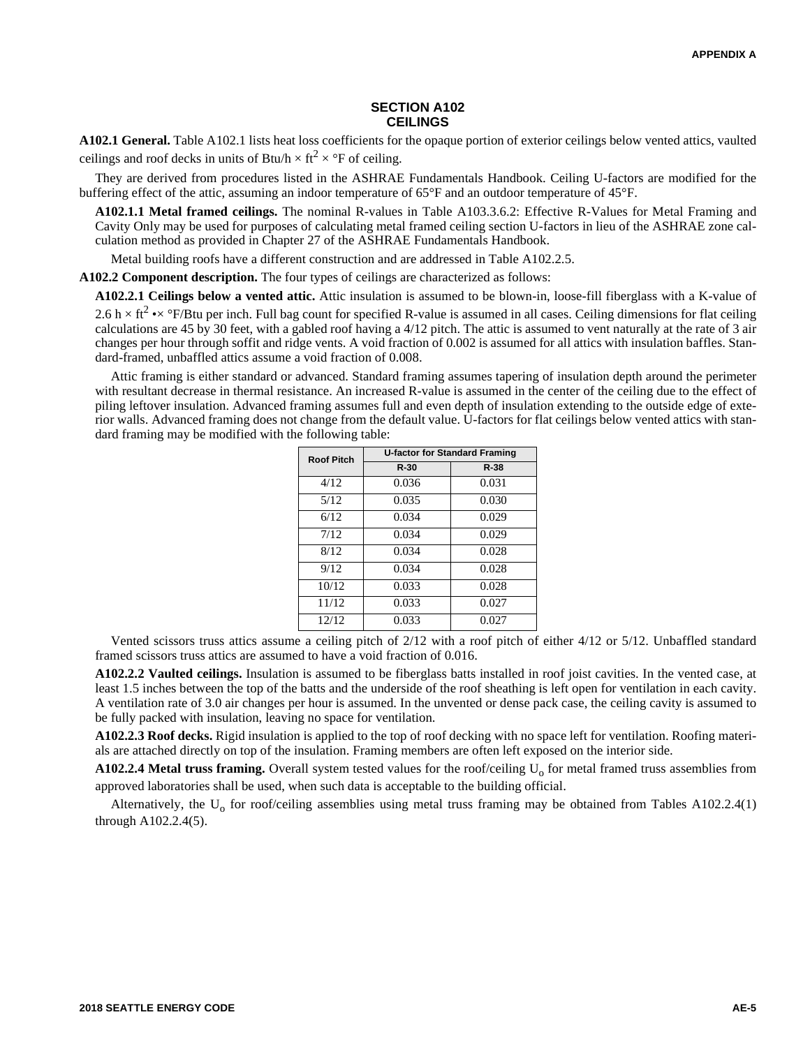#### **SECTION A102 CEILINGS**

**A102.1 General.** Table A102.1 lists heat loss coefficients for the opaque portion of exterior ceilings below vented attics, vaulted ceilings and roof decks in units of Btu/h  $\times$  ft<sup>2</sup>  $\times$  °F of ceiling.

They are derived from procedures listed in the ASHRAE Fundamentals Handbook. Ceiling U-factors are modified for the buffering effect of the attic, assuming an indoor temperature of 65°F and an outdoor temperature of 45°F.

**A102.1.1 Metal framed ceilings.** The nominal R-values in Table A103.3.6.2: Effective R-Values for Metal Framing and Cavity Only may be used for purposes of calculating metal framed ceiling section U-factors in lieu of the ASHRAE zone calculation method as provided in Chapter 27 of the ASHRAE Fundamentals Handbook.

Metal building roofs have a different construction and are addressed in Table A102.2.5.

**A102.2 Component description.** The four types of ceilings are characterized as follows:

**A102.2.1 Ceilings below a vented attic.** Attic insulation is assumed to be blown-in, loose-fill fiberglass with a K-value of 2.6 h  $\times$  ft<sup>2</sup> • $\times$  °F/Btu per inch. Full bag count for specified R-value is assumed in all cases. Ceiling dimensions for flat ceiling calculations are 45 by 30 feet, with a gabled roof having a 4/12 pitch. The attic is assumed to vent naturally at the rate of 3 air changes per hour through soffit and ridge vents. A void fraction of 0.002 is assumed for all attics with insulation baffles. Standard-framed, unbaffled attics assume a void fraction of 0.008.

Attic framing is either standard or advanced. Standard framing assumes tapering of insulation depth around the perimeter with resultant decrease in thermal resistance. An increased R-value is assumed in the center of the ceiling due to the effect of piling leftover insulation. Advanced framing assumes full and even depth of insulation extending to the outside edge of exterior walls. Advanced framing does not change from the default value. U-factors for flat ceilings below vented attics with standard framing may be modified with the following table:

| <b>Roof Pitch</b> |        | <b>U-factor for Standard Framing</b> |
|-------------------|--------|--------------------------------------|
|                   | $R-30$ | $R-38$                               |
| 4/12              | 0.036  | 0.031                                |
| 5/12              | 0.035  | 0.030                                |
| 6/12              | 0.034  | 0.029                                |
| 7/12              | 0.034  | 0.029                                |
| 8/12              | 0.034  | 0.028                                |
| 9/12              | 0.034  | 0.028                                |
| 10/12             | 0.033  | 0.028                                |
| 11/12             | 0.033  | 0.027                                |
| 12/12             | 0.033  | 0.027                                |

Vented scissors truss attics assume a ceiling pitch of 2/12 with a roof pitch of either 4/12 or 5/12. Unbaffled standard framed scissors truss attics are assumed to have a void fraction of 0.016.

**A102.2.2 Vaulted ceilings.** Insulation is assumed to be fiberglass batts installed in roof joist cavities. In the vented case, at least 1.5 inches between the top of the batts and the underside of the roof sheathing is left open for ventilation in each cavity. A ventilation rate of 3.0 air changes per hour is assumed. In the unvented or dense pack case, the ceiling cavity is assumed to be fully packed with insulation, leaving no space for ventilation.

**A102.2.3 Roof decks.** Rigid insulation is applied to the top of roof decking with no space left for ventilation. Roofing materials are attached directly on top of the insulation. Framing members are often left exposed on the interior side.

 $A102.2.4$  Metal truss framing. Overall system tested values for the roof/ceiling  $U_0$  for metal framed truss assemblies from approved laboratories shall be used, when such data is acceptable to the building official.

Alternatively, the  $U_0$  for roof/ceiling assemblies using metal truss framing may be obtained from Tables A102.2.4(1) through A102.2.4(5).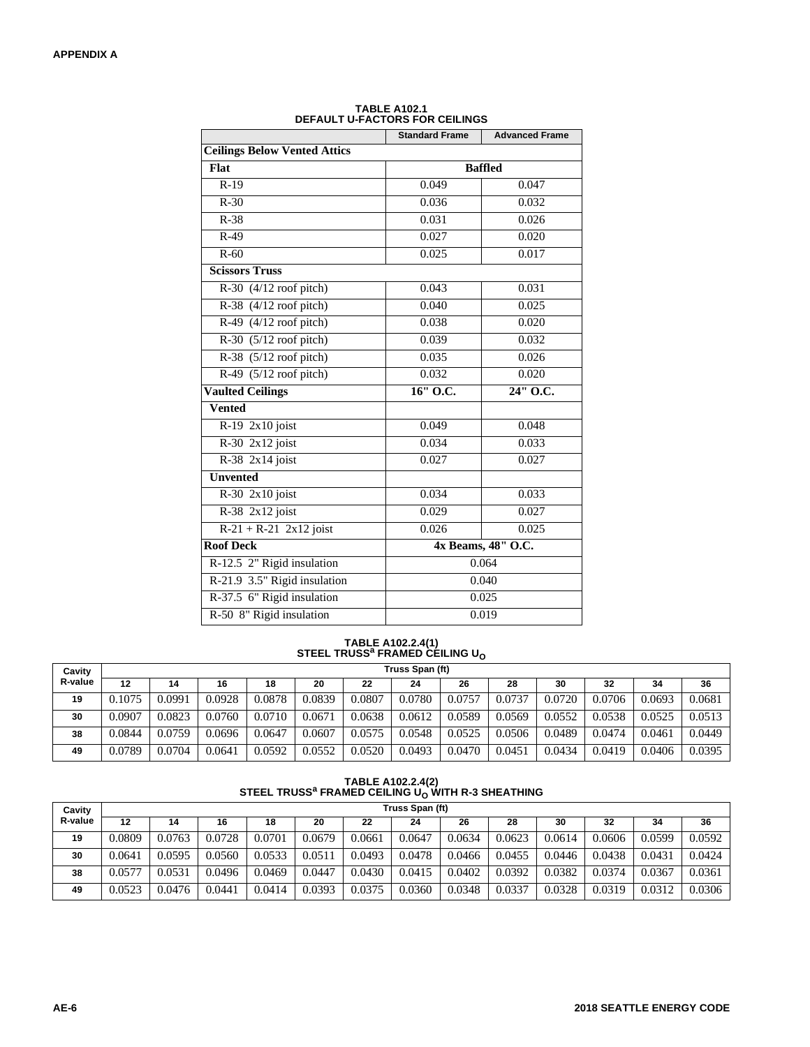|                                         | <b>Standard Frame</b> | <b>Advanced Frame</b> |
|-----------------------------------------|-----------------------|-----------------------|
| <b>Ceilings Below Vented Attics</b>     |                       |                       |
| Flat                                    |                       | <b>Baffled</b>        |
| $R-19$                                  | 0.049                 | 0.047                 |
| $R-30$                                  | 0.036                 | 0.032                 |
| $R-38$                                  | 0.031                 | 0.026                 |
| $R-49$                                  | 0.027                 | 0.020                 |
| $R-60$                                  | 0.025                 | 0.017                 |
| <b>Scissors Truss</b>                   |                       |                       |
| $R-30$ (4/12 roof pitch)                | 0.043                 | 0.031                 |
| R-38 $\sqrt{(4/12 \text{ roof pitch})}$ | 0.040                 | 0.025                 |
| R-49 $(4/12 \text{ roof pitch})$        | 0.038                 | 0.020                 |
| $R-30$ (5/12 roof pitch)                | 0.039                 | 0.032                 |
| R-38 $(5/12 \text{ roof pitch})$        | 0.035                 | 0.026                 |
| R-49 $(5/12 \text{ roof pitch})$        | 0.032                 | 0.020                 |
| <b>Vaulted Ceilings</b>                 | 16" O.C.              | 24" O.C.              |
| Vented                                  |                       |                       |
| R-19 2x10 joist                         | 0.049                 | 0.048                 |
| $R-30$ 2x12 joist                       | 0.034                 | 0.033                 |
| $R-38$ 2x14 joist                       | 0.027                 | 0.027                 |
| <b>Unvented</b>                         |                       |                       |
| $R-30$ 2x10 joist                       | 0.034                 | 0.033                 |
| R-38 2x12 joist                         | 0.029                 | 0.027                 |
| $R-21 + R-21$ 2x12 joist                | 0.026                 | 0.025                 |
| <b>Roof Deck</b>                        |                       | 4x Beams, 48" O.C.    |
| R-12.5 2" Rigid insulation              |                       | 0.064                 |
| R-21.9 3.5" Rigid insulation            |                       | 0.040                 |
| R-37.5 6" Rigid insulation              |                       | 0.025                 |
| R-50 8" Rigid insulation                |                       | 0.019                 |

**TABLE A102.1 DEFAULT U-FACTORS FOR CEILINGS**

**TABLE A102.2.4(1) STEEL TRUSS<sup>a</sup> FRAMED CEILING U<sup>O</sup>**

| Cavity  | Truss Span (ft) |        |        |        |        |        |        |        |        |        |        |        |        |
|---------|-----------------|--------|--------|--------|--------|--------|--------|--------|--------|--------|--------|--------|--------|
| R-value | 12              | 14     | 16     | 18     | 20     | 22     | 24     | 26     | 28     | 30     | 32     | 34     | 36     |
| 19      | 0.1075          | 0.0991 | 0.0928 | 0.0878 | 0.0839 | 0.0807 | 0.0780 | 0.0757 | 0.0737 | 0.0720 | 0.0706 | 0.0693 | 0.0681 |
| 30      | 0.0907          | 0.0823 | 0.0760 | 0.0710 | 0.0671 | 0.0638 | 0.0612 | 0.0589 | 0.0569 | 0.0552 | 0.0538 | 0.0525 | 0.0513 |
| 38      | 0.0844          | 0.0759 | 0.0696 | 0.0647 | 0.0607 | 0.0575 | 0.0548 | 0.0525 | 0.0506 | 0.0489 | 0.0474 | 0.0461 | 0.0449 |
| 49      | 0.0789          | 0.0704 | 0.0641 | 0.0592 | 0.0552 | 0.0520 | 0.0493 | 0.0470 | 0.0451 | 0.0434 | 0.0419 | 0.0406 | 0.0395 |

**TABLE A102.2.4(2) STEEL TRUSS<sup>a</sup> FRAMED CEILING UO WITH R-3 SHEATHING**

| Cavity  | Truss Span (ft) |        |        |        |        |        |        |        |        |        |        |        |        |
|---------|-----------------|--------|--------|--------|--------|--------|--------|--------|--------|--------|--------|--------|--------|
| R-value | 12              | 14     | 16     | 18     | 20     | 22     | 24     | 26     | 28     | 30     | 32     | 34     | 36     |
| 19      | 0.0809          | 0.0763 | 0.0728 | 0.0701 | 0.0679 | 0.0661 | 0.0647 | 0.0634 | 0.0623 | 0.0614 | 0.0606 | 0.0599 | 0.0592 |
| 30      | 0.0641          | 0.0595 | 0.0560 | 0.0533 | 0.051  | 0.0493 | 0.0478 | 0.0466 | 0.0455 | 0.0446 | 0.0438 | 0.0431 | 0.0424 |
| 38      | 0.0577          | 0.0531 | 0.0496 | 0.0469 | 0.0447 | 0.0430 | 0.0415 | 0.0402 | 0.0392 | 0.0382 | 0.0374 | 0.0367 | 0.0361 |
| 49      | 0.0523          | 0.0476 | 0.0441 | 0.0414 | 0.0393 | 0.0375 | 0.0360 | 0.0348 | 0.0337 | 0.0328 | 0.0319 | 0.0312 | 0.0306 |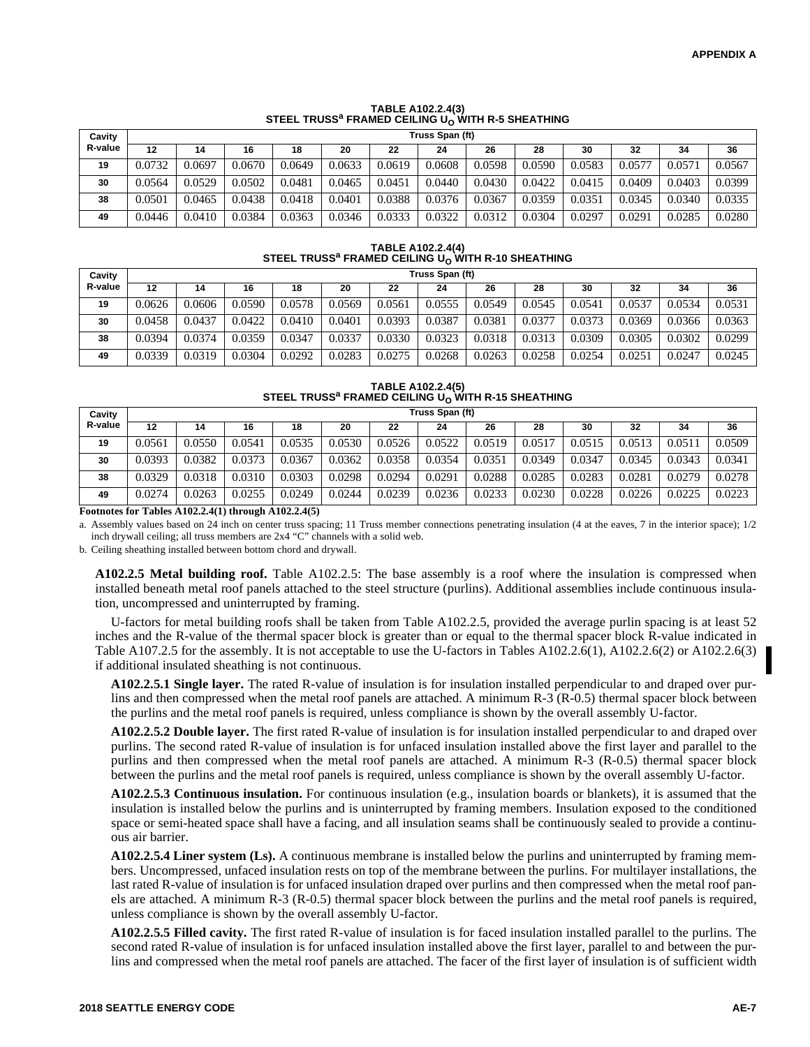|         |                 |        |        | <u> UILLE INOUU THAMED ULIENTU UN MIIII N U UILA IIIIIU</u> |        |        |        |        |        |        |        |        |        |
|---------|-----------------|--------|--------|-------------------------------------------------------------|--------|--------|--------|--------|--------|--------|--------|--------|--------|
| Cavity  | Truss Span (ft) |        |        |                                                             |        |        |        |        |        |        |        |        |        |
| R-value | 12              | 14     | 16     | 18                                                          | 20     | 22     | 24     | 26     | 28     | 30     | 32     | 34     | 36     |
| 19      | 0.0732          | 0.0697 | 0.0670 | 0.0649                                                      | 0.0633 | 0.0619 | 0.0608 | 0.0598 | 0.0590 | 0.0583 | 0.0577 | 0.0571 | 0.0567 |
| 30      | 0.0564          | 0.0529 | 0.0502 | 0.0481                                                      | 0.0465 | 0.0451 | 0.0440 | 0.0430 | 0.0422 | 0.0415 | 0.0409 | 0.0403 | 0.0399 |
| 38      | 0.0501          | 0.0465 | 0.0438 | 0.0418                                                      | 0.0401 | 0.0388 | 0.0376 | 0.0367 | 0.0359 | 0.0351 | 0.0345 | 0.0340 | 0.0335 |
| 49      | 0.0446          | 0.0410 | 0.0384 | 0.0363                                                      | 0.0346 | 0.0333 | 0.0322 | 0.0312 | 0.0304 | 0.0297 | 0.0291 | 0.0285 | 0.0280 |

# **TABLE A102.2.4(3) STEEL TRUSS<sup>a</sup> FRAMED CEILING UO WITH R-5 SHEATHING**

# **TABLE A102.2.4(4) STEEL TRUSS<sup>a</sup> FRAMED CEILING UO WITH R-10 SHEATHING**

| Cavity  | Truss Span (ft) |        |        |        |        |        |        |        |        |        |        |        |        |
|---------|-----------------|--------|--------|--------|--------|--------|--------|--------|--------|--------|--------|--------|--------|
| R-value | 12              | 14     | 16     | 18     | 20     | 22     | 24     | 26     | 28     | 30     | 32     | 34     | 36     |
| 19      | 0.0626          | 0.0606 | 0.0590 | 0.0578 | 0.0569 | 0.0561 | 0.0555 | 0.0549 | 0.0545 | 0.0541 | 0.0537 | 0.0534 | 0.0531 |
| 30      | 0.0458          | 0.0437 | 0.0422 | 0.0410 | 0.0401 | 0.0393 | 0.0387 | 0.0381 | 0.0377 | 0.0373 | 0.0369 | 0.0366 | 0.0363 |
| 38      | 0.0394          | 0.0374 | 0.0359 | 0.0347 | 0.0337 | 0.0330 | 0.0323 | 0.0318 | 0.0313 | 0.0309 | 0.0305 | 0.0302 | 0.0299 |
| 49      | 0.0339          | 0.0319 | 0.0304 | 0.0292 | 0.0283 | 0.0275 | 0.0268 | 0.0263 | 0.0258 | 0.0254 | 0.0251 | 0.0247 | 0.0245 |

# **TABLE A102.2.4(5) STEEL TRUSS<sup>a</sup> FRAMED CEILING UO WITH R-15 SHEATHING**

| Cavity  |        | Truss Span (ft) |        |        |        |        |        |        |        |        |        |        |        |  |
|---------|--------|-----------------|--------|--------|--------|--------|--------|--------|--------|--------|--------|--------|--------|--|
| R-value | 12     | 14              | 16     | 18     | 20     | 22     | 24     | 26     | 28     | 30     | 32     | 34     | 36     |  |
| 19      | 0.0561 | 0.0550          | 0.0541 | 0.0535 | 0.0530 | 0.0526 | 0.0522 | 0.0519 | 0.0517 | 0.0515 | 0.0513 | 0.051  | 0.0509 |  |
| 30      | 0.0393 | 0.0382          | 0.0373 | 0.0367 | 0.0362 | 0.0358 | 0.0354 | 0.0351 | 0.0349 | 0.0347 | 0.0345 | 0.0343 | 0.0341 |  |
| 38      | 0.0329 | 0.0318          | 0.0310 | 0.0303 | 0.0298 | 0.0294 | 0.0291 | 0.0288 | 0.0285 | 0.0283 | 0.0281 | 0.0279 | 0.0278 |  |
| 49      | 0.0274 | 0.0263          | 0.0255 | 0.0249 | 0.0244 | 0.0239 | 0.0236 | 0.0233 | 0.0230 | 0.0228 | 0.0226 | 0.0225 | 0.0223 |  |

**Footnotes for Tables A102.2.4(1) through A102.2.4(5)**

a. Assembly values based on 24 inch on center truss spacing; 11 Truss member connections penetrating insulation (4 at the eaves, 7 in the interior space); 1/2 inch drywall ceiling; all truss members are 2x4 "C" channels with a solid web.

b. Ceiling sheathing installed between bottom chord and drywall.

**A102.2.5 Metal building roof.** Table A102.2.5: The base assembly is a roof where the insulation is compressed when installed beneath metal roof panels attached to the steel structure (purlins). Additional assemblies include continuous insulation, uncompressed and uninterrupted by framing.

U-factors for metal building roofs shall be taken from Table A102.2.5, provided the average purlin spacing is at least 52 inches and the R-value of the thermal spacer block is greater than or equal to the thermal spacer block R-value indicated in Table A107.2.5 for the assembly. It is not acceptable to use the U-factors in Tables A102.2.6(1), A102.2.6(2) or A102.2.6(3) if additional insulated sheathing is not continuous.

**A102.2.5.1 Single layer.** The rated R-value of insulation is for insulation installed perpendicular to and draped over purlins and then compressed when the metal roof panels are attached. A minimum R-3 (R-0.5) thermal spacer block between the purlins and the metal roof panels is required, unless compliance is shown by the overall assembly U-factor.

**A102.2.5.2 Double layer.** The first rated R-value of insulation is for insulation installed perpendicular to and draped over purlins. The second rated R-value of insulation is for unfaced insulation installed above the first layer and parallel to the purlins and then compressed when the metal roof panels are attached. A minimum R-3 (R-0.5) thermal spacer block between the purlins and the metal roof panels is required, unless compliance is shown by the overall assembly U-factor.

**A102.2.5.3 Continuous insulation.** For continuous insulation (e.g., insulation boards or blankets), it is assumed that the insulation is installed below the purlins and is uninterrupted by framing members. Insulation exposed to the conditioned space or semi-heated space shall have a facing, and all insulation seams shall be continuously sealed to provide a continuous air barrier.

**A102.2.5.4 Liner system (Ls).** A continuous membrane is installed below the purlins and uninterrupted by framing members. Uncompressed, unfaced insulation rests on top of the membrane between the purlins. For multilayer installations, the last rated R-value of insulation is for unfaced insulation draped over purlins and then compressed when the metal roof panels are attached. A minimum R-3 (R-0.5) thermal spacer block between the purlins and the metal roof panels is required, unless compliance is shown by the overall assembly U-factor.

**A102.2.5.5 Filled cavity.** The first rated R-value of insulation is for faced insulation installed parallel to the purlins. The second rated R-value of insulation is for unfaced insulation installed above the first layer, parallel to and between the purlins and compressed when the metal roof panels are attached. The facer of the first layer of insulation is of sufficient width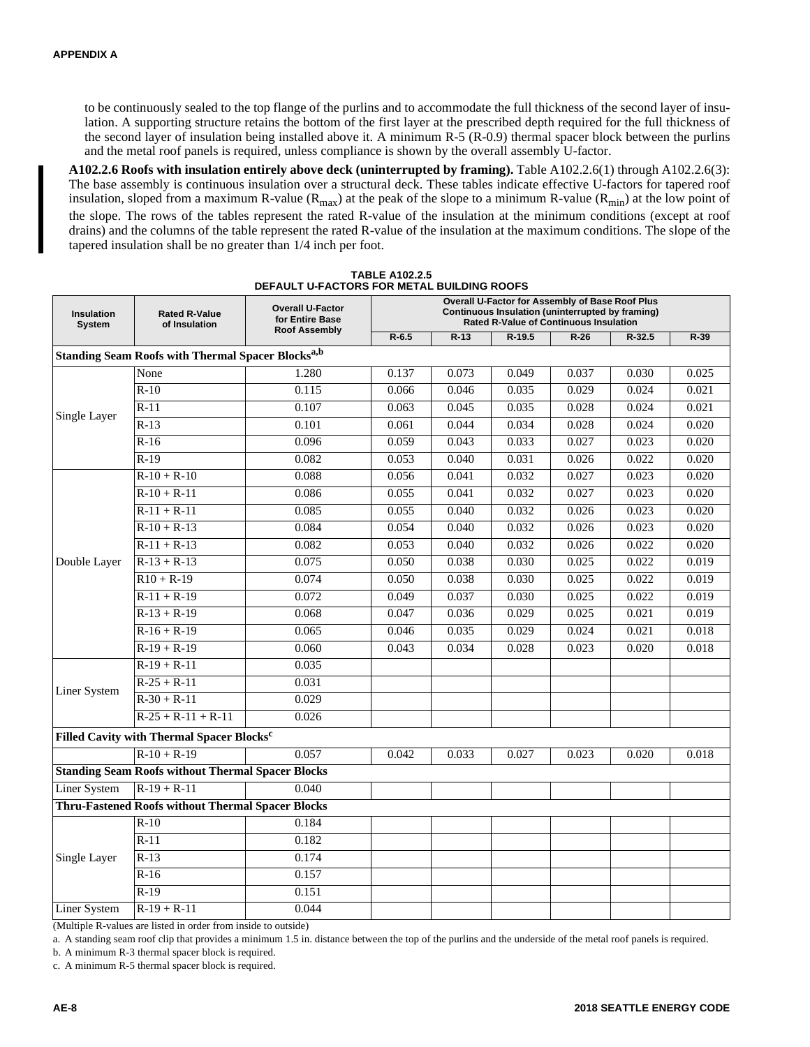to be continuously sealed to the top flange of the purlins and to accommodate the full thickness of the second layer of insulation. A supporting structure retains the bottom of the first layer at the prescribed depth required for the full thickness of the second layer of insulation being installed above it. A minimum R-5 (R-0.9) thermal spacer block between the purlins and the metal roof panels is required, unless compliance is shown by the overall assembly U-factor.

**A102.2.6 Roofs with insulation entirely above deck (uninterrupted by framing).** Table A102.2.6(1) through A102.2.6(3): The base assembly is continuous insulation over a structural deck. These tables indicate effective U-factors for tapered roof insulation, sloped from a maximum R-value ( $R_{max}$ ) at the peak of the slope to a minimum R-value ( $R_{min}$ ) at the low point of the slope. The rows of the tables represent the rated R-value of the insulation at the minimum conditions (except at roof drains) and the columns of the table represent the rated R-value of the insulation at the maximum conditions. The slope of the tapered insulation shall be no greater than 1/4 inch per foot.

| <b>Insulation</b><br>System | <b>Rated R-Value</b><br>of Insulation                               | <b>Overall U-Factor</b><br>for Entire Base | Overall U-Factor for Assembly of Base Roof Plus<br>Continuous Insulation (uninterrupted by framing)<br><b>Rated R-Value of Continuous Insulation</b> |                |          |                |            |        |  |
|-----------------------------|---------------------------------------------------------------------|--------------------------------------------|------------------------------------------------------------------------------------------------------------------------------------------------------|----------------|----------|----------------|------------|--------|--|
|                             |                                                                     | <b>Roof Assembly</b>                       | $R - 6.5$                                                                                                                                            | $R-13$         | $R-19.5$ | $R-26$         | $R - 32.5$ | $R-39$ |  |
|                             | <b>Standing Seam Roofs with Thermal Spacer Blocks<sup>a,b</sup></b> |                                            |                                                                                                                                                      |                |          |                |            |        |  |
|                             | None                                                                | 1.280                                      | 0.137                                                                                                                                                | 0.073          | 0.049    | 0.037          | 0.030      | 0.025  |  |
|                             | $R-10$                                                              | 0.115                                      | 0.066                                                                                                                                                | 0.046          | 0.035    | 0.029          | 0.024      | 0.021  |  |
|                             | $R-11$                                                              | 0.107                                      | 0.063                                                                                                                                                | 0.045          | 0.035    | 0.028          | 0.024      | 0.021  |  |
| Single Layer                | $R-13$                                                              | 0.101                                      | 0.061                                                                                                                                                | 0.044          | 0.034    | 0.028          | 0.024      | 0.020  |  |
|                             | $R-16$                                                              | 0.096                                      | 0.059                                                                                                                                                | 0.043          | 0.033    | 0.027          | 0.023      | 0.020  |  |
|                             | $R-19$                                                              | 0.082                                      | 0.053                                                                                                                                                | 0.040          | 0.031    | 0.026          | 0.022      | 0.020  |  |
|                             | $R - 10 + R - 10$                                                   | 0.088                                      | 0.056                                                                                                                                                | 0.041          | 0.032    | 0.027          | 0.023      | 0.020  |  |
|                             | $R-10 + R-11$                                                       | 0.086                                      | 0.055                                                                                                                                                | 0.041          | 0.032    | 0.027          | 0.023      | 0.020  |  |
| Double Layer                | $R-11 + R-11$                                                       | 0.085                                      | 0.055                                                                                                                                                | 0.040          | 0.032    | 0.026          | 0.023      | 0.020  |  |
|                             | $R-10 + R-13$                                                       | 0.084                                      | 0.054                                                                                                                                                | 0.040          | 0.032    | 0.026          | 0.023      | 0.020  |  |
|                             | $R-11 + R-13$                                                       | 0.082                                      | 0.053                                                                                                                                                | 0.040          | 0.032    | 0.026          | 0.022      | 0.020  |  |
|                             | $R-13 + R-13$                                                       | 0.075                                      | 0.050                                                                                                                                                | 0.038          | 0.030    | 0.025          | 0.022      | 0.019  |  |
|                             | $R10 + R-19$                                                        | 0.074                                      | 0.050                                                                                                                                                | 0.038          | 0.030    | 0.025          | 0.022      | 0.019  |  |
|                             | $R-11 + R-19$                                                       | 0.072                                      | 0.049                                                                                                                                                | 0.037          | 0.030    | 0.025          | 0.022      | 0.019  |  |
|                             | $R-13 + R-19$                                                       | 0.068                                      | 0.047                                                                                                                                                | 0.036          | 0.029    | 0.025          | 0.021      | 0.019  |  |
|                             | $R-16 + R-19$                                                       | 0.065                                      | 0.046                                                                                                                                                | 0.035          | 0.029    | 0.024          | 0.021      | 0.018  |  |
|                             | $R-19 + R-19$                                                       | 0.060                                      | 0.043                                                                                                                                                | 0.034          | 0.028    | 0.023          | 0.020      | 0.018  |  |
|                             | $R-19 + R-11$                                                       | 0.035                                      |                                                                                                                                                      |                |          | 0.023<br>0.020 |            |        |  |
|                             | $R-25 + R-11$                                                       | 0.031                                      |                                                                                                                                                      |                |          |                |            |        |  |
| Liner System                | $R-30 + R-11$                                                       | 0.029                                      |                                                                                                                                                      |                |          |                |            |        |  |
|                             | $R-25 + R-11 + R-11$                                                | 0.026                                      |                                                                                                                                                      | 0.033<br>0.027 |          |                |            |        |  |
|                             | Filled Cavity with Thermal Spacer Blocks <sup>c</sup>               |                                            |                                                                                                                                                      |                |          |                |            |        |  |
|                             | $R-10+R-19$                                                         | 0.057                                      | 0.042                                                                                                                                                |                |          |                |            | 0.018  |  |
|                             | <b>Standing Seam Roofs without Thermal Spacer Blocks</b>            |                                            |                                                                                                                                                      |                |          |                |            |        |  |
| <b>Liner System</b>         | $R-19 + R-11$                                                       | 0.040                                      |                                                                                                                                                      |                |          |                |            |        |  |
|                             | <b>Thru-Fastened Roofs without Thermal Spacer Blocks</b>            |                                            |                                                                                                                                                      |                |          |                |            |        |  |
|                             | $R-10$                                                              | 0.184                                      |                                                                                                                                                      |                |          |                |            |        |  |
|                             | $R-11$                                                              | 0.182                                      |                                                                                                                                                      |                |          |                |            |        |  |
| Single Layer                | $R-13$                                                              | 0.174                                      |                                                                                                                                                      |                |          |                |            |        |  |
|                             | $R-16$                                                              | 0.157                                      |                                                                                                                                                      |                |          |                |            |        |  |
|                             | $R-19$                                                              | 0.151                                      |                                                                                                                                                      |                |          |                |            |        |  |
| <b>Liner System</b>         | $R-19 + R-11$                                                       | 0.044                                      |                                                                                                                                                      |                |          |                |            |        |  |

**TABLE A102.2.5 DEFAULT U-FACTORS FOR METAL BUILDING ROOFS**

(Multiple R-values are listed in order from inside to outside)

a. A standing seam roof clip that provides a minimum 1.5 in. distance between the top of the purlins and the underside of the metal roof panels is required.

b. A minimum R-3 thermal spacer block is required.

c. A minimum R-5 thermal spacer block is required.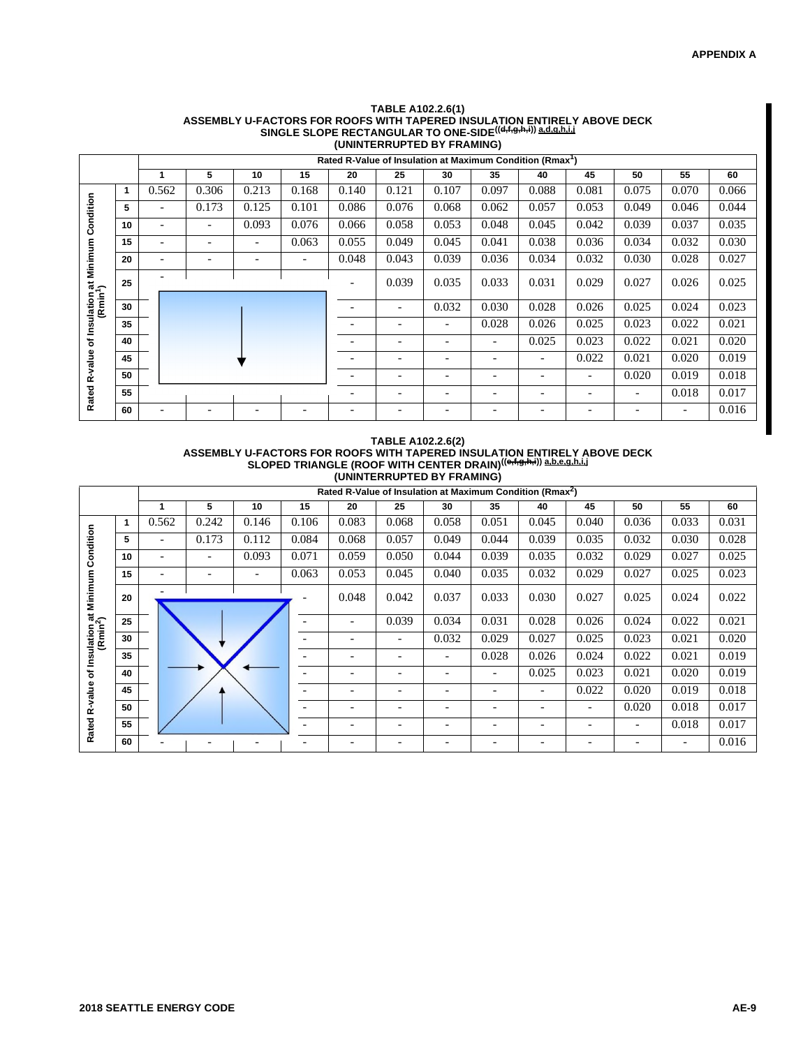|                                               | (UNINTERRUPTED BY FRAMING) |                          |                          |                          |       |       |                                                                       |                          |       |       |                              |                          |       |       |
|-----------------------------------------------|----------------------------|--------------------------|--------------------------|--------------------------|-------|-------|-----------------------------------------------------------------------|--------------------------|-------|-------|------------------------------|--------------------------|-------|-------|
|                                               |                            |                          |                          |                          |       |       | Rated R-Value of Insulation at Maximum Condition (Rmax <sup>1</sup> ) |                          |       |       |                              |                          |       |       |
|                                               |                            | 1                        | 5                        | 10                       | 15    | 20    | 25                                                                    | 30                       | 35    | 40    | 45                           | 50                       | 55    | 60    |
|                                               | 1                          | 0.562                    | 0.306                    | 0.213                    | 0.168 | 0.140 | 0.121                                                                 | 0.107                    | 0.097 | 0.088 | 0.081                        | 0.075                    | 0.070 | 0.066 |
| Condition                                     | 5                          |                          | 0.173                    | 0.125                    | 0.101 | 0.086 | 0.076                                                                 | 0.068                    | 0.062 | 0.057 | 0.053                        | 0.049                    | 0.046 | 0.044 |
|                                               | 10                         | $\overline{\phantom{0}}$ | $\overline{\phantom{a}}$ | 0.093                    | 0.076 | 0.066 | 0.058                                                                 | 0.053                    | 0.048 | 0.045 | 0.042                        | 0.039                    | 0.037 | 0.035 |
|                                               | 15                         |                          | $\overline{\phantom{0}}$ | $\overline{\phantom{0}}$ | 0.063 | 0.055 | 0.049                                                                 | 0.045                    | 0.041 | 0.038 | 0.036                        | 0.034                    | 0.032 | 0.030 |
|                                               | 20                         |                          |                          |                          |       | 0.048 | 0.043                                                                 | 0.039                    | 0.036 | 0.034 | 0.032                        | 0.030                    | 0.028 | 0.027 |
| Insulation at Minimum<br>(Rmin <sup>1</sup> ) | 25                         |                          |                          |                          |       |       | 0.039                                                                 | 0.035                    | 0.033 | 0.031 | 0.029                        | 0.027                    | 0.026 | 0.025 |
|                                               | 30                         |                          |                          |                          |       |       | $\overline{\phantom{a}}$                                              | 0.032                    | 0.030 | 0.028 | 0.026                        | 0.025                    | 0.024 | 0.023 |
|                                               | 35                         |                          |                          |                          |       |       |                                                                       |                          | 0.028 | 0.026 | 0.025                        | 0.023                    | 0.022 | 0.021 |
| ৳                                             | 40                         |                          |                          |                          |       |       |                                                                       | $\overline{\phantom{0}}$ |       | 0.025 | 0.023                        | 0.022                    | 0.021 | 0.020 |
| -value                                        | 45                         |                          |                          |                          |       |       | $\overline{\phantom{0}}$                                              | $\overline{\phantom{a}}$ |       | -     | 0.022                        | 0.021                    | 0.020 | 0.019 |
| œ                                             | 50                         |                          |                          |                          |       |       | $\overline{\phantom{0}}$                                              | $\overline{\phantom{0}}$ |       | -     | $\overline{\phantom{0}}$     | 0.020                    | 0.019 | 0.018 |
| Rated                                         | 55                         |                          |                          |                          |       |       | $\overline{\phantom{a}}$                                              | $\overline{\phantom{a}}$ |       | -     | $\qquad \qquad \blacksquare$ | $\overline{\phantom{a}}$ | 0.018 | 0.017 |
|                                               | 60                         |                          |                          |                          |       |       |                                                                       |                          |       |       |                              |                          |       | 0.016 |

### **TABLE A102.2.6(1)** ASSEMBLY U-FACTORS FOR ROOFS WITH TAPERED INSULATION ENTIRELY ABOVE DECK<br>SINGLE SLOPE RECTANGULAR TO ONE-SIDE<sup>((d,f,g,h,i))</sup> a.d.g.h.i.j

### **TABLE A102.2.6(2)** ASSEMBLY U-FACTORS FOR ROOFS WITH TAPERED INSULATION ENTIRELY ABOVE DECK<br>SLOPED TRIANGLE (ROOF WITH CENTER DRAIN)<sup>((وپڑ</sup>بوب<sup>یل</sup>) a،<u>b،e.g.h,i.j</u> **(UNINTERRUPTED BY FRAMING)**

|                                          |    |       | Rated R-Value of Insulation at Maximum Condition (Rmax <sup>2</sup> ) |       |       |                          |                          |                          |       |                          |                          |                 |       |       |
|------------------------------------------|----|-------|-----------------------------------------------------------------------|-------|-------|--------------------------|--------------------------|--------------------------|-------|--------------------------|--------------------------|-----------------|-------|-------|
|                                          |    |       | 5                                                                     | 10    | 15    | 20                       | 25                       | 30                       | 35    | 40                       | 45                       | 50              | 55    | 60    |
|                                          | 1  | 0.562 | 0.242                                                                 | 0.146 | 0.106 | 0.083                    | 0.068                    | 0.058                    | 0.051 | 0.045                    | 0.040                    | 0.036           | 0.033 | 0.031 |
|                                          | 5  | -     | 0.173                                                                 | 0.112 | 0.084 | 0.068                    | 0.057                    | 0.049                    | 0.044 | 0.039                    | 0.035                    | 0.032           | 0.030 | 0.028 |
| Condition                                | 10 |       |                                                                       | 0.093 | 0.071 | 0.059                    | 0.050                    | 0.044                    | 0.039 | 0.035                    | 0.032                    | 0.029           | 0.027 | 0.025 |
|                                          | 15 |       | $\overline{\phantom{0}}$                                              |       | 0.063 | 0.053                    | 0.045                    | 0.040                    | 0.035 | 0.032                    | 0.029                    | 0.027           | 0.025 | 0.023 |
| Minimum                                  | 20 |       |                                                                       |       |       | 0.048                    | 0.042                    | 0.037                    | 0.033 | 0.030                    | 0.027                    | 0.025           | 0.024 | 0.022 |
| of Insulation at<br>(Rmin <sup>2</sup> ) | 25 |       |                                                                       |       |       | $\overline{\phantom{a}}$ | 0.039                    | 0.034                    | 0.031 | 0.028                    | 0.026                    | 0.024           | 0.022 | 0.021 |
|                                          | 30 |       |                                                                       |       |       |                          | $\overline{\phantom{0}}$ | 0.032                    | 0.029 | 0.027                    | 0.025                    | 0.023           | 0.021 | 0.020 |
|                                          | 35 |       |                                                                       |       |       |                          |                          |                          | 0.028 | 0.026                    | 0.024                    | 0.022           | 0.021 | 0.019 |
|                                          | 40 |       |                                                                       |       |       |                          | $\overline{\phantom{0}}$ | $\overline{\phantom{0}}$ | -     | 0.025                    | 0.023                    | 0.021           | 0.020 | 0.019 |
| R-value                                  | 45 |       |                                                                       |       |       | $\overline{\phantom{a}}$ | $\overline{\phantom{0}}$ | $\overline{\phantom{0}}$ | -     | $\overline{\phantom{0}}$ | 0.022                    | 0.020           | 0.019 | 0.018 |
|                                          | 50 |       |                                                                       |       |       |                          | $\qquad \qquad$          | $\overline{\phantom{0}}$ |       | $\overline{\phantom{0}}$ | $\overline{\phantom{a}}$ | 0.020           | 0.018 | 0.017 |
| Rated                                    | 55 |       |                                                                       |       |       |                          | $\overline{\phantom{0}}$ | $\overline{\phantom{0}}$ |       | $\overline{\phantom{0}}$ |                          | $\qquad \qquad$ | 0.018 | 0.017 |
|                                          | 60 |       |                                                                       |       |       |                          |                          |                          |       |                          |                          |                 |       | 0.016 |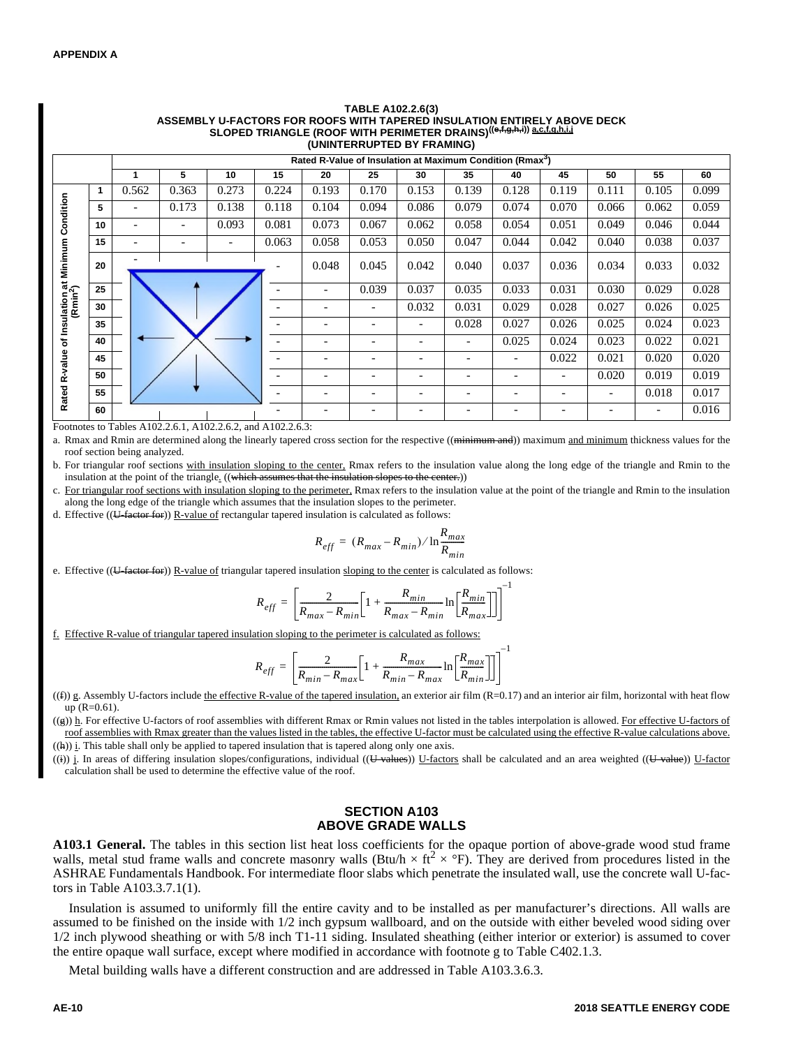|                                              |    |       |                                                                       |       |       | <b>JLOF LD TRIANGLE (ROOF WITH FERINGETER DRAINS)</b> |                          | (UNINTERRUPTED BY FRAMING) |                          |                          |                          |                          |       |       |
|----------------------------------------------|----|-------|-----------------------------------------------------------------------|-------|-------|-------------------------------------------------------|--------------------------|----------------------------|--------------------------|--------------------------|--------------------------|--------------------------|-------|-------|
|                                              |    |       | Rated R-Value of Insulation at Maximum Condition (Rmax <sup>3</sup> ) |       |       |                                                       |                          |                            |                          |                          |                          |                          |       |       |
|                                              |    |       | 5                                                                     | 10    | 15    | 20                                                    | 25                       | 30                         | 35                       | 40                       | 45                       | 50                       | 55    | 60    |
|                                              | 1  | 0.562 | 0.363                                                                 | 0.273 | 0.224 | 0.193                                                 | 0.170                    | 0.153                      | 0.139                    | 0.128                    | 0.119                    | 0.111                    | 0.105 | 0.099 |
| ondition                                     | 5  |       | 0.173                                                                 | 0.138 | 0.118 | 0.104                                                 | 0.094                    | 0.086                      | 0.079                    | 0.074                    | 0.070                    | 0.066                    | 0.062 | 0.059 |
| ت                                            | 10 |       | $\overline{\phantom{a}}$                                              | 0.093 | 0.081 | 0.073                                                 | 0.067                    | 0.062                      | 0.058                    | 0.054                    | 0.051                    | 0.049                    | 0.046 | 0.044 |
|                                              | 15 |       |                                                                       |       | 0.063 | 0.058                                                 | 0.053                    | 0.050                      | 0.047                    | 0.044                    | 0.042                    | 0.040                    | 0.038 | 0.037 |
| uiation at Minimum (<br>(Rmin <sup>2</sup> ) | 20 |       |                                                                       |       |       | 0.048                                                 | 0.045                    | 0.042                      | 0.040                    | 0.037                    | 0.036                    | 0.034                    | 0.033 | 0.032 |
|                                              | 25 |       |                                                                       |       |       | -                                                     | 0.039                    | 0.037                      | 0.035                    | 0.033                    | 0.031                    | 0.030                    | 0.029 | 0.028 |
|                                              | 30 |       |                                                                       |       |       |                                                       | -                        | 0.032                      | 0.031                    | 0.029                    | 0.028                    | 0.027                    | 0.026 | 0.025 |
| Insulation                                   | 35 |       |                                                                       |       |       | $\overline{\phantom{0}}$                              | $\overline{\phantom{a}}$ | $\overline{\phantom{a}}$   | 0.028                    | 0.027                    | 0.026                    | 0.025                    | 0.024 | 0.023 |
| ৳                                            | 40 |       |                                                                       |       |       |                                                       |                          |                            |                          | 0.025                    | 0.024                    | 0.023                    | 0.022 | 0.021 |
| -value                                       | 45 |       |                                                                       |       |       | $\overline{\phantom{0}}$                              | $\overline{\phantom{a}}$ |                            | $\overline{\phantom{0}}$ | $\overline{\phantom{a}}$ | 0.022                    | 0.021                    | 0.020 | 0.020 |
| œ                                            | 50 |       |                                                                       |       |       |                                                       | -                        |                            |                          |                          |                          | 0.020                    | 0.019 | 0.019 |
| Rated                                        | 55 |       |                                                                       |       |       | -                                                     | $\overline{\phantom{a}}$ |                            |                          | $\overline{\phantom{0}}$ | $\overline{\phantom{0}}$ | $\overline{\phantom{a}}$ | 0.018 | 0.017 |
|                                              | 60 |       |                                                                       |       |       |                                                       |                          |                            |                          |                          |                          |                          |       | 0.016 |

## **TABLE A102.2.6(3)** ASSEMBLY U-FACTORS FOR ROOFS WITH TAPERED INSULATION ENTIRELY ABOVE DECK<br>SLOPED TRIANGLE (ROOF WITH PERIMETER DRAINS)<sup>((e,f,g,h,i,)) <u>a.c.f.g.h.i.j</u></sup>

Footnotes to Tables A102.2.6.1, A102.2.6.2, and A102.2.6.3:

a. Rmax and Rmin are determined along the linearly tapered cross section for the respective ((minimum and)) maximum and minimum thickness values for the roof section being analyzed.

b. For triangular roof sections with insulation sloping to the center, Rmax refers to the insulation value along the long edge of the triangle and Rmin to the insulation at the point of the triangle. ((which assumes that the insulation slopes to the center.))

c. For triangular roof sections with insulation sloping to the perimeter, Rmax refers to the insulation value at the point of the triangle and Rmin to the insulation along the long edge of the triangle which assumes that the insulation slopes to the perimeter.

d. Effective  $((U-factor for))$  R-value of rectangular tapered insulation is calculated as follows:

$$
R_{eff} = (R_{max} - R_{min}) / \ln \frac{R_{max}}{R_{min}}
$$

e. Effective  $((U-factor for))$  R-value of triangular tapered insulation sloping to the center is calculated as follows:

$$
R_{eff} = \left[ \frac{2}{R_{max} - R_{min}} \left[ 1 + \frac{R_{min}}{R_{max} - R_{min}} \ln \left[ \frac{R_{min}}{R_{max}} \right] \right] \right]^{-1}
$$

f. Effective R-value of triangular tapered insulation sloping to the perimeter is calculated as follows:

$$
R_{eff} = \left[ \frac{2}{R_{min} - R_{max}} \left[ 1 + \frac{R_{max}}{R_{min} - R_{max}} \ln \left[ \frac{R_{max}}{R_{min}} \right] \right] \right]^{-1}
$$

((f)) g. Assembly U-factors include the effective R-value of the tapered insulation, an exterior air film (R=0.17) and an interior air film, horizontal with heat flow up (R=0.61).

((g)) h. For effective U-factors of roof assemblies with different Rmax or Rmin values not listed in the tables interpolation is allowed. For effective U-factors of roof assemblies with Rmax greater than the values listed in the tables, the effective U-factor must be calculated using the effective R-value calculations above.  $((h))$  i. This table shall only be applied to tapered insulation that is tapered along only one axis.

((i)) j. In areas of differing insulation slopes/configurations, individual ((U-values)) U-factors shall be calculated and an area weighted ((U-value)) U-factor calculation shall be used to determine the effective value of the roof.

#### **SECTION A103 ABOVE GRADE WALLS**

**A103.1 General.** The tables in this section list heat loss coefficients for the opaque portion of above-grade wood stud frame walls, metal stud frame walls and concrete masonry walls (Btu/h  $\times$  ft<sup>2</sup>  $\times$  °F). They are derived from procedures listed in the ASHRAE Fundamentals Handbook. For intermediate floor slabs which penetrate the insulated wall, use the concrete wall U-factors in Table A103.3.7.1(1).

Insulation is assumed to uniformly fill the entire cavity and to be installed as per manufacturer's directions. All walls are assumed to be finished on the inside with 1/2 inch gypsum wallboard, and on the outside with either beveled wood siding over 1/2 inch plywood sheathing or with 5/8 inch T1-11 siding. Insulated sheathing (either interior or exterior) is assumed to cover the entire opaque wall surface, except where modified in accordance with footnote g to Table C402.1.3.

Metal building walls have a different construction and are addressed in Table A103.3.6.3.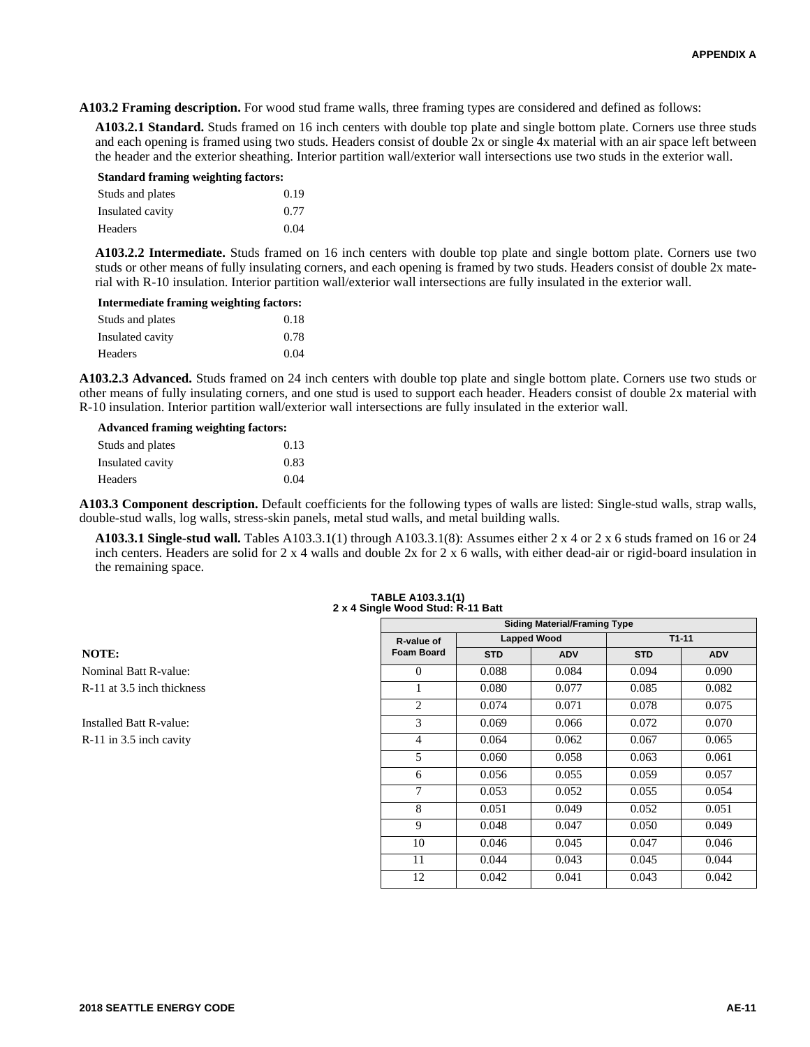**A103.2 Framing description.** For wood stud frame walls, three framing types are considered and defined as follows:

**A103.2.1 Standard.** Studs framed on 16 inch centers with double top plate and single bottom plate. Corners use three studs and each opening is framed using two studs. Headers consist of double 2x or single 4x material with an air space left between the header and the exterior sheathing. Interior partition wall/exterior wall intersections use two studs in the exterior wall.

| <b>Standard framing weighting factors:</b> |      |  |  |  |  |  |
|--------------------------------------------|------|--|--|--|--|--|
| Studs and plates                           | 0.19 |  |  |  |  |  |
| Insulated cavity                           | 0.77 |  |  |  |  |  |
| Headers                                    | 0.04 |  |  |  |  |  |

**A103.2.2 Intermediate.** Studs framed on 16 inch centers with double top plate and single bottom plate. Corners use two studs or other means of fully insulating corners, and each opening is framed by two studs. Headers consist of double 2x material with R-10 insulation. Interior partition wall/exterior wall intersections are fully insulated in the exterior wall.

| Intermediate framing weighting factors: |      |  |  |  |  |
|-----------------------------------------|------|--|--|--|--|
| Studs and plates                        | 0.18 |  |  |  |  |
| Insulated cavity                        | 0.78 |  |  |  |  |
| Headers                                 | 0.04 |  |  |  |  |

**A103.2.3 Advanced.** Studs framed on 24 inch centers with double top plate and single bottom plate. Corners use two studs or other means of fully insulating corners, and one stud is used to support each header. Headers consist of double 2x material with R-10 insulation. Interior partition wall/exterior wall intersections are fully insulated in the exterior wall.

| <b>Advanced framing weighting factors:</b> |      |  |  |  |  |  |
|--------------------------------------------|------|--|--|--|--|--|
| Studs and plates                           | 0.13 |  |  |  |  |  |
| Insulated cavity                           | 0.83 |  |  |  |  |  |
| Headers                                    | 0.04 |  |  |  |  |  |

**A103.3 Component description.** Default coefficients for the following types of walls are listed: Single-stud walls, strap walls, double-stud walls, log walls, stress-skin panels, metal stud walls, and metal building walls.

**A103.3.1 Single-stud wall.** Tables A103.3.1(1) through A103.3.1(8): Assumes either 2 x 4 or 2 x 6 studs framed on 16 or 24 inch centers. Headers are solid for 2 x 4 walls and double 2x for 2 x 6 walls, with either dead-air or rigid-board insulation in the remaining space.

|                            |                   |            | <b>Siding Material/Framing Type</b> |            |            |
|----------------------------|-------------------|------------|-------------------------------------|------------|------------|
|                            | R-value of        |            | <b>Lapped Wood</b>                  |            | $T1 - 11$  |
| <b>NOTE:</b>               | <b>Foam Board</b> | <b>STD</b> | <b>ADV</b>                          | <b>STD</b> | <b>ADV</b> |
| Nominal Batt R-value:      | $\Omega$          | 0.088      | 0.084                               | 0.094      | 0.090      |
| R-11 at 3.5 inch thickness |                   | 0.080      | 0.077                               | 0.085      | 0.082      |
|                            | $\overline{c}$    | 0.074      | 0.071                               | 0.078      | 0.075      |
| Installed Batt R-value:    | 3                 | 0.069      | 0.066                               | 0.072      | 0.070      |
| R-11 in 3.5 inch cavity    | 4                 | 0.064      | 0.062                               | 0.067      | 0.065      |
|                            | 5                 | 0.060      | 0.058                               | 0.063      | 0.061      |
|                            | 6                 | 0.056      | 0.055                               | 0.059      | 0.057      |
|                            | 7                 | 0.053      | 0.052                               | 0.055      | 0.054      |
|                            | 8                 | 0.051      | 0.049                               | 0.052      | 0.051      |
|                            | 9                 | 0.048      | 0.047                               | 0.050      | 0.049      |
|                            | 10                | 0.046      | 0.045                               | 0.047      | 0.046      |
|                            | 11                | 0.044      | 0.043                               | 0.045      | 0.044      |
|                            | 12                | 0.042      | 0.041                               | 0.043      | 0.042      |

#### **TABLE A103.3.1(1) 2 x 4 Single Wood Stud: R-11 Batt**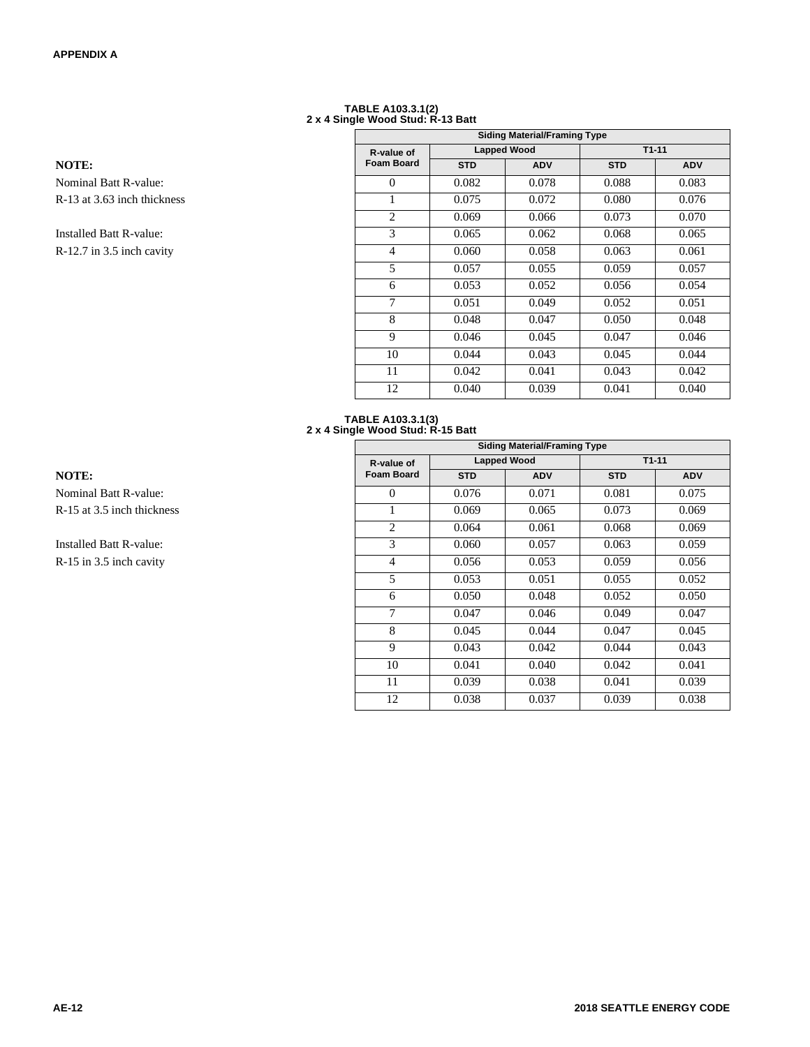## **TABLE A103.3.1(2) 2 x 4 Single Wood Stud: R-13 Batt**

|                                |                   |            | <b>Siding Material/Framing Type</b> |            |            |
|--------------------------------|-------------------|------------|-------------------------------------|------------|------------|
|                                | R-value of        |            | <b>Lapped Wood</b>                  |            | $T1 - 11$  |
| <b>NOTE:</b>                   | <b>Foam Board</b> | <b>STD</b> | <b>ADV</b>                          | <b>STD</b> | <b>ADV</b> |
| <b>Nominal Batt R-value:</b>   | $\Omega$          | 0.082      | 0.078                               | 0.088      | 0.083      |
| R-13 at 3.63 inch thickness    |                   | 0.075      | 0.072                               | 0.080      | 0.076      |
|                                | $\overline{c}$    | 0.069      | 0.066                               | 0.073      | 0.070      |
| <b>Installed Batt R-value:</b> | 3                 | 0.065      | 0.062                               | 0.068      | 0.065      |
| R-12.7 in 3.5 inch cavity      | 4                 | 0.060      | 0.058                               | 0.063      | 0.061      |
|                                | 5                 | 0.057      | 0.055                               | 0.059      | 0.057      |
|                                | 6                 | 0.053      | 0.052                               | 0.056      | 0.054      |
|                                | 7                 | 0.051      | 0.049                               | 0.052      | 0.051      |
|                                | 8                 | 0.048      | 0.047                               | 0.050      | 0.048      |
|                                | 9                 | 0.046      | 0.045                               | 0.047      | 0.046      |
|                                | 10                | 0.044      | 0.043                               | 0.045      | 0.044      |
|                                | 11                | 0.042      | 0.041                               | 0.043      | 0.042      |
|                                | 12                | 0.040      | 0.039                               | 0.041      | 0.040      |

#### **TABLE A103.3.1(3) 2 x 4 Single Wood Stud: R-15 Batt**

|                                |                   |            | <b>Siding Material/Framing Type</b> |            |            |
|--------------------------------|-------------------|------------|-------------------------------------|------------|------------|
|                                | R-value of        |            | <b>Lapped Wood</b>                  | $T1-11$    |            |
| <b>NOTE:</b>                   | <b>Foam Board</b> | <b>STD</b> | <b>ADV</b>                          | <b>STD</b> | <b>ADV</b> |
| Nominal Batt R-value:          | $\Omega$          | 0.076      | 0.071                               | 0.081      | 0.075      |
| R-15 at 3.5 inch thickness     |                   | 0.069      | 0.065                               | 0.073      | 0.069      |
|                                | 2                 | 0.064      | 0.061                               | 0.068      | 0.069      |
| <b>Installed Batt R-value:</b> | 3                 | 0.060      | 0.057                               | 0.063      | 0.059      |
| R-15 in 3.5 inch cavity        | 4                 | 0.056      | 0.053                               | 0.059      | 0.056      |
|                                | 5                 | 0.053      | 0.051                               | 0.055      | 0.052      |
|                                | 6                 | 0.050      | 0.048                               | 0.052      | 0.050      |
|                                | 7                 | 0.047      | 0.046                               | 0.049      | 0.047      |
|                                | 8                 | 0.045      | 0.044                               | 0.047      | 0.045      |
|                                | 9                 | 0.043      | 0.042                               | 0.044      | 0.043      |
|                                | 10                | 0.041      | 0.040                               | 0.042      | 0.041      |
|                                | 11                | 0.039      | 0.038                               | 0.041      | 0.039      |
|                                | 12                | 0.038      | 0.037                               | 0.039      | 0.038      |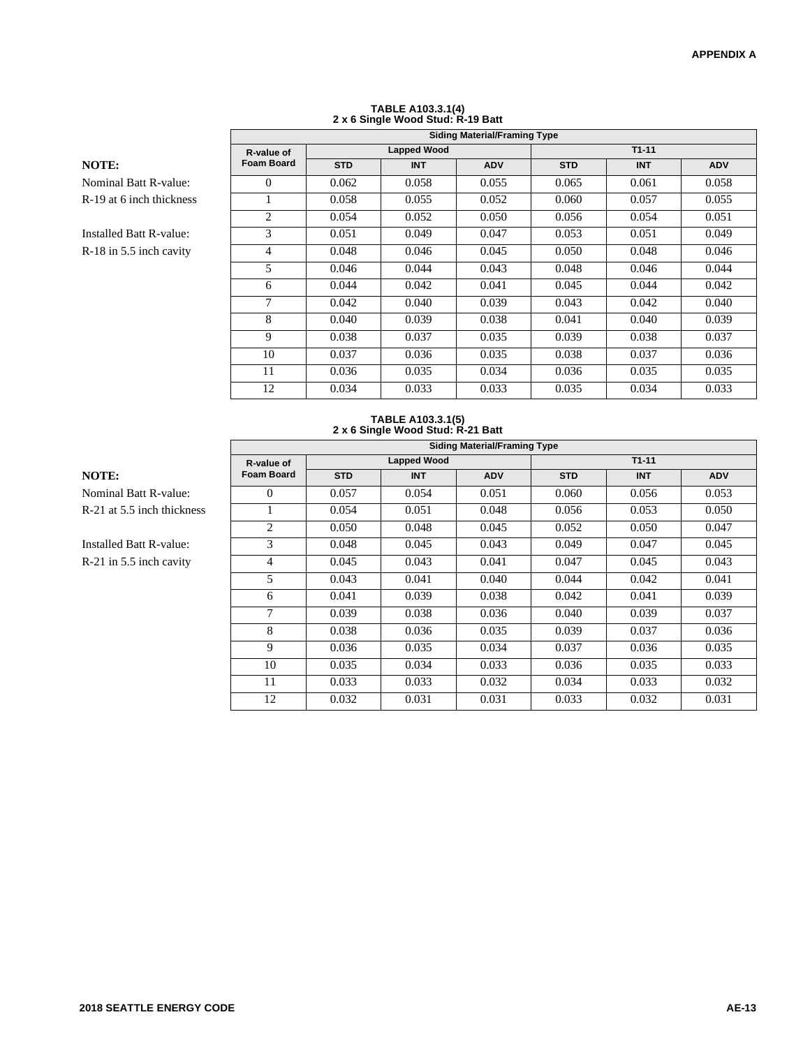### **TABLE A103.3.1(4) 2 x 6 Single Wood Stud: R-19 Batt Siding Material/Framing Type**

|--|

|                              |                   | <b>Siding Material/Framing Type</b> |                    |            |            |            |            |  |  |  |  |
|------------------------------|-------------------|-------------------------------------|--------------------|------------|------------|------------|------------|--|--|--|--|
|                              | R-value of        |                                     | <b>Lapped Wood</b> |            |            | $T1 - 11$  |            |  |  |  |  |
| NOTE:                        | <b>Foam Board</b> | <b>STD</b>                          | <b>INT</b>         | <b>ADV</b> | <b>STD</b> | <b>INT</b> | <b>ADV</b> |  |  |  |  |
| <b>Nominal Batt R-value:</b> | $\Omega$          | 0.062                               | 0.058              | 0.055      | 0.065      | 0.061      | 0.058      |  |  |  |  |
| R-19 at 6 inch thickness     |                   | 0.058                               | 0.055              | 0.052      | 0.060      | 0.057      | 0.055      |  |  |  |  |
|                              | 2                 | 0.054                               | 0.052              | 0.050      | 0.056      | 0.054      | 0.051      |  |  |  |  |
| Installed Batt R-value:      | 3                 | 0.051                               | 0.049              | 0.047      | 0.053      | 0.051      | 0.049      |  |  |  |  |
| R-18 in 5.5 inch cavity      | $\overline{4}$    | 0.048                               | 0.046              | 0.045      | 0.050      | 0.048      | 0.046      |  |  |  |  |
|                              | 5                 | 0.046                               | 0.044              | 0.043      | 0.048      | 0.046      | 0.044      |  |  |  |  |
|                              | 6                 | 0.044                               | 0.042              | 0.041      | 0.045      | 0.044      | 0.042      |  |  |  |  |
|                              | 7                 | 0.042                               | 0.040              | 0.039      | 0.043      | 0.042      | 0.040      |  |  |  |  |
|                              | 8                 | 0.040                               | 0.039              | 0.038      | 0.041      | 0.040      | 0.039      |  |  |  |  |
|                              | 9                 | 0.038                               | 0.037              | 0.035      | 0.039      | 0.038      | 0.037      |  |  |  |  |
|                              | 10                | 0.037                               | 0.036              | 0.035      | 0.038      | 0.037      | 0.036      |  |  |  |  |
|                              | 11                | 0.036                               | 0.035              | 0.034      | 0.036      | 0.035      | 0.035      |  |  |  |  |
|                              | 12                | 0.034                               | 0.033              | 0.033      | 0.035      | 0.034      | 0.033      |  |  |  |  |

#### **TABLE A103.3.1(5) 2 x 6 Single Wood Stud: R-21 Batt**

|                                | <b>Siding Material/Framing Type</b> |            |                    |            |            |            |            |  |  |
|--------------------------------|-------------------------------------|------------|--------------------|------------|------------|------------|------------|--|--|
|                                | R-value of                          |            | <b>Lapped Wood</b> |            | $T1-11$    |            |            |  |  |
| <b>NOTE:</b>                   | <b>Foam Board</b>                   | <b>STD</b> | <b>INT</b>         | <b>ADV</b> | <b>STD</b> | <b>INT</b> | <b>ADV</b> |  |  |
| Nominal Batt R-value:          | $\Omega$                            | 0.057      | 0.054              | 0.051      | 0.060      | 0.056      | 0.053      |  |  |
| R-21 at 5.5 inch thickness     |                                     | 0.054      | 0.051              | 0.048      | 0.056      | 0.053      | 0.050      |  |  |
|                                | 2                                   | 0.050      | 0.048              | 0.045      | 0.052      | 0.050      | 0.047      |  |  |
| <b>Installed Batt R-value:</b> | 3                                   | 0.048      | 0.045              | 0.043      | 0.049      | 0.047      | 0.045      |  |  |
| R-21 in 5.5 inch cavity        | 4                                   | 0.045      | 0.043              | 0.041      | 0.047      | 0.045      | 0.043      |  |  |
|                                | 5                                   | 0.043      | 0.041              | 0.040      | 0.044      | 0.042      | 0.041      |  |  |
|                                | 6                                   | 0.041      | 0.039              | 0.038      | 0.042      | 0.041      | 0.039      |  |  |
|                                | 7                                   | 0.039      | 0.038              | 0.036      | 0.040      | 0.039      | 0.037      |  |  |
|                                | 8                                   | 0.038      | 0.036              | 0.035      | 0.039      | 0.037      | 0.036      |  |  |
|                                | 9                                   | 0.036      | 0.035              | 0.034      | 0.037      | 0.036      | 0.035      |  |  |
|                                | 10                                  | 0.035      | 0.034              | 0.033      | 0.036      | 0.035      | 0.033      |  |  |
|                                | 11                                  | 0.033      | 0.033              | 0.032      | 0.034      | 0.033      | 0.032      |  |  |
|                                | 12                                  | 0.032      | 0.031              | 0.031      | 0.033      | 0.032      | 0.031      |  |  |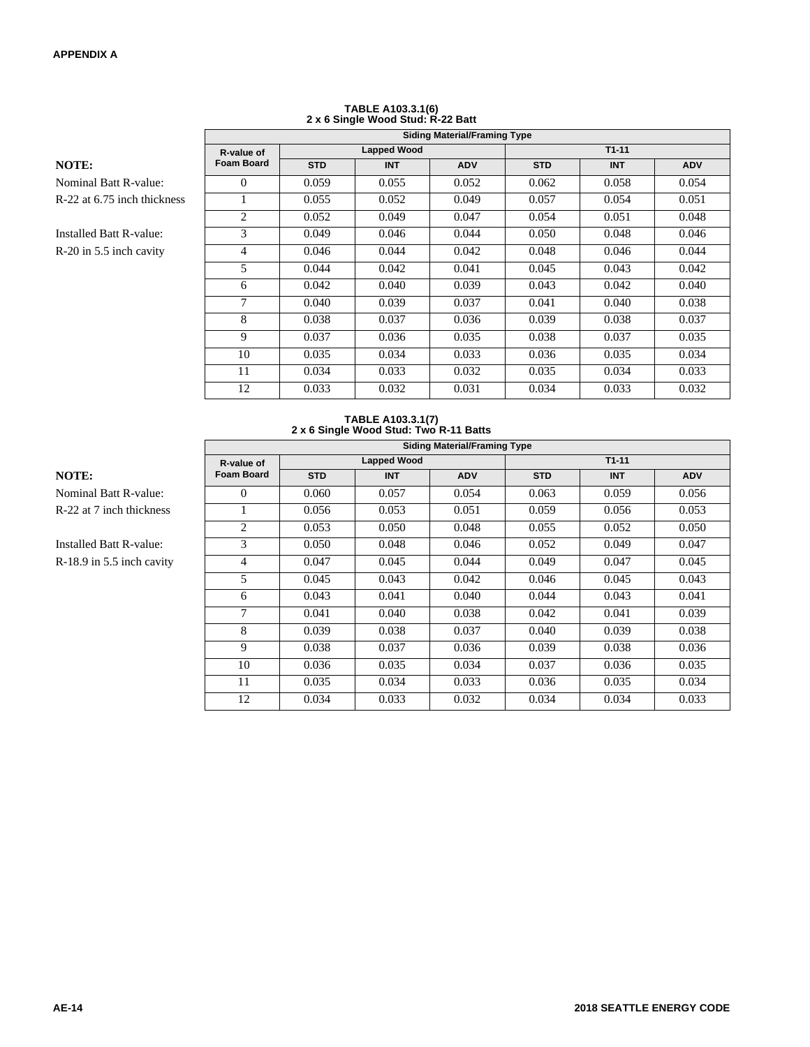|                              |                   | 2 A V Olligio 1100a Olaa: K-22 Dall |                    |            |            |            |            |  |  |  |  |
|------------------------------|-------------------|-------------------------------------|--------------------|------------|------------|------------|------------|--|--|--|--|
|                              |                   | <b>Siding Material/Framing Type</b> |                    |            |            |            |            |  |  |  |  |
|                              | R-value of        |                                     | <b>Lapped Wood</b> |            |            | $T1-11$    |            |  |  |  |  |
| NOTE:                        | <b>Foam Board</b> | <b>STD</b>                          | <b>INT</b>         | <b>ADV</b> | <b>STD</b> | <b>INT</b> | <b>ADV</b> |  |  |  |  |
| <b>Nominal Batt R-value:</b> | $\Omega$          | 0.059                               | 0.055              | 0.052      | 0.062      | 0.058      | 0.054      |  |  |  |  |
| R-22 at 6.75 inch thickness  |                   | 0.055                               | 0.052              | 0.049      | 0.057      | 0.054      | 0.051      |  |  |  |  |
|                              | 2                 | 0.052                               | 0.049              | 0.047      | 0.054      | 0.051      | 0.048      |  |  |  |  |
| Installed Batt R-value:      | 3                 | 0.049                               | 0.046              | 0.044      | 0.050      | 0.048      | 0.046      |  |  |  |  |
| $R-20$ in 5.5 inch cavity    | 4                 | 0.046                               | 0.044              | 0.042      | 0.048      | 0.046      | 0.044      |  |  |  |  |
|                              | 5                 | 0.044                               | 0.042              | 0.041      | 0.045      | 0.043      | 0.042      |  |  |  |  |
|                              | 6                 | 0.042                               | 0.040              | 0.039      | 0.043      | 0.042      | 0.040      |  |  |  |  |
|                              | 7                 | 0.040                               | 0.039              | 0.037      | 0.041      | 0.040      | 0.038      |  |  |  |  |
|                              | 8                 | 0.038                               | 0.037              | 0.036      | 0.039      | 0.038      | 0.037      |  |  |  |  |
|                              | 9                 | 0.037                               | 0.036              | 0.035      | 0.038      | 0.037      | 0.035      |  |  |  |  |
|                              | 10                | 0.035                               | 0.034              | 0.033      | 0.036      | 0.035      | 0.034      |  |  |  |  |
|                              | 11                | 0.034                               | 0.033              | 0.032      | 0.035      | 0.034      | 0.033      |  |  |  |  |
|                              | 12                | 0.033                               | 0.032              | 0.031      | 0.034      | 0.033      | 0.032      |  |  |  |  |

# **TABLE A103.3.1(6) 2 x 6 Single Wood Stud: R-22 Batt**

#### **TABLE A103.3.1(7) 2 x 6 Single Wood Stud: Two R-11 Batts**

|                              | <b>Siding Material/Framing Type</b> |                    |            |            |            |            |            |  |
|------------------------------|-------------------------------------|--------------------|------------|------------|------------|------------|------------|--|
|                              | R-value of                          | <b>Lapped Wood</b> |            |            | $T1-11$    |            |            |  |
| <b>NOTE:</b>                 | <b>Foam Board</b>                   | <b>STD</b>         | <b>INT</b> | <b>ADV</b> | <b>STD</b> | <b>INT</b> | <b>ADV</b> |  |
| <b>Nominal Batt R-value:</b> | $\Omega$                            | 0.060              | 0.057      | 0.054      | 0.063      | 0.059      | 0.056      |  |
| R-22 at 7 inch thickness     |                                     | 0.056              | 0.053      | 0.051      | 0.059      | 0.056      | 0.053      |  |
|                              | $\overline{c}$                      | 0.053              | 0.050      | 0.048      | 0.055      | 0.052      | 0.050      |  |
| Installed Batt R-value:      | 3                                   | 0.050              | 0.048      | 0.046      | 0.052      | 0.049      | 0.047      |  |
| R-18.9 in 5.5 inch cavity    | 4                                   | 0.047              | 0.045      | 0.044      | 0.049      | 0.047      | 0.045      |  |
|                              | 5                                   | 0.045              | 0.043      | 0.042      | 0.046      | 0.045      | 0.043      |  |
|                              | 6                                   | 0.043              | 0.041      | 0.040      | 0.044      | 0.043      | 0.041      |  |
|                              | 7                                   | 0.041              | 0.040      | 0.038      | 0.042      | 0.041      | 0.039      |  |
|                              | 8                                   | 0.039              | 0.038      | 0.037      | 0.040      | 0.039      | 0.038      |  |
|                              | 9                                   | 0.038              | 0.037      | 0.036      | 0.039      | 0.038      | 0.036      |  |
|                              | 10                                  | 0.036              | 0.035      | 0.034      | 0.037      | 0.036      | 0.035      |  |
|                              | 11                                  | 0.035              | 0.034      | 0.033      | 0.036      | 0.035      | 0.034      |  |
|                              | 12                                  | 0.034              | 0.033      | 0.032      | 0.034      | 0.034      | 0.033      |  |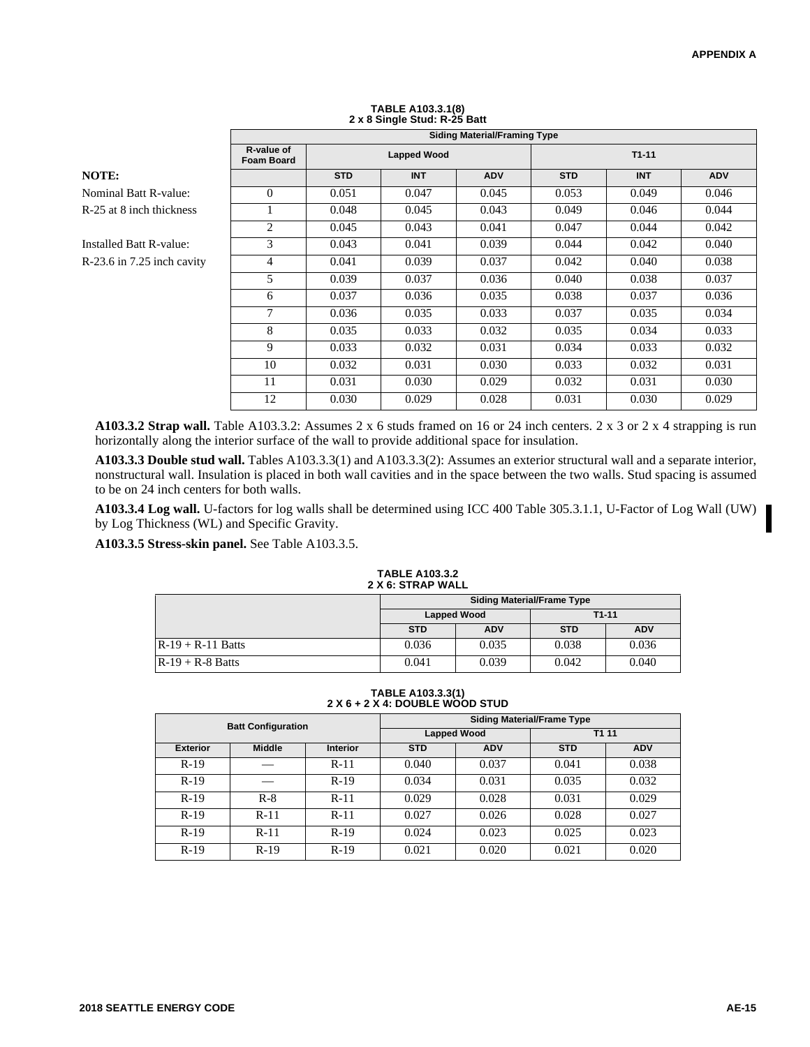|                            |                                 | <b>Siding Material/Framing Type</b><br>$T1 - 11$<br><b>Lapped Wood</b><br><b>STD</b><br><b>STD</b><br><b>INT</b><br><b>ADV</b><br><b>INT</b><br><b>ADV</b><br>0.045<br>0.049<br>0.051<br>0.047<br>0.053 |       |       |       |       |       |  |  |  |
|----------------------------|---------------------------------|---------------------------------------------------------------------------------------------------------------------------------------------------------------------------------------------------------|-------|-------|-------|-------|-------|--|--|--|
|                            | R-value of<br><b>Foam Board</b> |                                                                                                                                                                                                         |       |       |       |       |       |  |  |  |
| NOTE:                      |                                 |                                                                                                                                                                                                         |       |       |       |       |       |  |  |  |
| Nominal Batt R-value:      | $\Omega$                        |                                                                                                                                                                                                         |       |       |       |       | 0.046 |  |  |  |
| R-25 at 8 inch thickness   |                                 | 0.048                                                                                                                                                                                                   | 0.045 | 0.043 | 0.049 | 0.046 | 0.044 |  |  |  |
|                            | 2                               | 0.045                                                                                                                                                                                                   | 0.043 | 0.041 | 0.047 | 0.044 | 0.042 |  |  |  |
| Installed Batt R-value:    | 3                               | 0.043                                                                                                                                                                                                   | 0.041 | 0.039 | 0.044 | 0.042 | 0.040 |  |  |  |
| R-23.6 in 7.25 inch cavity | 4                               | 0.041                                                                                                                                                                                                   | 0.039 | 0.037 | 0.042 | 0.040 | 0.038 |  |  |  |
|                            | 5                               | 0.039                                                                                                                                                                                                   | 0.037 | 0.036 | 0.040 | 0.038 | 0.037 |  |  |  |
|                            | 6                               | 0.037                                                                                                                                                                                                   | 0.036 | 0.035 | 0.038 | 0.037 | 0.036 |  |  |  |
|                            | 7                               | 0.036                                                                                                                                                                                                   | 0.035 | 0.033 | 0.037 | 0.035 | 0.034 |  |  |  |
|                            | 8                               | 0.035                                                                                                                                                                                                   | 0.033 | 0.032 | 0.035 | 0.034 | 0.033 |  |  |  |
|                            | 9                               | 0.033                                                                                                                                                                                                   | 0.032 | 0.031 | 0.034 | 0.033 | 0.032 |  |  |  |
|                            | 10                              | 0.032                                                                                                                                                                                                   | 0.031 | 0.030 | 0.033 | 0.032 | 0.031 |  |  |  |
|                            | 11                              | 0.031                                                                                                                                                                                                   | 0.030 | 0.029 | 0.032 | 0.031 | 0.030 |  |  |  |
|                            | 12                              | 0.030                                                                                                                                                                                                   | 0.029 | 0.028 | 0.031 | 0.030 | 0.029 |  |  |  |

# **TABLE A103.3.1(8) 2 x 8 Single Stud: R-25 Batt**

> **A103.3.2 Strap wall.** Table A103.3.2: Assumes 2 x 6 studs framed on 16 or 24 inch centers. 2 x 3 or 2 x 4 strapping is run horizontally along the interior surface of the wall to provide additional space for insulation.

> **A103.3.3 Double stud wall.** Tables A103.3.3(1) and A103.3.3(2): Assumes an exterior structural wall and a separate interior, nonstructural wall. Insulation is placed in both wall cavities and in the space between the two walls. Stud spacing is assumed to be on 24 inch centers for both walls.

> **A103.3.4 Log wall.** U-factors for log walls shall be determined using ICC 400 Table 305.3.1.1, U-Factor of Log Wall (UW) by Log Thickness (WL) and Specific Gravity.

**A103.3.5 Stress-skin panel.** See Table A103.3.5.

#### **TABLE A103.3.2 2 X 6: STRAP WALL**

|                     | <b>Siding Material/Frame Type</b> |                    |            |            |  |  |  |  |
|---------------------|-----------------------------------|--------------------|------------|------------|--|--|--|--|
|                     |                                   | <b>Lapped Wood</b> | $T1-11$    |            |  |  |  |  |
|                     | <b>STD</b>                        | <b>ADV</b>         | <b>STD</b> | <b>ADV</b> |  |  |  |  |
| $R-19 + R-11$ Batts | 0.036                             | 0.035              | 0.038      | 0.036      |  |  |  |  |
| $R-19 + R-8$ Batts  | 0.041                             | 0.039              | 0.042      | 0.040      |  |  |  |  |

**TABLE A103.3.3(1) 2 X 6 + 2 X 4: DOUBLE WOOD STUD**

|                 | <b>Batt Configuration</b> |                 | <b>Siding Material/Frame Type</b> |                    |            |            |  |  |  |
|-----------------|---------------------------|-----------------|-----------------------------------|--------------------|------------|------------|--|--|--|
|                 |                           |                 |                                   | <b>Lapped Wood</b> | T1 11      |            |  |  |  |
| <b>Exterior</b> | <b>Middle</b>             | <b>Interior</b> | <b>STD</b>                        | <b>ADV</b>         | <b>STD</b> | <b>ADV</b> |  |  |  |
| $R-19$          |                           | $R-11$          | 0.040                             | 0.037              | 0.041      | 0.038      |  |  |  |
| $R-19$          |                           | $R-19$          | 0.034                             | 0.031              | 0.035      | 0.032      |  |  |  |
| $R-19$          | $R-8$                     | $R-11$          | 0.029                             | 0.028              | 0.031      | 0.029      |  |  |  |
| $R-19$          | $R-11$                    | $R-11$          | 0.027                             | 0.026              | 0.028      | 0.027      |  |  |  |
| $R-19$          | $R-11$                    | $R-19$          | 0.024                             | 0.023              | 0.025      | 0.023      |  |  |  |
| $R-19$          | $R-19$                    | $R-19$          | 0.021                             | 0.020              | 0.021      | 0.020      |  |  |  |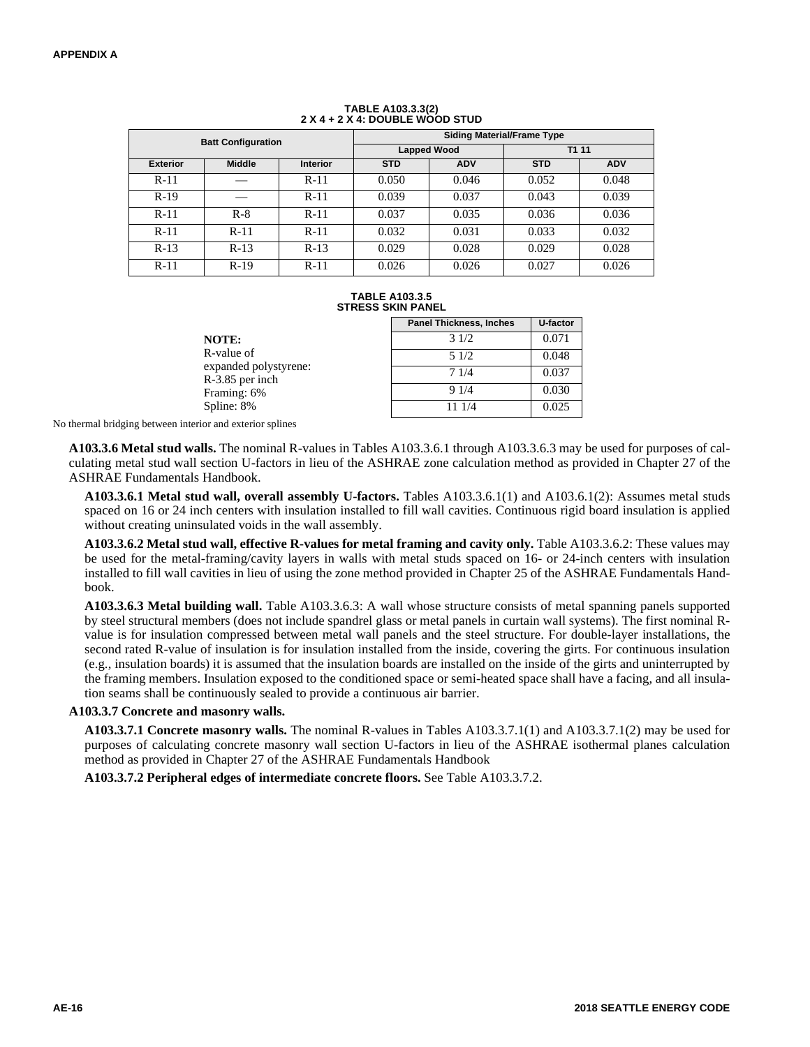|                 | <b>Batt Configuration</b> |                 | <b>Siding Material/Frame Type</b> |                    |            |            |  |  |  |
|-----------------|---------------------------|-----------------|-----------------------------------|--------------------|------------|------------|--|--|--|
|                 |                           |                 |                                   | <b>Lapped Wood</b> | T1 11      |            |  |  |  |
| <b>Exterior</b> | <b>Middle</b>             | <b>Interior</b> | <b>STD</b>                        | <b>ADV</b>         | <b>STD</b> | <b>ADV</b> |  |  |  |
| $R-11$          |                           | $R-11$          | 0.050                             | 0.046              | 0.052      | 0.048      |  |  |  |
| $R-19$          |                           | $R-11$          | 0.039                             | 0.037              | 0.043      | 0.039      |  |  |  |
| $R-11$          | $R-8$                     | $R-11$          | 0.037                             | 0.035              | 0.036      | 0.036      |  |  |  |
| $R-11$          | $R-11$                    | $R-11$          | 0.032                             | 0.031              | 0.033      | 0.032      |  |  |  |
| $R-13$          | $R-13$                    | $R-13$          | 0.029                             | 0.028              | 0.029      | 0.028      |  |  |  |
| $R-11$          | $R-19$                    | $R-11$          | 0.026                             | 0.026              | 0.027      | 0.026      |  |  |  |

## **TABLE A103.3.3(2) 2 X 4 + 2 X 4: DOUBLE WOOD STUD**

#### **TABLE A103.3.5 STRESS SKIN PANEL**

|                                          | <b>Panel Thickness, Inches</b> | U-factor |
|------------------------------------------|--------------------------------|----------|
| <b>NOTE:</b>                             | 31/2                           | 0.071    |
| R-value of                               | 51/2                           | 0.048    |
| expanded polystyrene:<br>R-3.85 per inch | 71/4                           | 0.037    |
| Framing: 6%                              | 91/4                           | 0.030    |
| Spline: 8%                               | 11 1/4                         | 0.025    |

No thermal bridging between interior and exterior splines

**A103.3.6 Metal stud walls.** The nominal R-values in Tables A103.3.6.1 through A103.3.6.3 may be used for purposes of calculating metal stud wall section U-factors in lieu of the ASHRAE zone calculation method as provided in Chapter 27 of the ASHRAE Fundamentals Handbook.

**A103.3.6.1 Metal stud wall, overall assembly U-factors.** Tables A103.3.6.1(1) and A103.6.1(2): Assumes metal studs spaced on 16 or 24 inch centers with insulation installed to fill wall cavities. Continuous rigid board insulation is applied without creating uninsulated voids in the wall assembly.

**A103.3.6.2 Metal stud wall, effective R-values for metal framing and cavity only.** Table A103.3.6.2: These values may be used for the metal-framing/cavity layers in walls with metal studs spaced on 16- or 24-inch centers with insulation installed to fill wall cavities in lieu of using the zone method provided in Chapter 25 of the ASHRAE Fundamentals Handbook.

**A103.3.6.3 Metal building wall.** Table A103.3.6.3: A wall whose structure consists of metal spanning panels supported by steel structural members (does not include spandrel glass or metal panels in curtain wall systems). The first nominal Rvalue is for insulation compressed between metal wall panels and the steel structure. For double-layer installations, the second rated R-value of insulation is for insulation installed from the inside, covering the girts. For continuous insulation (e.g., insulation boards) it is assumed that the insulation boards are installed on the inside of the girts and uninterrupted by the framing members. Insulation exposed to the conditioned space or semi-heated space shall have a facing, and all insulation seams shall be continuously sealed to provide a continuous air barrier.

#### **A103.3.7 Concrete and masonry walls.**

**A103.3.7.1 Concrete masonry walls.** The nominal R-values in Tables A103.3.7.1(1) and A103.3.7.1(2) may be used for purposes of calculating concrete masonry wall section U-factors in lieu of the ASHRAE isothermal planes calculation method as provided in Chapter 27 of the ASHRAE Fundamentals Handbook

**A103.3.7.2 Peripheral edges of intermediate concrete floors.** See Table A103.3.7.2.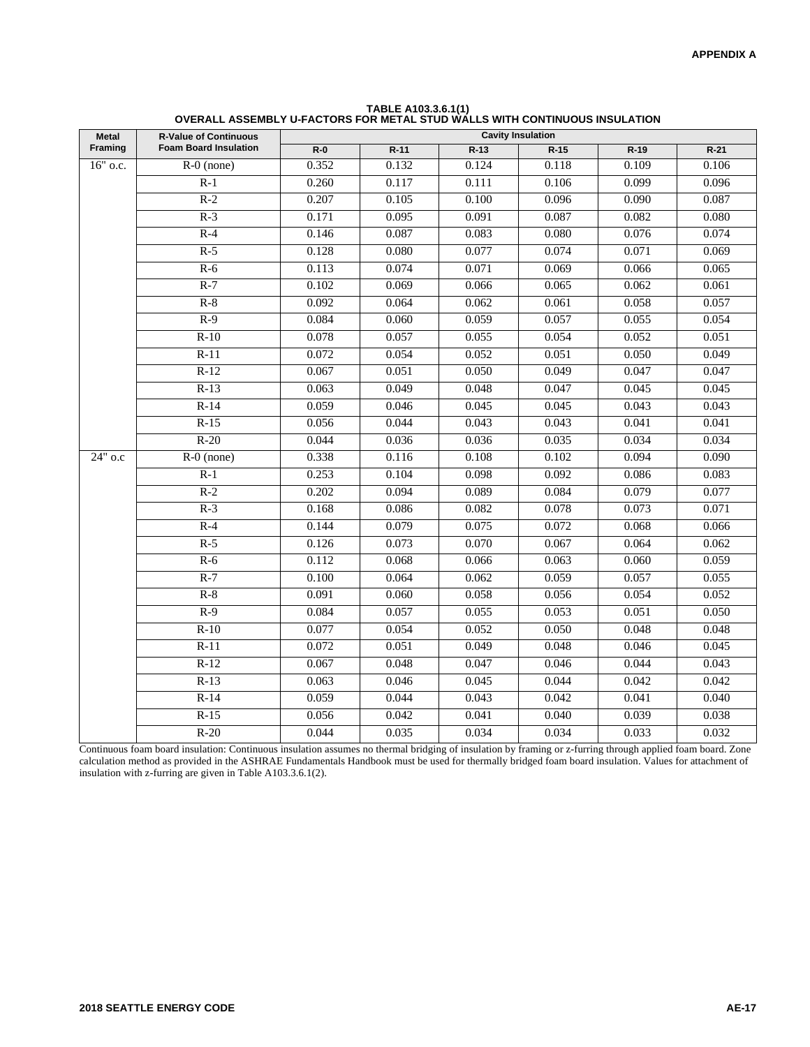| Metal    | <b>R-Value of Continuous</b> | <b>Cavity Insulation</b> |        |        |        |        |        |  |  |
|----------|------------------------------|--------------------------|--------|--------|--------|--------|--------|--|--|
| Framing  | <b>Foam Board Insulation</b> | $R-0$                    | $R-11$ | $R-13$ | $R-15$ | $R-19$ | $R-21$ |  |  |
| 16" o.c. | $R-0$ (none)                 | 0.352                    | 0.132  | 0.124  | 0.118  | 0.109  | 0.106  |  |  |
|          | $R-1$                        | 0.260                    | 0.117  | 0.111  | 0.106  | 0.099  | 0.096  |  |  |
|          | $R-2$                        | 0.207                    | 0.105  | 0.100  | 0.096  | 0.090  | 0.087  |  |  |
|          | $R-3$                        | 0.171                    | 0.095  | 0.091  | 0.087  | 0.082  | 0.080  |  |  |
|          | $R-4$                        | 0.146                    | 0.087  | 0.083  | 0.080  | 0.076  | 0.074  |  |  |
|          | $R-5$                        | 0.128                    | 0.080  | 0.077  | 0.074  | 0.071  | 0.069  |  |  |
|          | $R-6$                        | 0.113                    | 0.074  | 0.071  | 0.069  | 0.066  | 0.065  |  |  |
|          | $R-7$                        | 0.102                    | 0.069  | 0.066  | 0.065  | 0.062  | 0.061  |  |  |
|          | $R-8$                        | 0.092                    | 0.064  | 0.062  | 0.061  | 0.058  | 0.057  |  |  |
|          | $R-9$                        | 0.084                    | 0.060  | 0.059  | 0.057  | 0.055  | 0.054  |  |  |
|          | $R-10$                       | 0.078                    | 0.057  | 0.055  | 0.054  | 0.052  | 0.051  |  |  |
|          | $R-11$                       | 0.072                    | 0.054  | 0.052  | 0.051  | 0.050  | 0.049  |  |  |
|          | $R-12$                       | 0.067                    | 0.051  | 0.050  | 0.049  | 0.047  | 0.047  |  |  |
|          | $R-13$                       | 0.063                    | 0.049  | 0.048  | 0.047  | 0.045  | 0.045  |  |  |
|          | $R-14$                       | 0.059                    | 0.046  | 0.045  | 0.045  | 0.043  | 0.043  |  |  |
|          | $R-15$                       | 0.056                    | 0.044  | 0.043  | 0.043  | 0.041  | 0.041  |  |  |
|          | $R-20$                       | 0.044                    | 0.036  | 0.036  | 0.035  | 0.034  | 0.034  |  |  |
| 24" o.c  | $R-0$ (none)                 | 0.338                    | 0.116  | 0.108  | 0.102  | 0.094  | 0.090  |  |  |
|          | $R-1$                        | 0.253                    | 0.104  | 0.098  | 0.092  | 0.086  | 0.083  |  |  |
|          | $R-2$                        | 0.202                    | 0.094  | 0.089  | 0.084  | 0.079  | 0.077  |  |  |
|          | $R-3$                        | 0.168                    | 0.086  | 0.082  | 0.078  | 0.073  | 0.071  |  |  |
|          | $R-4$                        | 0.144                    | 0.079  | 0.075  | 0.072  | 0.068  | 0.066  |  |  |
|          | $R-5$                        | 0.126                    | 0.073  | 0.070  | 0.067  | 0.064  | 0.062  |  |  |
|          | $R-6$                        | 0.112                    | 0.068  | 0.066  | 0.063  | 0.060  | 0.059  |  |  |
|          | $R-7$                        | 0.100                    | 0.064  | 0.062  | 0.059  | 0.057  | 0.055  |  |  |
|          | $R-8$                        | 0.091                    | 0.060  | 0.058  | 0.056  | 0.054  | 0.052  |  |  |
|          | $R-9$                        | 0.084                    | 0.057  | 0.055  | 0.053  | 0.051  | 0.050  |  |  |
|          | $R-10$                       | 0.077                    | 0.054  | 0.052  | 0.050  | 0.048  | 0.048  |  |  |
|          | $R-11$                       | 0.072                    | 0.051  | 0.049  | 0.048  | 0.046  | 0.045  |  |  |
|          | $R-12$                       | 0.067                    | 0.048  | 0.047  | 0.046  | 0.044  | 0.043  |  |  |
|          | $R-13$                       | 0.063                    | 0.046  | 0.045  | 0.044  | 0.042  | 0.042  |  |  |
|          | $R-14$                       | 0.059                    | 0.044  | 0.043  | 0.042  | 0.041  | 0.040  |  |  |
|          | $R-15$                       | 0.056                    | 0.042  | 0.041  | 0.040  | 0.039  | 0.038  |  |  |
|          | $R-20$                       | 0.044                    | 0.035  | 0.034  | 0.034  | 0.033  | 0.032  |  |  |
|          |                              |                          |        |        |        |        |        |  |  |

| TABLE A103.3.6.1(1)                                                        |
|----------------------------------------------------------------------------|
| OVERALL ASSEMBLY U-FACTORS FOR METAL STUD WALLS WITH CONTINUOUS INSULATION |

Continuous foam board insulation: Continuous insulation assumes no thermal bridging of insulation by framing or z-furring through applied foam board. Zone calculation method as provided in the ASHRAE Fundamentals Handbook must be used for thermally bridged foam board insulation. Values for attachment of insulation with z-furring are given in Table A103.3.6.1(2).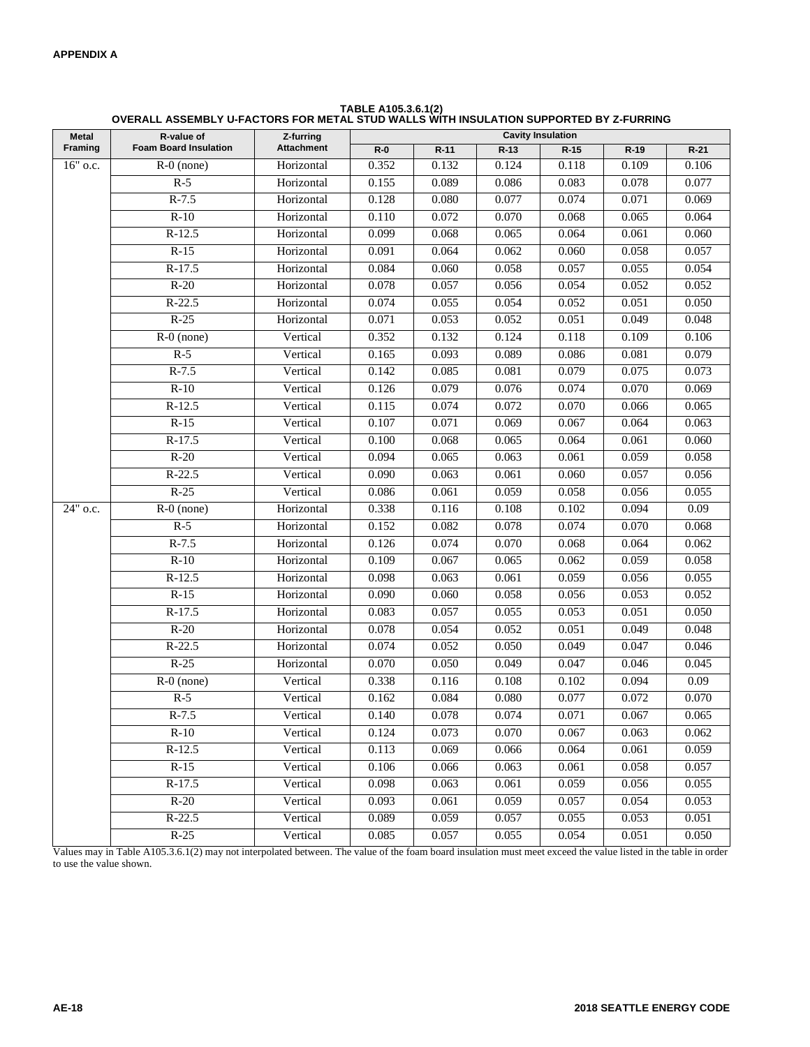| <b>TABLE A105.3.6.1(2)</b>                                                             |
|----------------------------------------------------------------------------------------|
| OVERALL ASSEMBLY U-FACTORS FOR METAL STUD WALLS WITH INSULATION SUPPORTED BY Z-FURRING |

| <b>Metal</b>           | R-value of                   | Z-furring<br><b>Attachment</b> | <b>Cavity Insulation</b> |        |        |        |        |        |  |  |
|------------------------|------------------------------|--------------------------------|--------------------------|--------|--------|--------|--------|--------|--|--|
| Framing                | <b>Foam Board Insulation</b> |                                | $R-0$                    | $R-11$ | $R-13$ | $R-15$ | $R-19$ | $R-21$ |  |  |
| 16" o.c.               | $R-0$ (none)                 | Horizontal                     | 0.352                    | 0.132  | 0.124  | 0.118  | 0.109  | 0.106  |  |  |
|                        | $R-5$                        | Horizontal                     | 0.155                    | 0.089  | 0.086  | 0.083  | 0.078  | 0.077  |  |  |
|                        | $R-7.5$                      | Horizontal                     | 0.128                    | 0.080  | 0.077  | 0.074  | 0.071  | 0.069  |  |  |
|                        | $R-10$                       | Horizontal                     | 0.110                    | 0.072  | 0.070  | 0.068  | 0.065  | 0.064  |  |  |
|                        | $R-12.5$                     | Horizontal                     | 0.099                    | 0.068  | 0.065  | 0.064  | 0.061  | 0.060  |  |  |
|                        | $R-15$                       | Horizontal                     | 0.091                    | 0.064  | 0.062  | 0.060  | 0.058  | 0.057  |  |  |
|                        | $R-17.5$                     | Horizontal                     | 0.084                    | 0.060  | 0.058  | 0.057  | 0.055  | 0.054  |  |  |
|                        | $R-20$                       | Horizontal                     | 0.078                    | 0.057  | 0.056  | 0.054  | 0.052  | 0.052  |  |  |
|                        | $R-22.5$                     | Horizontal                     | 0.074                    | 0.055  | 0.054  | 0.052  | 0.051  | 0.050  |  |  |
|                        | $R-25$                       | Horizontal                     | 0.071                    | 0.053  | 0.052  | 0.051  | 0.049  | 0.048  |  |  |
|                        | $R-0$ (none)                 | Vertical                       | 0.352                    | 0.132  | 0.124  | 0.118  | 0.109  | 0.106  |  |  |
|                        | $R-5$                        | Vertical                       | 0.165                    | 0.093  | 0.089  | 0.086  | 0.081  | 0.079  |  |  |
|                        | $R-7.5$                      | Vertical                       | 0.142                    | 0.085  | 0.081  | 0.079  | 0.075  | 0.073  |  |  |
|                        | $R-10$                       | Vertical                       | 0.126                    | 0.079  | 0.076  | 0.074  | 0.070  | 0.069  |  |  |
|                        | $R-12.5$                     | Vertical                       | 0.115                    | 0.074  | 0.072  | 0.070  | 0.066  | 0.065  |  |  |
|                        | $R-15$                       | Vertical                       | 0.107                    | 0.071  | 0.069  | 0.067  | 0.064  | 0.063  |  |  |
|                        | $R-17.5$                     | Vertical                       | 0.100                    | 0.068  | 0.065  | 0.064  | 0.061  | 0.060  |  |  |
|                        | $R-20$                       | Vertical                       | 0.094                    | 0.065  | 0.063  | 0.061  | 0.059  | 0.058  |  |  |
|                        | $R-22.5$                     | Vertical                       | 0.090                    | 0.063  | 0.061  | 0.060  | 0.057  | 0.056  |  |  |
|                        | $R-25$                       | Vertical                       | 0.086                    | 0.061  | 0.059  | 0.058  | 0.056  | 0.055  |  |  |
| $\overline{24}$ " o.c. | $\overline{R-0}$ (none)      | Horizontal                     | 0.338                    | 0.116  | 0.108  | 0.102  | 0.094  | 0.09   |  |  |
|                        | $R-5$                        | Horizontal                     | 0.152                    | 0.082  | 0.078  | 0.074  | 0.070  | 0.068  |  |  |
|                        | $R-7.5$                      | Horizontal                     | 0.126                    | 0.074  | 0.070  | 0.068  | 0.064  | 0.062  |  |  |
|                        | $R-10$                       | Horizontal                     | 0.109                    | 0.067  | 0.065  | 0.062  | 0.059  | 0.058  |  |  |
|                        | $R-12.5$                     | Horizontal                     | 0.098                    | 0.063  | 0.061  | 0.059  | 0.056  | 0.055  |  |  |
|                        | $R-15$                       | Horizontal                     | 0.090                    | 0.060  | 0.058  | 0.056  | 0.053  | 0.052  |  |  |
|                        | $R-17.5$                     | Horizontal                     | 0.083                    | 0.057  | 0.055  | 0.053  | 0.051  | 0.050  |  |  |
|                        | $R-20$                       | Horizontal                     | 0.078                    | 0.054  | 0.052  | 0.051  | 0.049  | 0.048  |  |  |
|                        | $R-22.5$                     | Horizontal                     | 0.074                    | 0.052  | 0.050  | 0.049  | 0.047  | 0.046  |  |  |
|                        | $R-25$                       | Horizontal                     | 0.070                    | 0.050  | 0.049  | 0.047  | 0.046  | 0.045  |  |  |
|                        | $R-0$ (none)                 | Vertical                       | 0.338                    | 0.116  | 0.108  | 0.102  | 0.094  | 0.09   |  |  |
|                        | $R-5$                        | Vertical                       | 0.162                    | 0.084  | 0.080  | 0.077  | 0.072  | 0.070  |  |  |
|                        | $R-7.5$                      | Vertical                       | 0.140                    | 0.078  | 0.074  | 0.071  | 0.067  | 0.065  |  |  |
|                        | $R-10$                       | Vertical                       | 0.124                    | 0.073  | 0.070  | 0.067  | 0.063  | 0.062  |  |  |
|                        | $R-12.5$                     | Vertical                       | 0.113                    | 0.069  | 0.066  | 0.064  | 0.061  | 0.059  |  |  |
|                        | $R-15$                       | Vertical                       | 0.106                    | 0.066  | 0.063  | 0.061  | 0.058  | 0.057  |  |  |
|                        | $R-17.5$                     | Vertical                       | 0.098                    | 0.063  | 0.061  | 0.059  | 0.056  | 0.055  |  |  |
|                        | $R-20$                       | Vertical                       | 0.093                    | 0.061  | 0.059  | 0.057  | 0.054  | 0.053  |  |  |
|                        | $R-22.5$                     | Vertical                       | 0.089                    | 0.059  | 0.057  | 0.055  | 0.053  | 0.051  |  |  |
|                        | $R-25$                       | Vertical                       | 0.085                    | 0.057  | 0.055  | 0.054  | 0.051  | 0.050  |  |  |

Values may in Table A105.3.6.1(2) may not interpolated between. The value of the foam board insulation must meet exceed the value listed in the table in order to use the value shown.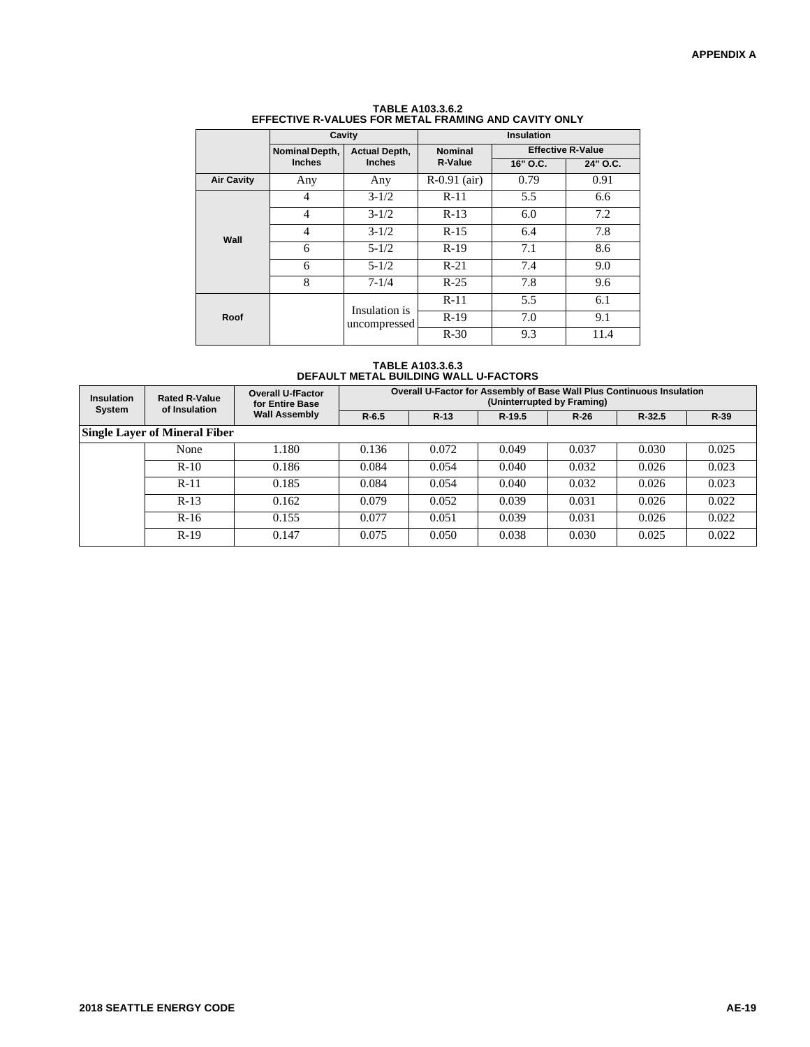|                        | Cavity         |                               |                | <b>Insulation</b>        |          |  |  |
|------------------------|----------------|-------------------------------|----------------|--------------------------|----------|--|--|
|                        | Nominal Depth, | <b>Actual Depth,</b>          | <b>Nominal</b> | <b>Effective R-Value</b> |          |  |  |
|                        | <b>Inches</b>  | <b>Inches</b><br>R-Value      |                | 16" O.C.                 | 24" O.C. |  |  |
| <b>Air Cavity</b>      | Any            | Any                           | $R-0.91$ (air) | 0.79                     | 0.91     |  |  |
|                        | $\overline{4}$ | $3 - 1/2$                     | $R-11$         | 5.5                      | 6.6      |  |  |
|                        | $\overline{4}$ | $3 - 1/2$                     | $R-13$         | 6.0                      | 7.2      |  |  |
| $\overline{4}$<br>Wall |                | $3 - 1/2$                     | $R-15$         | 6.4                      | 7.8      |  |  |
|                        | 6              | $5 - 1/2$                     | $R-19$         | 7.1                      | 8.6      |  |  |
|                        | 6              | $5 - 1/2$                     | $R-21$         | 7.4                      | 9.0      |  |  |
|                        | 8              | $7 - 1/4$                     | $R-25$         | 7.8                      | 9.6      |  |  |
|                        |                |                               | $R-11$         | 5.5                      | 6.1      |  |  |
| Roof                   |                | Insulation is<br>uncompressed | $R-19$         | 7.0                      | 9.1      |  |  |
|                        |                |                               | $R-30$         | 9.3                      | 11.4     |  |  |

**TABLE A103.3.6.2 EFFECTIVE R-VALUES FOR METAL FRAMING AND CAVITY ONLY**

**TABLE A103.3.6.3 DEFAULT METAL BUILDING WALL U-FACTORS**

| <b>Rated R-Value</b><br><b>Insulation</b><br>of Insulation<br>System |                                      | <b>Overall U-fFactor</b><br>for Entire Base | <b>Overall U-Factor for Assembly of Base Wall Plus Continuous Insulation</b><br>(Uninterrupted by Framing) |        |        |       |       |       |
|----------------------------------------------------------------------|--------------------------------------|---------------------------------------------|------------------------------------------------------------------------------------------------------------|--------|--------|-------|-------|-------|
|                                                                      |                                      | <b>Wall Assembly</b>                        | $R - 6.5$                                                                                                  | $R-13$ | $R-39$ |       |       |       |
|                                                                      | <b>Single Layer of Mineral Fiber</b> |                                             |                                                                                                            |        |        |       |       |       |
|                                                                      | None                                 | 1.180                                       | 0.136                                                                                                      | 0.072  | 0.049  | 0.037 | 0.030 | 0.025 |
|                                                                      | $R-10$                               | 0.186                                       | 0.084                                                                                                      | 0.054  | 0.040  | 0.032 | 0.026 | 0.023 |
|                                                                      | $R-11$                               | 0.185                                       | 0.084                                                                                                      | 0.054  | 0.040  | 0.032 | 0.026 | 0.023 |
|                                                                      | $R-13$                               | 0.162                                       | 0.079                                                                                                      | 0.052  | 0.039  | 0.031 | 0.026 | 0.022 |
|                                                                      | $R-16$                               | 0.155                                       | 0.077                                                                                                      | 0.051  | 0.039  | 0.031 | 0.026 | 0.022 |
|                                                                      | $R-19$                               | 0.147                                       | 0.075                                                                                                      | 0.050  | 0.038  | 0.030 | 0.025 | 0.022 |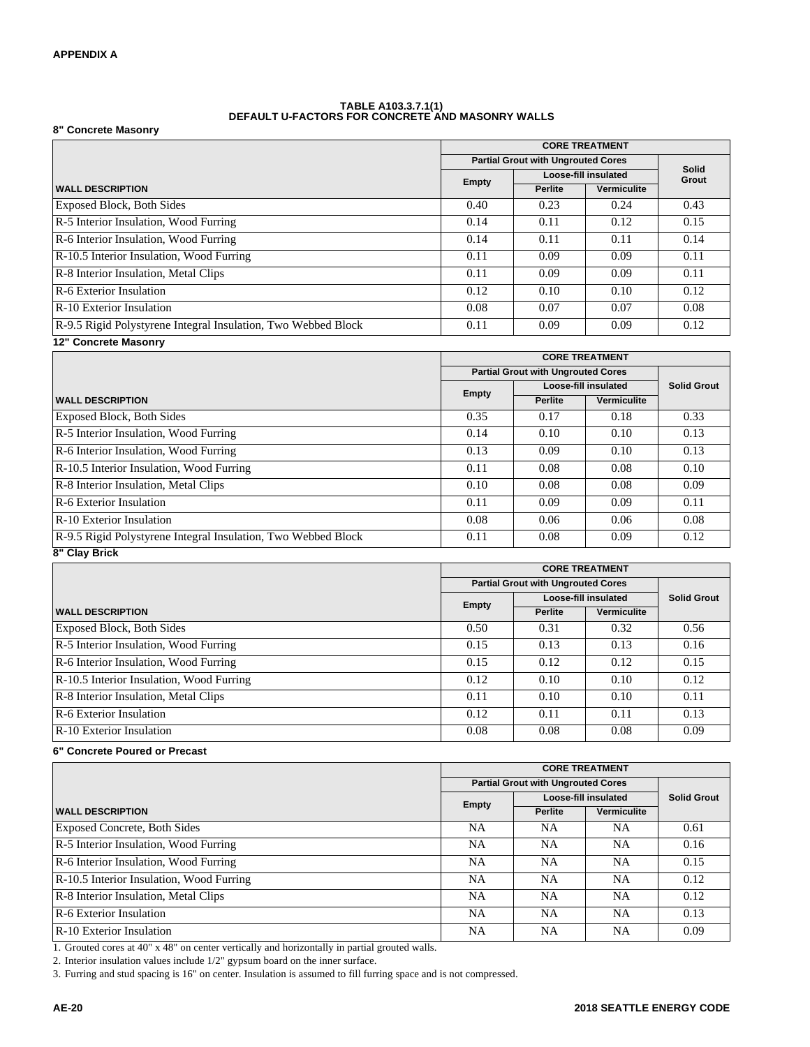#### **TABLE A103.3.7.1(1) DEFAULT U-FACTORS FOR CONCRETE AND MASONRY WALLS**

**8" Concrete Masonry**

|                                                               |                                           | <b>CORE TREATMENT</b> |                      |       |  |
|---------------------------------------------------------------|-------------------------------------------|-----------------------|----------------------|-------|--|
|                                                               | <b>Partial Grout with Ungrouted Cores</b> | Solid                 |                      |       |  |
|                                                               |                                           |                       | Loose-fill insulated | Grout |  |
| <b>WALL DESCRIPTION</b>                                       | Empty                                     | <b>Perlite</b>        | Vermiculite          |       |  |
| <b>Exposed Block, Both Sides</b>                              | 0.40                                      | 0.23                  | 0.24                 | 0.43  |  |
| R-5 Interior Insulation, Wood Furring                         | 0.14                                      | 0.11                  | 0.12                 | 0.15  |  |
| R-6 Interior Insulation, Wood Furring                         | 0.14                                      | 0.11                  | 0.11                 | 0.14  |  |
| R-10.5 Interior Insulation, Wood Furring                      | 0.11                                      | 0.09                  | 0.09                 | 0.11  |  |
| R-8 Interior Insulation, Metal Clips                          | 0.11                                      | 0.09                  | 0.09                 | 0.11  |  |
| R-6 Exterior Insulation                                       | 0.12                                      | 0.10                  | 0.10                 | 0.12  |  |
| <b>R-10</b> Exterior Insulation                               | 0.08                                      | 0.07                  | 0.07                 | 0.08  |  |
| R-9.5 Rigid Polystyrene Integral Insulation, Two Webbed Block | 0.11                                      | 0.09                  | 0.09                 | 0.12  |  |
| 12" Concrete Masonry                                          |                                           |                       |                      |       |  |

|                                                               |       | <b>CORE TREATMENT</b>                     |                      |                    |  |
|---------------------------------------------------------------|-------|-------------------------------------------|----------------------|--------------------|--|
|                                                               |       | <b>Partial Grout with Ungrouted Cores</b> |                      |                    |  |
|                                                               | Empty |                                           | Loose-fill insulated | <b>Solid Grout</b> |  |
| <b>WALL DESCRIPTION</b>                                       |       | <b>Perlite</b>                            | Vermiculite          |                    |  |
| <b>Exposed Block, Both Sides</b>                              | 0.35  | 0.17                                      | 0.18                 | 0.33               |  |
| R-5 Interior Insulation, Wood Furring                         | 0.14  | 0.10                                      | 0.10                 | 0.13               |  |
| R-6 Interior Insulation, Wood Furring                         | 0.13  | 0.09                                      | 0.10                 | 0.13               |  |
| R-10.5 Interior Insulation, Wood Furring                      | 0.11  | 0.08                                      | 0.08                 | 0.10               |  |
| R-8 Interior Insulation, Metal Clips                          | 0.10  | 0.08                                      | 0.08                 | 0.09               |  |
| R-6 Exterior Insulation                                       | 0.11  | 0.09                                      | 0.09                 | 0.11               |  |
| <b>R-10 Exterior Insulation</b>                               | 0.08  | 0.06                                      | 0.06                 | 0.08               |  |
| R-9.5 Rigid Polystyrene Integral Insulation, Two Webbed Block | 0.11  | 0.08                                      | 0.09                 | 0.12               |  |
| 8" Clay Brick                                                 |       |                                           |                      |                    |  |

|                                          | <b>CORE TREATMENT</b>                     |                |                      |                    |
|------------------------------------------|-------------------------------------------|----------------|----------------------|--------------------|
|                                          | <b>Partial Grout with Ungrouted Cores</b> |                |                      |                    |
|                                          | <b>Empty</b>                              |                | Loose-fill insulated | <b>Solid Grout</b> |
| <b>WALL DESCRIPTION</b>                  |                                           | <b>Perlite</b> | Vermiculite          |                    |
| <b>Exposed Block, Both Sides</b>         | 0.50                                      | 0.31           | 0.32                 | 0.56               |
| R-5 Interior Insulation, Wood Furring    | 0.15                                      | 0.13           | 0.13                 | 0.16               |
| R-6 Interior Insulation, Wood Furring    | 0.15                                      | 0.12           | 0.12                 | 0.15               |
| R-10.5 Interior Insulation, Wood Furring | 0.12                                      | 0.10           | 0.10                 | 0.12               |
| R-8 Interior Insulation, Metal Clips     | 0.11                                      | 0.10           | 0.10                 | 0.11               |
| R-6 Exterior Insulation                  | 0.12                                      | 0.11           | 0.11                 | 0.13               |
| <b>R-10</b> Exterior Insulation          | 0.08                                      | 0.08           | 0.08                 | 0.09               |

#### **6" Concrete Poured or Precast**

|                                          | <b>CORE TREATMENT</b>                                             |                |             |                    |
|------------------------------------------|-------------------------------------------------------------------|----------------|-------------|--------------------|
|                                          | <b>Partial Grout with Ungrouted Cores</b><br>Loose-fill insulated |                |             |                    |
|                                          | Empty                                                             |                |             | <b>Solid Grout</b> |
| <b>WALL DESCRIPTION</b>                  |                                                                   | <b>Perlite</b> | Vermiculite |                    |
| <b>Exposed Concrete, Both Sides</b>      | NA.                                                               | NA             | NA          | 0.61               |
| R-5 Interior Insulation, Wood Furring    | NA.                                                               | NA.            | NA          | 0.16               |
| R-6 Interior Insulation, Wood Furring    | NA.                                                               | <b>NA</b>      | <b>NA</b>   | 0.15               |
| R-10.5 Interior Insulation, Wood Furring | NA.                                                               | <b>NA</b>      | <b>NA</b>   | 0.12               |
| R-8 Interior Insulation, Metal Clips     | NA.                                                               | <b>NA</b>      | <b>NA</b>   | 0.12               |
| R-6 Exterior Insulation                  | NA.                                                               | <b>NA</b>      | <b>NA</b>   | 0.13               |
| R-10 Exterior Insulation                 | NA.                                                               | <b>NA</b>      | <b>NA</b>   | 0.09               |

1. Grouted cores at 40" x 48" on center vertically and horizontally in partial grouted walls.

2. Interior insulation values include 1/2" gypsum board on the inner surface.

3. Furring and stud spacing is 16" on center. Insulation is assumed to fill furring space and is not compressed.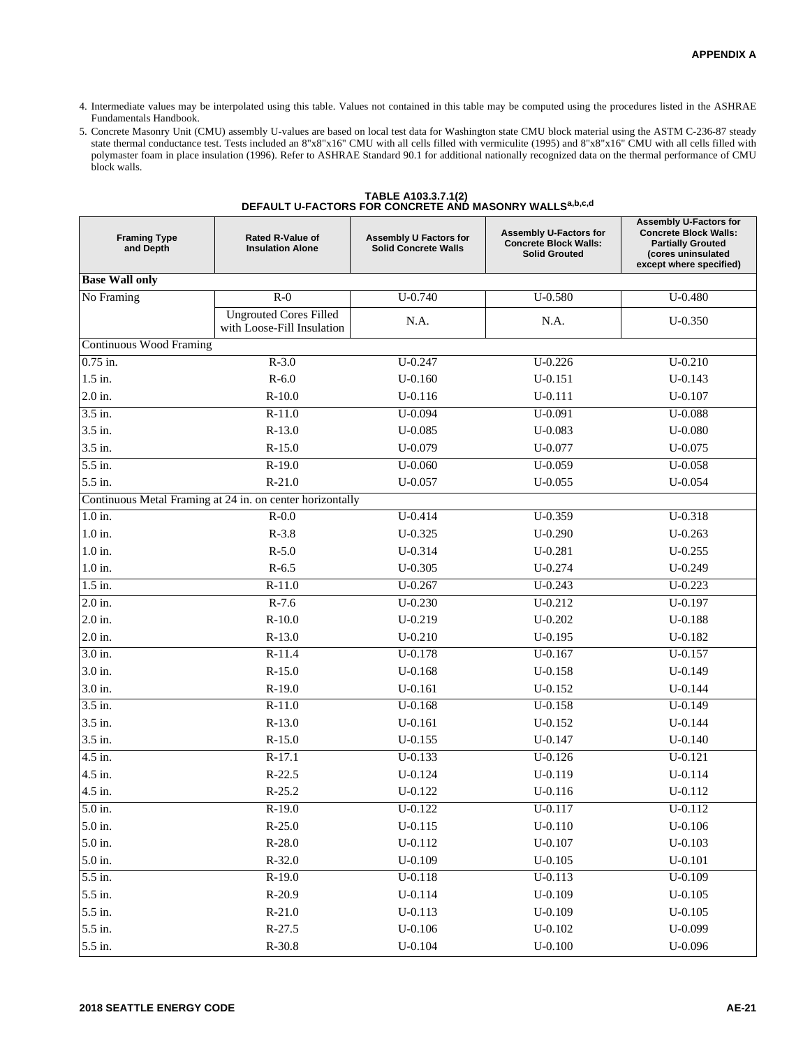- 4. Intermediate values may be interpolated using this table. Values not contained in this table may be computed using the procedures listed in the ASHRAE Fundamentals Handbook.
- 5. Concrete Masonry Unit (CMU) assembly U-values are based on local test data for Washington state CMU block material using the ASTM C-236-87 steady state thermal conductance test. Tests included an 8"x8"x16" CMU with all cells filled with vermiculite (1995) and 8"x8"x16" CMU with all cells filled with polymaster foam in place insulation (1996). Refer to ASHRAE Standard 90.1 for additional nationally recognized data on the thermal performance of CMU block walls.

| TABLE A103.3.7.1(2)                                     |
|---------------------------------------------------------|
| DEFAULT U-FACTORS FOR CONCRETE AND MASONRY WALLSa,b,c,d |

| <b>Framing Type</b><br>and Depth | <b>Rated R-Value of</b><br><b>Insulation Alone</b>          | Assembly U Factors for<br><b>Solid Concrete Walls</b> | <b>Assembly U-Factors for</b><br><b>Concrete Block Walls:</b><br><b>Solid Grouted</b> | <b>Assembly U-Factors for</b><br><b>Concrete Block Walls:</b><br><b>Partially Grouted</b><br>(cores uninsulated<br>except where specified) |
|----------------------------------|-------------------------------------------------------------|-------------------------------------------------------|---------------------------------------------------------------------------------------|--------------------------------------------------------------------------------------------------------------------------------------------|
| <b>Base Wall only</b>            |                                                             |                                                       |                                                                                       |                                                                                                                                            |
| No Framing                       | $R-0$                                                       | $U - 0.740$                                           | $U - 0.580$                                                                           | $U - 0.480$                                                                                                                                |
|                                  | <b>Ungrouted Cores Filled</b><br>with Loose-Fill Insulation | N.A.                                                  | N.A.                                                                                  | $U-0.350$                                                                                                                                  |
| <b>Continuous Wood Framing</b>   |                                                             |                                                       |                                                                                       |                                                                                                                                            |
| $0.75$ in.                       | $R-3.0$                                                     | $U - 0.247$                                           | $U-0.226$                                                                             | $U - 0.210$                                                                                                                                |
| $1.5$ in.                        | $R-6.0$                                                     | $U-0.160$                                             | $U-0.151$                                                                             | $U-0.143$                                                                                                                                  |
| 2.0 in.                          | $R-10.0$                                                    | $U-0.116$                                             | $U-0.111$                                                                             | $U-0.107$                                                                                                                                  |
| 3.5 in.                          | $R-11.0$                                                    | $U-0.094$                                             | $U-0.091$                                                                             | $U-0.088$                                                                                                                                  |
| 3.5 in.                          | $R-13.0$                                                    | $U - 0.085$                                           | $U-0.083$                                                                             | $U-0.080$                                                                                                                                  |
| 3.5 in.                          | $R-15.0$                                                    | $U-0.079$                                             | $U - 0.077$                                                                           | $U-0.075$                                                                                                                                  |
| 5.5 in.                          | $R-19.0$                                                    | $U - 0.060$                                           | $U - 0.059$                                                                           | $U - 0.058$                                                                                                                                |
| 5.5 in.                          | $R-21.0$                                                    | $U - 0.057$                                           | $U - 0.055$                                                                           | $U - 0.054$                                                                                                                                |
|                                  | Continuous Metal Framing at 24 in. on center horizontally   |                                                       |                                                                                       |                                                                                                                                            |
| $1.0$ in.                        | $R-0.0$                                                     | $U - 0.414$                                           | $U-0.359$                                                                             | $U - 0.318$                                                                                                                                |
| $1.0$ in.                        | $R-3.8$                                                     | $U-0.325$                                             | $U-0.290$                                                                             | $U-0.263$                                                                                                                                  |
| $1.0$ in.                        | $R-5.0$                                                     | $U - 0.314$                                           | $U-0.281$                                                                             | $U-0.255$                                                                                                                                  |
| $1.0$ in.                        | $R-6.5$                                                     | $U-0.305$                                             | $U - 0.274$                                                                           | $U-0.249$                                                                                                                                  |
| $1.5$ in.                        | $R-11.0$                                                    | $U - 0.267$                                           | $U - 0.243$                                                                           | $U-0.223$                                                                                                                                  |
| 2.0 in.                          | $R-7.6$                                                     | $U-0.230$                                             | $U - 0.212$                                                                           | $U-0.197$                                                                                                                                  |
| 2.0 in.                          | $R-10.0$                                                    | $U-0.219$                                             | $U-0.202$                                                                             | $U-0.188$                                                                                                                                  |
| 2.0 in.                          | $R-13.0$                                                    | $U-0.210$                                             | $U-0.195$                                                                             | U-0.182                                                                                                                                    |
| 3.0 in.                          | $R-11.4$                                                    | $U-0.178$                                             | $U-0.167$                                                                             | $U - 0.157$                                                                                                                                |
| 3.0 in.                          | $R-15.0$                                                    | $U-0.168$                                             | $U - 0.158$                                                                           | $U-0.149$                                                                                                                                  |
| 3.0 in.                          | $R-19.0$                                                    | $U-0.161$                                             | $U-0.152$                                                                             | $U-0.144$                                                                                                                                  |
| 3.5 in.                          | $R-11.0$                                                    | $U-0.168$                                             | $U-0.158$                                                                             | $U - 0.149$                                                                                                                                |
| 3.5 in.                          | $R-13.0$                                                    | $U-0.161$                                             | $U-0.152$                                                                             | $U-0.144$                                                                                                                                  |
| 3.5 in.                          | $R-15.0$                                                    | $U-0.155$                                             | $U-0.147$                                                                             | $U-0.140$                                                                                                                                  |
| 4.5 in.                          | $R-17.1$                                                    | $U-0.133$                                             | $U-0.126$                                                                             | $U-0.121$                                                                                                                                  |
| 4.5 in.                          | $R-22.5$                                                    | $U-0.124$                                             | $U-0.119$                                                                             | $U-0.114$                                                                                                                                  |
| 4.5 in.                          | $R-25.2$                                                    | $U-0.122$                                             | $U-0.116$                                                                             | $U-0.112$                                                                                                                                  |
| $5.0$ in.                        | $R-19.0$                                                    | $U - 0.122$                                           | $U-0.117$                                                                             | $U-0.112$                                                                                                                                  |
| 5.0 in.                          | $R-25.0$                                                    | $U-0.115$                                             | $U-0.110$                                                                             | $U-0.106$                                                                                                                                  |
| 5.0 in.                          | $R-28.0$                                                    | $U-0.112$                                             | $U-0.107$                                                                             | $U-0.103$                                                                                                                                  |
| 5.0 in.                          | $R-32.0$                                                    | $U-0.109$                                             | $U-0.105$                                                                             | $U-0.101$                                                                                                                                  |
| 5.5 in.                          | $R-19.0$                                                    | $U - 0.118$                                           | $U - 0.113$                                                                           | $U-0.109$                                                                                                                                  |
| 5.5 in.                          | $R-20.9$                                                    | $U - 0.114$                                           | $U-0.109$                                                                             | $U-0.105$                                                                                                                                  |
| 5.5 in.                          | $R-21.0$                                                    | $U - 0.113$                                           | $U-0.109$                                                                             | $U-0.105$                                                                                                                                  |
| 5.5 in.                          | $R-27.5$                                                    | $U-0.106$                                             | $U-0.102$                                                                             | U-0.099                                                                                                                                    |
| 5.5 in.                          | $R-30.8$                                                    | $U - 0.104$                                           | $U-0.100$                                                                             | $U - 0.096$                                                                                                                                |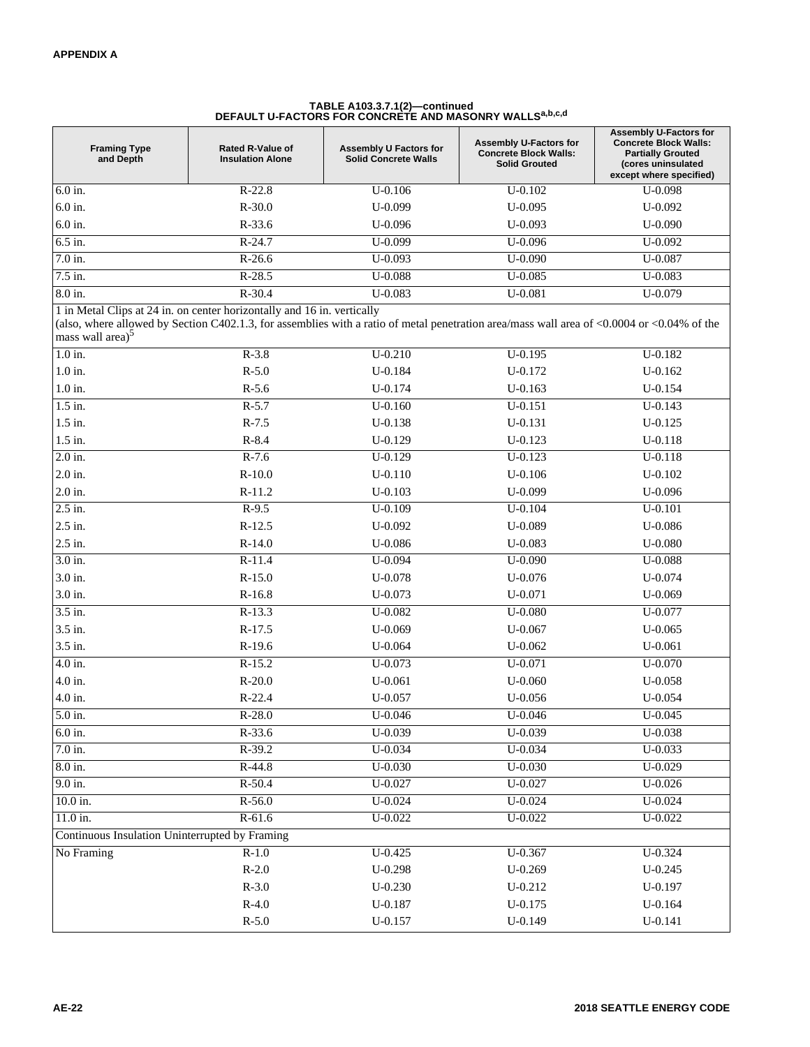## **TABLE A103.3.7.1(2)—continued DEFAULT U-FACTORS FOR CONCRETE AND MASONRY WALLSa,b,c,d**

| <b>Framing Type</b><br>and Depth                                                                        | <b>Rated R-Value of</b><br><b>Insulation Alone</b> | Assembly U Factors for<br><b>Solid Concrete Walls</b>                                                                                      | <b>Assembly U-Factors for</b><br><b>Concrete Block Walls:</b><br><b>Solid Grouted</b> | <b>Assembly U-Factors for</b><br><b>Concrete Block Walls:</b><br><b>Partially Grouted</b><br>(cores uninsulated<br>except where specified) |
|---------------------------------------------------------------------------------------------------------|----------------------------------------------------|--------------------------------------------------------------------------------------------------------------------------------------------|---------------------------------------------------------------------------------------|--------------------------------------------------------------------------------------------------------------------------------------------|
| 6.0 in.                                                                                                 | $R-22.8$                                           | $U-0.106$                                                                                                                                  | $U - 0.102$                                                                           | $U-0.098$                                                                                                                                  |
| 6.0 in.                                                                                                 | $R-30.0$                                           | $U-0.099$                                                                                                                                  | $U-0.095$                                                                             | $U-0.092$                                                                                                                                  |
| 6.0 in.                                                                                                 | $R-33.6$                                           | $U-0.096$                                                                                                                                  | $U-0.093$                                                                             | $U-0.090$                                                                                                                                  |
| $6.5$ in.                                                                                               | $R-24.7$                                           | U-0.099                                                                                                                                    | U-0.096                                                                               | U-0.092                                                                                                                                    |
| 7.0 in.                                                                                                 | $R-26.6$                                           | U-0.093                                                                                                                                    | $U-0.090$                                                                             | U-0.087                                                                                                                                    |
| 7.5 in.                                                                                                 | $R-28.5$                                           | $U - 0.088$                                                                                                                                | $U - 0.085$                                                                           | U-0.083                                                                                                                                    |
| 8.0 in.                                                                                                 | $R-30.4$                                           | $U-0.083$                                                                                                                                  | $U - 0.081$                                                                           | U-0.079                                                                                                                                    |
| 1 in Metal Clips at 24 in. on center horizontally and 16 in. vertically<br>mass wall area) <sup>5</sup> |                                                    | (also, where allowed by Section C402.1.3, for assemblies with a ratio of metal penetration area/mass wall area of <0.0004 or <0.04% of the |                                                                                       |                                                                                                                                            |
| $1.0$ in.                                                                                               | $R-3.8$                                            | $U - 0.210$                                                                                                                                | $U-0.195$                                                                             | $U-0.182$                                                                                                                                  |
| $1.0$ in.                                                                                               | $R-5.0$                                            | $U - 0.184$                                                                                                                                | U-0.172                                                                               | $U-0.162$                                                                                                                                  |
| $1.0$ in.                                                                                               | $R-5.6$                                            | $U - 0.174$                                                                                                                                | $U-0.163$                                                                             | $U - 0.154$                                                                                                                                |
| $1.5$ in.                                                                                               | $R-5.7$                                            | $U-0.160$                                                                                                                                  | $U-0.151$                                                                             | $U-0.143$                                                                                                                                  |
| 1.5 in.                                                                                                 | $R-7.5$                                            | $U-0.138$                                                                                                                                  | U-0.131                                                                               | $U-0.125$                                                                                                                                  |
| 1.5 in.                                                                                                 | $R-8.4$                                            | $U-0.129$                                                                                                                                  | U-0.123                                                                               | $U-0.118$                                                                                                                                  |
| 2.0 in.                                                                                                 | $R-7.6$                                            | $U-0.129$                                                                                                                                  | U-0.123                                                                               | $U-0.118$                                                                                                                                  |
| 2.0 in.                                                                                                 | $R-10.0$                                           | $U-0.110$                                                                                                                                  | $U-0.106$                                                                             | $U-0.102$                                                                                                                                  |
| 2.0 in.                                                                                                 | $R-11.2$                                           | $U-0.103$                                                                                                                                  | U-0.099                                                                               | $U-0.096$                                                                                                                                  |
| 2.5 in.                                                                                                 | $R-9.5$                                            | $U-0.109$                                                                                                                                  | $U - 0.104$                                                                           | $U-0.101$                                                                                                                                  |
| 2.5 in.                                                                                                 | $R-12.5$                                           | $U-0.092$                                                                                                                                  | U-0.089                                                                               | $U-0.086$                                                                                                                                  |
| 2.5 in.                                                                                                 | $R-14.0$                                           | $U - 0.086$                                                                                                                                | $U-0.083$                                                                             | $U-0.080$                                                                                                                                  |
| $3.0$ in.                                                                                               | $R-11.4$                                           | U-0.094                                                                                                                                    | $U-0.090$                                                                             | $U-0.088$                                                                                                                                  |
| 3.0 in.                                                                                                 | $R-15.0$                                           | $U - 0.078$                                                                                                                                | $U - 0.076$                                                                           | $U - 0.074$                                                                                                                                |
| 3.0 in.                                                                                                 | $R-16.8$                                           | $U - 0.073$                                                                                                                                | U-0.071                                                                               | $U-0.069$                                                                                                                                  |
| 3.5 in.                                                                                                 | $R-13.3$                                           | $U - 0.082$                                                                                                                                | $U - 0.080$                                                                           | U-0.077                                                                                                                                    |
| 3.5 in.                                                                                                 | $R-17.5$                                           | $U-0.069$                                                                                                                                  | $U - 0.067$                                                                           | $U-0.065$                                                                                                                                  |
| 3.5 in.                                                                                                 | $R-19.6$                                           | $U - 0.064$                                                                                                                                | $U - 0.062$                                                                           | $U-0.061$                                                                                                                                  |
| 4.0 in.                                                                                                 | $R-15.2$                                           | U-0.073                                                                                                                                    | U-0.071                                                                               | $U - 0.070$                                                                                                                                |
| 4.0 in.                                                                                                 | $R-20.0$                                           | $U - 0.061$                                                                                                                                | $U - 0.060$                                                                           | $U-0.058$                                                                                                                                  |
| 4.0 in.                                                                                                 | $R-22.4$                                           | $U - 0.057$                                                                                                                                | $U - 0.056$                                                                           | $U - 0.054$                                                                                                                                |
| 5.0 in.                                                                                                 | $R-28.0$                                           | $U - 0.046$                                                                                                                                | $U - 0.046$                                                                           | $U - 0.045$                                                                                                                                |
| $6.0$ in.                                                                                               | $R-33.6$                                           | $U - 0.039$                                                                                                                                | $U - 0.039$                                                                           | $U - 0.038$                                                                                                                                |
| 7.0 in.                                                                                                 | $R-39.2$                                           | $U - 0.034$                                                                                                                                | $U - 0.034$                                                                           | $U - 0.033$                                                                                                                                |
| $8.0$ in.                                                                                               | R-44.8                                             | $U - 0.030$                                                                                                                                | $U - 0.030$                                                                           | $U-0.029$                                                                                                                                  |
| $9.0$ in.                                                                                               | $R-50.4$                                           | $U - 0.027$                                                                                                                                | $U - 0.027$                                                                           | $U - 0.026$                                                                                                                                |
| 10.0 in.                                                                                                | $R-56.0$                                           | $U - 0.024$                                                                                                                                | $U - 0.024$                                                                           | $U - 0.024$                                                                                                                                |
| 11.0 in.                                                                                                | $R-61.6$                                           | $U - 0.022$                                                                                                                                | $U - 0.022$                                                                           | $U - 0.022$                                                                                                                                |
| Continuous Insulation Uninterrupted by Framing                                                          |                                                    |                                                                                                                                            |                                                                                       |                                                                                                                                            |
| No Framing                                                                                              | $R-1.0$                                            | $U - 0.425$                                                                                                                                | $U - 0.367$                                                                           | $U - 0.324$                                                                                                                                |
|                                                                                                         | $R-2.0$                                            | $U-0.298$                                                                                                                                  | $U-0.269$                                                                             | $U-0.245$                                                                                                                                  |
|                                                                                                         | $R-3.0$                                            | $U - 0.230$                                                                                                                                | U-0.212                                                                               | $U-0.197$                                                                                                                                  |
|                                                                                                         | $R-4.0$                                            | $U-0.187$                                                                                                                                  | U-0.175                                                                               | $U-0.164$                                                                                                                                  |
|                                                                                                         | $R-5.0$                                            | $U - 0.157$                                                                                                                                | $U-0.149$                                                                             | $U-0.141$                                                                                                                                  |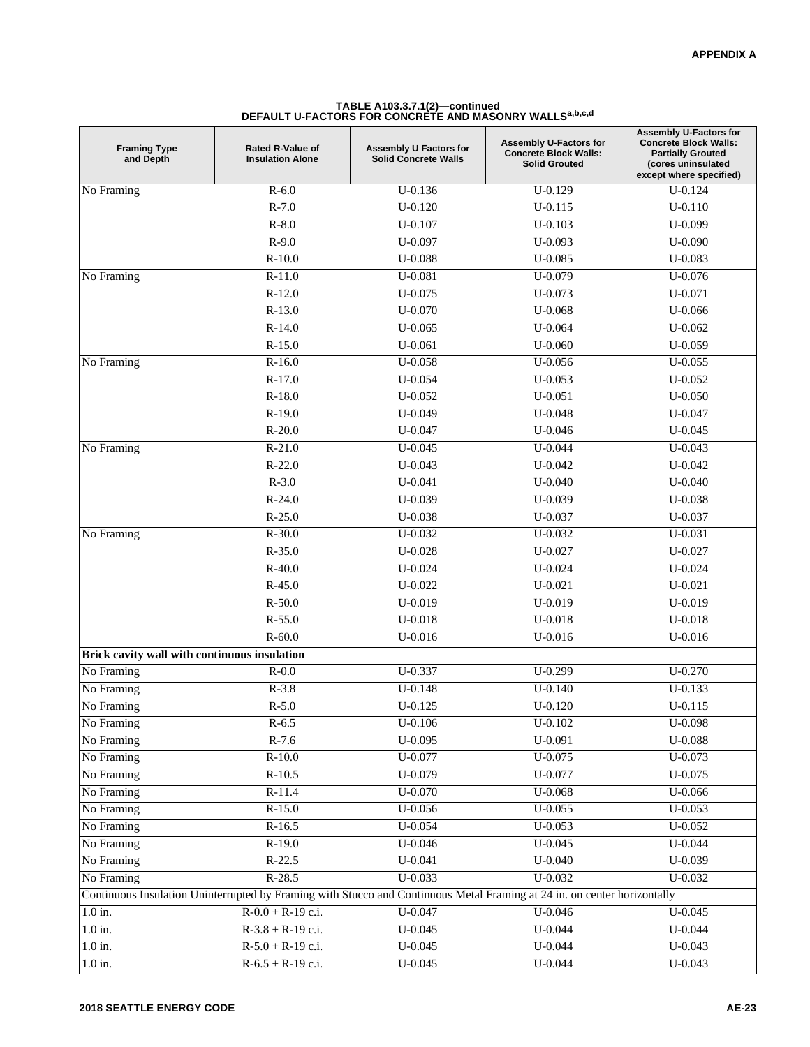| <b>Framing Type</b><br>and Depth             | <b>Rated R-Value of</b><br><b>Insulation Alone</b> | <b>Assembly U Factors for</b><br><b>Solid Concrete Walls</b>                                                             | <b>Assembly U-Factors for</b><br><b>Concrete Block Walls:</b><br><b>Solid Grouted</b> | <b>Assembly U-Factors for</b><br><b>Concrete Block Walls:</b><br><b>Partially Grouted</b><br>(cores uninsulated<br>except where specified) |
|----------------------------------------------|----------------------------------------------------|--------------------------------------------------------------------------------------------------------------------------|---------------------------------------------------------------------------------------|--------------------------------------------------------------------------------------------------------------------------------------------|
| No Framing                                   | $R-6.0$                                            | $U-0.136$                                                                                                                | $U-0.129$                                                                             | $U - 0.124$                                                                                                                                |
|                                              | $R-7.0$                                            | $U-0.120$                                                                                                                | $U-0.115$                                                                             | $U-0.110$                                                                                                                                  |
|                                              | $R-8.0$                                            | $U-0.107$                                                                                                                | $U-0.103$                                                                             | $U-0.099$                                                                                                                                  |
|                                              | $R-9.0$                                            | $U-0.097$                                                                                                                | $U-0.093$                                                                             | $U-0.090$                                                                                                                                  |
|                                              | $R-10.0$                                           | $U-0.088$                                                                                                                | $U - 0.085$                                                                           | $U-0.083$                                                                                                                                  |
| No Framing                                   | $R-11.0$                                           | U-0.081                                                                                                                  | U-0.079                                                                               | $U - 0.076$                                                                                                                                |
|                                              | $R-12.0$                                           | $U - 0.075$                                                                                                              | $U - 0.073$                                                                           | $U - 0.071$                                                                                                                                |
|                                              | $R-13.0$                                           | $U - 0.070$                                                                                                              | $U-0.068$                                                                             | $U - 0.066$                                                                                                                                |
|                                              | $R-14.0$                                           | $U - 0.065$                                                                                                              | $U - 0.064$                                                                           | $U - 0.062$                                                                                                                                |
|                                              | $R-15.0$                                           | $U - 0.061$                                                                                                              | $U-0.060$                                                                             | $U-0.059$                                                                                                                                  |
| No Framing                                   | $R-16.0$                                           | $U - 0.058$                                                                                                              | $U - 0.056$                                                                           | $U - 0.055$                                                                                                                                |
|                                              | $R-17.0$                                           | $U - 0.054$                                                                                                              | $U - 0.053$                                                                           | $U - 0.052$                                                                                                                                |
|                                              | $R-18.0$                                           | $U - 0.052$                                                                                                              | $U - 0.051$                                                                           | $U - 0.050$                                                                                                                                |
|                                              | $R-19.0$                                           | $U-0.049$                                                                                                                | $U - 0.048$                                                                           | $U - 0.047$                                                                                                                                |
|                                              | $R-20.0$                                           | $U - 0.047$                                                                                                              | $U - 0.046$                                                                           | $U - 0.045$                                                                                                                                |
| No Framing                                   | $R-21.0$                                           | $U - 0.045$                                                                                                              | U-0.044                                                                               | $U - 0.043$                                                                                                                                |
|                                              | $R-22.0$                                           | $U - 0.043$                                                                                                              | U-0.042                                                                               | $U - 0.042$                                                                                                                                |
|                                              | $R-3.0$                                            | $U - 0.041$                                                                                                              | $U - 0.040$                                                                           | $U - 0.040$                                                                                                                                |
|                                              | $R-24.0$                                           | $U-0.039$                                                                                                                | $U-0.039$                                                                             | $U-0.038$                                                                                                                                  |
|                                              | $R-25.0$                                           | $U - 0.038$                                                                                                              | $U - 0.037$                                                                           | $U - 0.037$                                                                                                                                |
| No Framing                                   | $R-30.0$                                           | $U - 0.032$                                                                                                              | U-0.032                                                                               | $U - 0.031$                                                                                                                                |
|                                              | $R-35.0$                                           | $U - 0.028$                                                                                                              | $U - 0.027$                                                                           | $U - 0.027$                                                                                                                                |
|                                              | $R-40.0$                                           | $U - 0.024$                                                                                                              | $U - 0.024$                                                                           | $U - 0.024$                                                                                                                                |
|                                              | $R-45.0$                                           | $U-0.022$                                                                                                                | $U-0.021$                                                                             | $U - 0.021$                                                                                                                                |
|                                              | $R - 50.0$                                         | $U - 0.019$                                                                                                              | $U-0.019$                                                                             | $U-0.019$                                                                                                                                  |
|                                              | $R-55.0$                                           | $U - 0.018$                                                                                                              | $U - 0.018$                                                                           | $U - 0.018$                                                                                                                                |
|                                              | $R - 60.0$                                         | $U - 0.016$                                                                                                              | $U - 0.016$                                                                           | $U - 0.016$                                                                                                                                |
| Brick cavity wall with continuous insulation |                                                    |                                                                                                                          |                                                                                       |                                                                                                                                            |
| No Framing                                   | $R-0.0$                                            | $U - 0.337$                                                                                                              | $U-0.299$                                                                             | $U-0.270$                                                                                                                                  |
| No Framing                                   | $R-3.8$                                            | $U - 0.148$                                                                                                              | $U - 0.140$                                                                           | $U - 0.133$                                                                                                                                |
| No Framing                                   | $R-5.0$                                            | $U - 0.125$                                                                                                              | $U-0.120$                                                                             | $U-0.115$                                                                                                                                  |
| No Framing                                   | $R-6.5$                                            | $U-0.106$                                                                                                                | $U-0.102$                                                                             | $U-0.098$                                                                                                                                  |
| No Framing                                   | $R-7.6$                                            | $U - 0.095$                                                                                                              | $U - 0.091$                                                                           | $U - 0.088$                                                                                                                                |
| No Framing                                   | $R-10.0$                                           | $U - 0.077$                                                                                                              | $U - 0.075$                                                                           | $U - 0.073$                                                                                                                                |
| No Framing                                   | $R-10.5$                                           | $U - 0.079$                                                                                                              | $U - 0.077$                                                                           | $U-0.075$                                                                                                                                  |
| No Framing                                   | $R-11.4$                                           | $U - 0.070$                                                                                                              | $U - 0.068$                                                                           | $U - 0.066$                                                                                                                                |
| No Framing                                   | $R-15.0$                                           | $U - 0.056$                                                                                                              | $U - 0.055$                                                                           | $U - 0.053$                                                                                                                                |
| No Framing                                   | $R-16.5$                                           | $U - 0.054$                                                                                                              | $U - 0.053$                                                                           | $U - 0.052$                                                                                                                                |
| No Framing                                   | $R-19.0$                                           | $U - 0.046$                                                                                                              | $U - 0.045$                                                                           | $U - 0.044$                                                                                                                                |
| No Framing                                   | $R-22.5$                                           | $U - 0.041$                                                                                                              | $U - 0.040$                                                                           | $U - 0.039$                                                                                                                                |
| No Framing                                   | $R-28.5$                                           | $U - 0.033$                                                                                                              | $U - 0.032$                                                                           | $U - 0.032$                                                                                                                                |
|                                              |                                                    | Continuous Insulation Uninterrupted by Framing with Stucco and Continuous Metal Framing at 24 in. on center horizontally |                                                                                       |                                                                                                                                            |
| $1.0$ in.                                    | $R-0.0 + R-19$ c.i.                                | $U - 0.047$                                                                                                              | $U - 0.046$                                                                           | $U - 0.045$                                                                                                                                |
|                                              |                                                    |                                                                                                                          |                                                                                       |                                                                                                                                            |
| $1.0$ in.                                    | $R-3.8 + R-19$ c.i.                                | $U - 0.045$                                                                                                              | $U - 0.044$                                                                           | $U - 0.044$                                                                                                                                |
| $1.0$ in.                                    | $R-5.0 + R-19$ c.i.                                | $U - 0.045$                                                                                                              | $U - 0.044$                                                                           | $U - 0.043$                                                                                                                                |
| $1.0$ in.                                    | $R-6.5 + R-19$ c.i.                                | $U - 0.045$                                                                                                              | $U - 0.044$                                                                           | $U - 0.043$                                                                                                                                |

## **TABLE A103.3.7.1(2)—continued DEFAULT U-FACTORS FOR CONCRETE AND MASONRY WALLSa,b,c,d**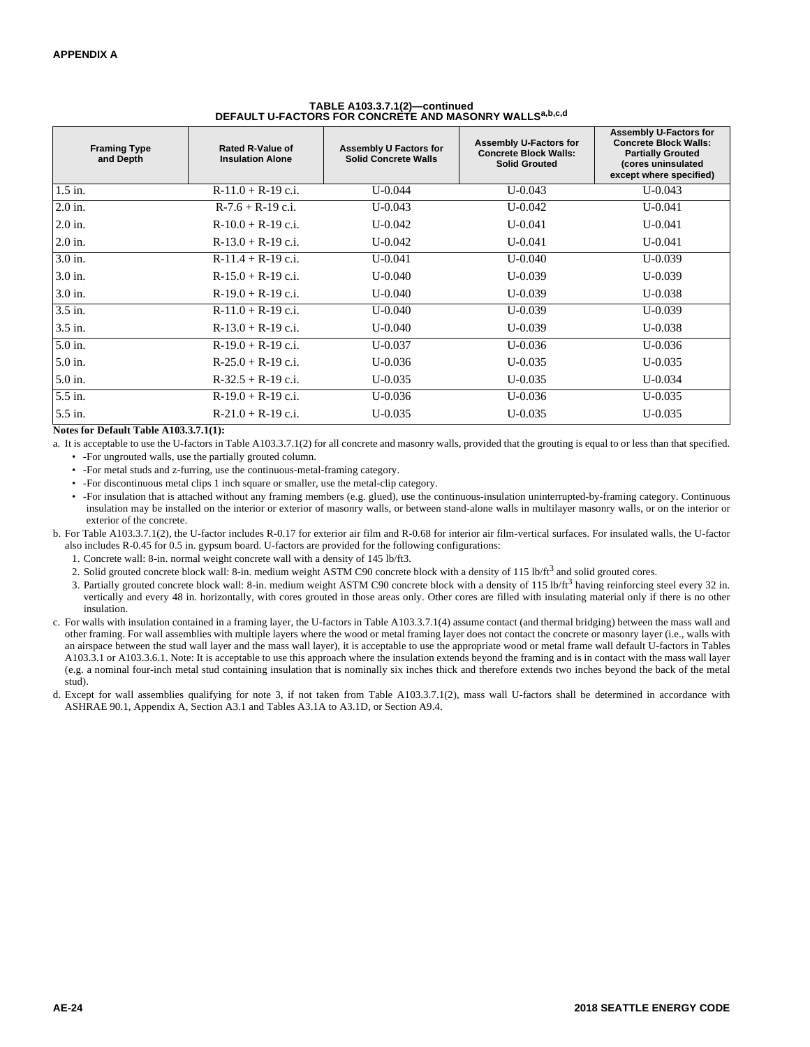| <b>Framing Type</b><br>and Depth | <b>Rated R-Value of</b><br><b>Insulation Alone</b> | Assembly U Factors for<br><b>Solid Concrete Walls</b> | <b>Assembly U-Factors for</b><br><b>Concrete Block Walls:</b><br><b>Solid Grouted</b> | <b>Assembly U-Factors for</b><br><b>Concrete Block Walls:</b><br><b>Partially Grouted</b><br>(cores uninsulated<br>except where specified) |
|----------------------------------|----------------------------------------------------|-------------------------------------------------------|---------------------------------------------------------------------------------------|--------------------------------------------------------------------------------------------------------------------------------------------|
| $1.5$ in.                        | $R-11.0 + R-19$ c.i.                               | $U - 0.044$                                           | $U - 0.043$                                                                           | $U - 0.043$                                                                                                                                |
| $2.0$ in.                        | $R-7.6 + R-19$ c.i.                                | $U - 0.043$                                           | $U - 0.042$                                                                           | $U-0.041$                                                                                                                                  |
| $2.0$ in.                        | $R-10.0 + R-19$ c.i.                               | $U - 0.042$                                           | $U - 0.041$                                                                           | $U-0.041$                                                                                                                                  |
| $2.0$ in.                        | $R-13.0 + R-19$ c.i.                               | $U - 0.042$                                           | $U - 0.041$                                                                           | $U-0.041$                                                                                                                                  |
| $3.0$ in.                        | $R-11.4 + R-19$ c.i.                               | $U - 0.041$                                           | U-0.040                                                                               | $U-0.039$                                                                                                                                  |
| $3.0$ in.                        | $R-15.0 + R-19$ c.i.                               | $U - 0.040$                                           | $U - 0.039$                                                                           | $U-0.039$                                                                                                                                  |
| 3.0 in.                          | $R-19.0 + R-19$ c.i.                               | $U - 0.040$                                           | $U - 0.039$                                                                           | $U - 0.038$                                                                                                                                |
| 3.5 in.                          | $R-11.0 + R-19$ c.i.                               | $U - 0.040$                                           | $U - 0.039$                                                                           | $U-0.039$                                                                                                                                  |
| 3.5 in.                          | $R-13.0 + R-19$ c.i.                               | $U - 0.040$                                           | $U - 0.039$                                                                           | $U - 0.038$                                                                                                                                |
| 5.0 in.                          | $R-19.0 + R-19$ c.i.                               | $U - 0.037$                                           | $U - 0.036$                                                                           | $U - 0.036$                                                                                                                                |
| 5.0 in.                          | $R-25.0 + R-19$ c.i.                               | $U - 0.036$                                           | $U - 0.035$                                                                           | $U - 0.035$                                                                                                                                |
| 5.0 in.                          | $R-32.5 + R-19$ c.i.                               | $U - 0.035$                                           | $U - 0.035$                                                                           | $U - 0.034$                                                                                                                                |
| 5.5 in.                          | $R-19.0 + R-19$ c.i.                               | $U - 0.036$                                           | $U - 0.036$                                                                           | $U - 0.035$                                                                                                                                |
| 5.5 in.                          | $R-21.0 + R-19$ c.i.                               | $U - 0.035$                                           | $U - 0.035$                                                                           | $U - 0.035$                                                                                                                                |

# **TABLE A103.3.7.1(2)—continued DEFAULT U-FACTORS FOR CONCRETE AND MASONRY WALLSa,b,c,d**

**Notes for Default Table A103.3.7.1(1):**

a. It is acceptable to use the U-factors in Table A103.3.7.1(2) for all concrete and masonry walls, provided that the grouting is equal to or less than that specified.

- -For ungrouted walls, use the partially grouted column.
- -For metal studs and z-furring, use the continuous-metal-framing category.
- -For discontinuous metal clips 1 inch square or smaller, use the metal-clip category.
- -For insulation that is attached without any framing members (e.g. glued), use the continuous-insulation uninterrupted-by-framing category. Continuous insulation may be installed on the interior or exterior of masonry walls, or between stand-alone walls in multilayer masonry walls, or on the interior or exterior of the concrete.
- b. For Table A103.3.7.1(2), the U-factor includes R-0.17 for exterior air film and R-0.68 for interior air film-vertical surfaces. For insulated walls, the U-factor also includes R-0.45 for 0.5 in. gypsum board. U-factors are provided for the following configurations:
	- 1. Concrete wall: 8-in. normal weight concrete wall with a density of 145 lb/ft3.
	- 2. Solid grouted concrete block wall: 8-in. medium weight ASTM C90 concrete block with a density of 115 lb/ft<sup>3</sup> and solid grouted cores.
	- 3. Partially grouted concrete block wall: 8-in. medium weight ASTM C90 concrete block with a density of 115 lb/ft<sup>3</sup> having reinforcing steel every 32 in. vertically and every 48 in. horizontally, with cores grouted in those areas only. Other cores are filled with insulating material only if there is no other insulation.
- c. For walls with insulation contained in a framing layer, the U-factors in Table A103.3.7.1(4) assume contact (and thermal bridging) between the mass wall and other framing. For wall assemblies with multiple layers where the wood or metal framing layer does not contact the concrete or masonry layer (i.e., walls with an airspace between the stud wall layer and the mass wall layer), it is acceptable to use the appropriate wood or metal frame wall default U-factors in Tables A103.3.1 or A103.3.6.1. Note: It is acceptable to use this approach where the insulation extends beyond the framing and is in contact with the mass wall layer (e.g. a nominal four-inch metal stud containing insulation that is nominally six inches thick and therefore extends two inches beyond the back of the metal stud).
- d. Except for wall assemblies qualifying for note 3, if not taken from Table A103.3.7.1(2), mass wall U-factors shall be determined in accordance with ASHRAE 90.1, Appendix A, Section A3.1 and Tables A3.1A to A3.1D, or Section A9.4.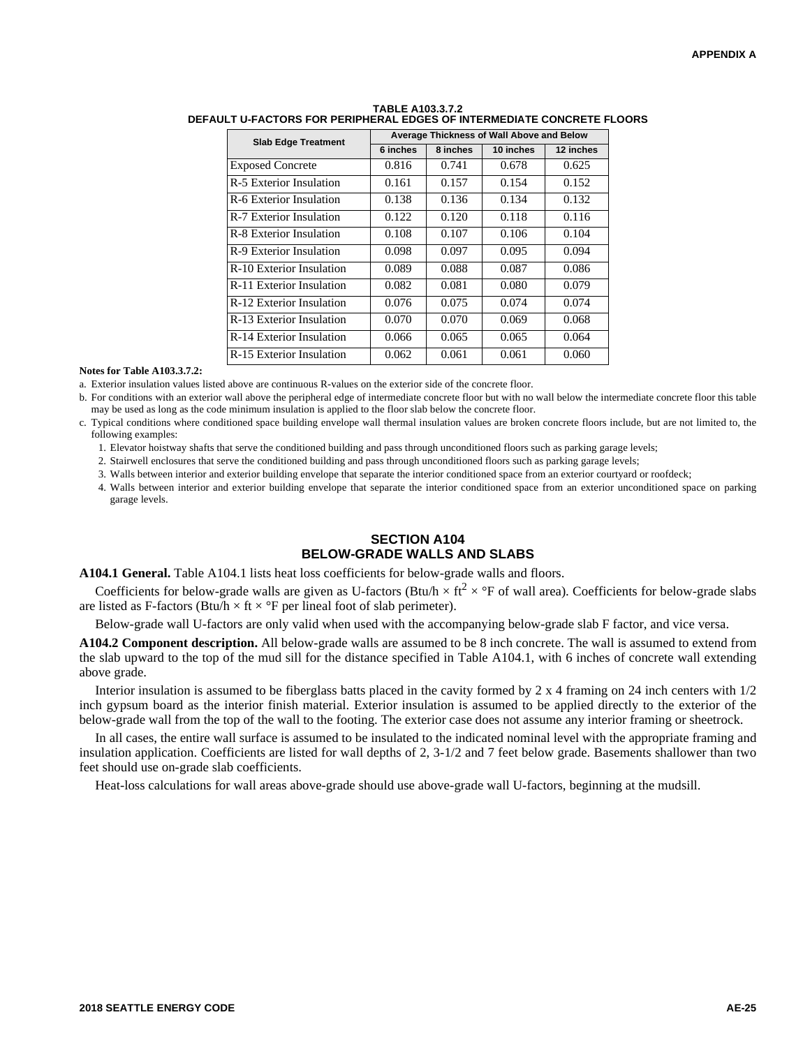| <b>Slab Edge Treatment</b> | Average Thickness of Wall Above and Below |          |           |           |  |
|----------------------------|-------------------------------------------|----------|-----------|-----------|--|
|                            | 6 inches                                  | 8 inches | 10 inches | 12 inches |  |
| <b>Exposed Concrete</b>    | 0.816                                     | 0.741    | 0.678     | 0.625     |  |
| R-5 Exterior Insulation    | 0.161                                     | 0.157    | 0.154     | 0.152     |  |
| R-6 Exterior Insulation    | 0.138                                     | 0.136    | 0.134     | 0.132     |  |
| R-7 Exterior Insulation    | 0.122                                     | 0.120    | 0.118     | 0.116     |  |
| R-8 Exterior Insulation    | 0.108                                     | 0.107    | 0.106     | 0.104     |  |
| R-9 Exterior Insulation    | 0.098                                     | 0.097    | 0.095     | 0.094     |  |
| R-10 Exterior Insulation   | 0.089                                     | 0.088    | 0.087     | 0.086     |  |
| R-11 Exterior Insulation   | 0.082                                     | 0.081    | 0.080     | 0.079     |  |
| R-12 Exterior Insulation   | 0.076                                     | 0.075    | 0.074     | 0.074     |  |
| R-13 Exterior Insulation   | 0.070                                     | 0.070    | 0.069     | 0.068     |  |
| R-14 Exterior Insulation   | 0.066                                     | 0.065    | 0.065     | 0.064     |  |
| R-15 Exterior Insulation   | 0.062                                     | 0.061    | 0.061     | 0.060     |  |

### **TABLE A103.3.7.2 DEFAULT U-FACTORS FOR PERIPHERAL EDGES OF INTERMEDIATE CONCRETE FLOORS**

#### **Notes for Table A103.3.7.2:**

a. Exterior insulation values listed above are continuous R-values on the exterior side of the concrete floor.

b. For conditions with an exterior wall above the peripheral edge of intermediate concrete floor but with no wall below the intermediate concrete floor this table may be used as long as the code minimum insulation is applied to the floor slab below the concrete floor.

c. Typical conditions where conditioned space building envelope wall thermal insulation values are broken concrete floors include, but are not limited to, the following examples:

1. Elevator hoistway shafts that serve the conditioned building and pass through unconditioned floors such as parking garage levels;

2. Stairwell enclosures that serve the conditioned building and pass through unconditioned floors such as parking garage levels;

3. Walls between interior and exterior building envelope that separate the interior conditioned space from an exterior courtyard or roofdeck;

4. Walls between interior and exterior building envelope that separate the interior conditioned space from an exterior unconditioned space on parking garage levels.

### **SECTION A104 BELOW-GRADE WALLS AND SLABS**

**A104.1 General.** Table A104.1 lists heat loss coefficients for below-grade walls and floors.

Coefficients for below-grade walls are given as U-factors (Btu/h  $\times$  ft<sup>2</sup>  $\times$  °F of wall area). Coefficients for below-grade slabs are listed as F-factors (Btu/h  $\times$  ft  $\times$  °F per lineal foot of slab perimeter).

Below-grade wall U-factors are only valid when used with the accompanying below-grade slab F factor, and vice versa.

**A104.2 Component description.** All below-grade walls are assumed to be 8 inch concrete. The wall is assumed to extend from the slab upward to the top of the mud sill for the distance specified in Table A104.1, with 6 inches of concrete wall extending above grade.

Interior insulation is assumed to be fiberglass batts placed in the cavity formed by 2 x 4 framing on 24 inch centers with  $1/2$ inch gypsum board as the interior finish material. Exterior insulation is assumed to be applied directly to the exterior of the below-grade wall from the top of the wall to the footing. The exterior case does not assume any interior framing or sheetrock.

In all cases, the entire wall surface is assumed to be insulated to the indicated nominal level with the appropriate framing and insulation application. Coefficients are listed for wall depths of 2, 3-1/2 and 7 feet below grade. Basements shallower than two feet should use on-grade slab coefficients.

Heat-loss calculations for wall areas above-grade should use above-grade wall U-factors, beginning at the mudsill.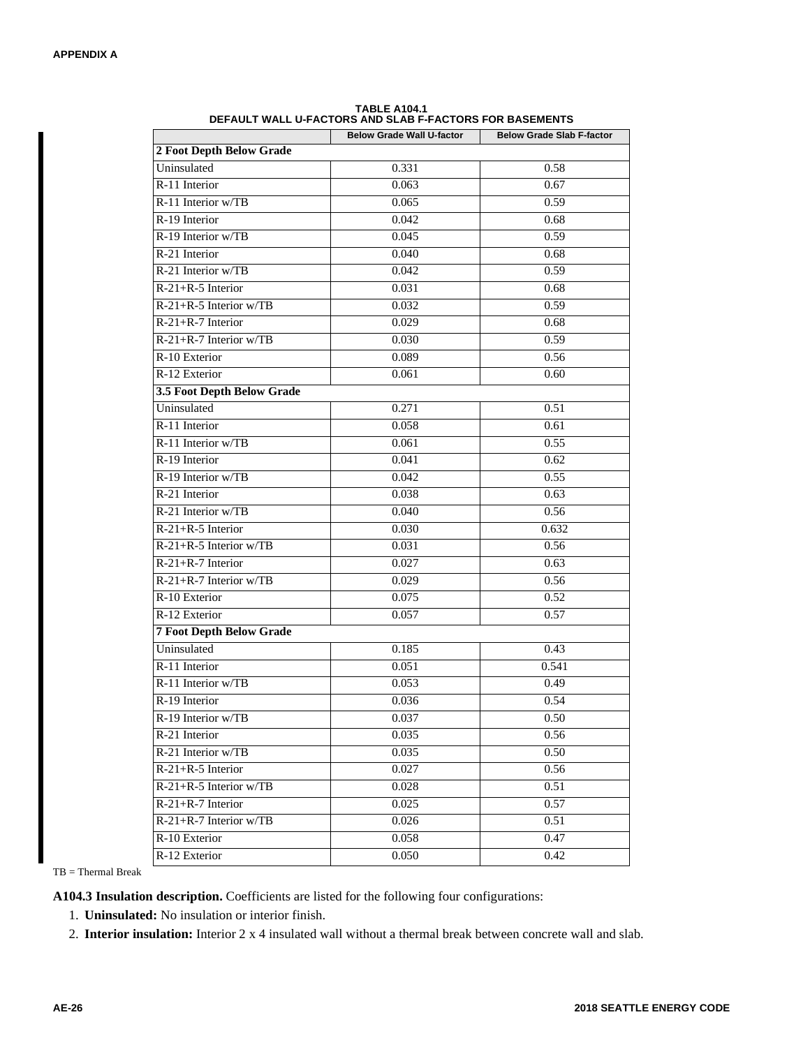|                                 | FAULI WALL U-FAUTUNG AND SLAD F-FAUTUNG FUN DAGEMENTG<br><b>Below Grade Wall U-factor</b> | <b>Below Grade Slab F-factor</b> |
|---------------------------------|-------------------------------------------------------------------------------------------|----------------------------------|
| 2 Foot Depth Below Grade        |                                                                                           |                                  |
| Uninsulated                     | 0.331                                                                                     | 0.58                             |
| R-11 Interior                   | 0.063                                                                                     | 0.67                             |
| R-11 Interior w/TB              | 0.065                                                                                     | 0.59                             |
| R-19 Interior                   | 0.042                                                                                     | 0.68                             |
| R-19 Interior w/TB              | 0.045                                                                                     | 0.59                             |
| R-21 Interior                   | 0.040                                                                                     | 0.68                             |
| R-21 Interior w/TB              | 0.042                                                                                     | 0.59                             |
| $R-21+R-5$ Interior             | 0.031                                                                                     | 0.68                             |
| $R-21+R-5$ Interior w/TB        | 0.032                                                                                     | 0.59                             |
| $R-21+R-7$ Interior             | 0.029                                                                                     | 0.68                             |
| R-21+R-7 Interior w/TB          | 0.030                                                                                     | 0.59                             |
| R-10 Exterior                   | 0.089                                                                                     | 0.56                             |
| R-12 Exterior                   | 0.061                                                                                     | 0.60                             |
| 3.5 Foot Depth Below Grade      |                                                                                           |                                  |
| Uninsulated                     | 0.271                                                                                     | 0.51                             |
| R-11 Interior                   | 0.058                                                                                     | 0.61                             |
| R-11 Interior w/TB              | 0.061                                                                                     | 0.55                             |
| R-19 Interior                   | 0.041                                                                                     | 0.62                             |
| R-19 Interior w/TB              | 0.042                                                                                     | 0.55                             |
| R-21 Interior                   | 0.038                                                                                     | 0.63                             |
| R-21 Interior w/TB              | 0.040                                                                                     | 0.56                             |
| $R-21+R-5$ Interior             | 0.030                                                                                     | 0.632                            |
| $R-21+R-5$ Interior w/TB        | 0.031                                                                                     | 0.56                             |
| R-21+R-7 Interior               | 0.027                                                                                     | 0.63                             |
| R-21+R-7 Interior w/TB          | 0.029                                                                                     | 0.56                             |
| R-10 Exterior                   | 0.075                                                                                     | 0.52                             |
| R-12 Exterior                   | 0.057                                                                                     | 0.57                             |
| <b>7 Foot Depth Below Grade</b> |                                                                                           |                                  |
| Uninsulated                     | 0.185                                                                                     | 0.43                             |
| R-11 Interior                   | 0.051                                                                                     | 0.541                            |
| R-11 Interior w/TB              | 0.053                                                                                     | 0.49                             |
| R-19 Interior                   | 0.036                                                                                     | 0.54                             |
| R-19 Interior w/TB              | 0.037                                                                                     | 0.50                             |
| R-21 Interior                   | 0.035                                                                                     | 0.56                             |
| R-21 Interior w/TB              | 0.035                                                                                     | 0.50                             |
| $R-21+R-5$ Interior             | 0.027                                                                                     | 0.56                             |
| R-21+R-5 Interior w/TB          | 0.028                                                                                     | 0.51                             |
| $R-21+R-7$ Interior             | 0.025                                                                                     | 0.57                             |
| R-21+R-7 Interior w/TB          | 0.026                                                                                     | 0.51                             |
| R-10 Exterior                   | 0.058                                                                                     | 0.47                             |
| R-12 Exterior                   | 0.050                                                                                     | 0.42                             |

**TABLE A104.1 DEFAULT WALL U-FACTORS AND SLAB F-FACTORS FOR BASEMENTS**

TB = Thermal Break

**A104.3 Insulation description.** Coefficients are listed for the following four configurations:

- 1. **Uninsulated:** No insulation or interior finish.
- 2. **Interior insulation:** Interior 2 x 4 insulated wall without a thermal break between concrete wall and slab.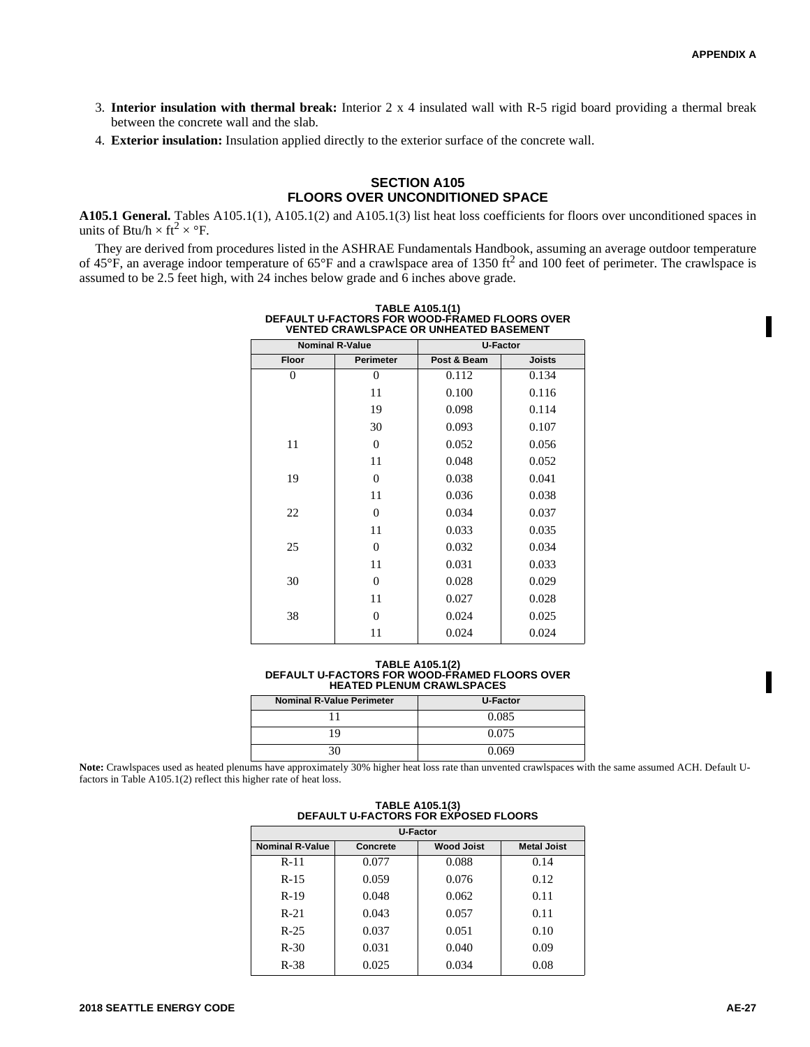- 3. **Interior insulation with thermal break:** Interior 2 x 4 insulated wall with R-5 rigid board providing a thermal break between the concrete wall and the slab.
- 4. **Exterior insulation:** Insulation applied directly to the exterior surface of the concrete wall.

### **SECTION A105 FLOORS OVER UNCONDITIONED SPACE**

**A105.1 General.** Tables A105.1(1), A105.1(2) and A105.1(3) list heat loss coefficients for floors over unconditioned spaces in units of Btu/h  $\times$  ft<sup>2</sup>  $\times$  °F.

They are derived from procedures listed in the ASHRAE Fundamentals Handbook, assuming an average outdoor temperature of 45 $\rm\degree F$ , an average indoor temperature of 65 $\rm\degree F$  and a crawlspace area of 1350 ft<sup>2</sup> and 100 feet of perimeter. The crawlspace is assumed to be 2.5 feet high, with 24 inches below grade and 6 inches above grade.

| <u>UNANLUI AVL VII UNIILAILU DAVLIIILINI</u> |              |             |               |  |
|----------------------------------------------|--------------|-------------|---------------|--|
| <b>Nominal R-Value</b>                       |              | U-Factor    |               |  |
| <b>Floor</b>                                 | Perimeter    | Post & Beam | <b>Joists</b> |  |
| $\theta$                                     | $\mathbf{0}$ | 0.112       | 0.134         |  |
|                                              | 11           | 0.100       | 0.116         |  |
|                                              | 19           | 0.098       | 0.114         |  |
|                                              | 30           | 0.093       | 0.107         |  |
| 11                                           | $\mathbf{0}$ | 0.052       | 0.056         |  |
|                                              | 11           | 0.048       | 0.052         |  |
| 19                                           | $\mathbf{0}$ | 0.038       | 0.041         |  |
|                                              | 11           | 0.036       | 0.038         |  |
| 22                                           | $\mathbf{0}$ | 0.034       | 0.037         |  |
|                                              | 11           | 0.033       | 0.035         |  |
| 25                                           | $\mathbf{0}$ | 0.032       | 0.034         |  |
|                                              | 11           | 0.031       | 0.033         |  |
| 30                                           | $\Omega$     | 0.028       | 0.029         |  |
|                                              | 11           | 0.027       | 0.028         |  |
| 38                                           | $\Omega$     | 0.024       | 0.025         |  |
|                                              | 11           | 0.024       | 0.024         |  |

**TABLE A105.1(1) DEFAULT U-FACTORS FOR WOOD-FRAMED FLOORS OVER VENTED CRAWLSPACE OR UNHEATED BASEMENT**

**TABLE A105.1(2) DEFAULT U-FACTORS FOR WOOD-FRAMED FLOORS OVER HEATED PLENUM CRAWLSPACES**

| <b>Nominal R-Value Perimeter</b> | <b>U-Factor</b> |
|----------------------------------|-----------------|
|                                  | 0.085           |
| q                                | 0.075           |
|                                  | 0.069           |

**Note:** Crawlspaces used as heated plenums have approximately 30% higher heat loss rate than unvented crawlspaces with the same assumed ACH. Default Ufactors in Table A105.1(2) reflect this higher rate of heat loss.

| <b>U-Factor</b>        |          |                   |                    |  |  |
|------------------------|----------|-------------------|--------------------|--|--|
| <b>Nominal R-Value</b> | Concrete | <b>Wood Joist</b> | <b>Metal Joist</b> |  |  |
| $R-11$                 | 0.077    | 0.088             | 0.14               |  |  |
| $R-15$                 | 0.059    | 0.076             | 0.12               |  |  |
| $R-19$                 | 0.048    | 0.062             | 0.11               |  |  |
| $R-21$                 | 0.043    | 0.057             | 0.11               |  |  |
| $R-25$                 | 0.037    | 0.051             | 0.10               |  |  |
| $R-30$                 | 0.031    | 0.040             | 0.09               |  |  |
| $R-38$                 | 0.025    | 0.034             | 0.08               |  |  |

**TABLE A105.1(3) DEFAULT U-FACTORS FOR EXPOSED FLOORS**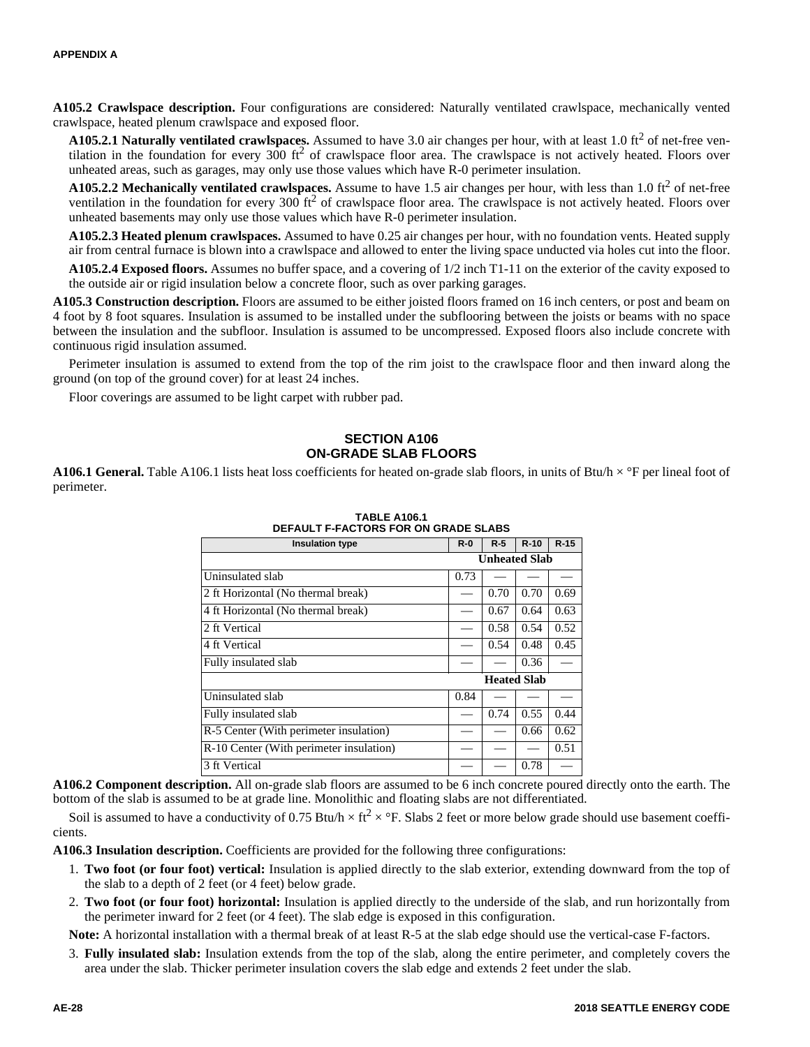**A105.2 Crawlspace description.** Four configurations are considered: Naturally ventilated crawlspace, mechanically vented crawlspace, heated plenum crawlspace and exposed floor.

**A105.2.1 Naturally ventilated crawlspaces.** Assumed to have 3.0 air changes per hour, with at least 1.0 ft<sup>2</sup> of net-free ventilation in the foundation for every  $300$  ft<sup>2</sup> of crawlspace floor area. The crawlspace is not actively heated. Floors over unheated areas, such as garages, may only use those values which have R-0 perimeter insulation.

**A105.2.2 Mechanically ventilated crawlspaces.** Assume to have 1.5 air changes per hour, with less than 1.0  $\text{ft}^2$  of net-free ventilation in the foundation for every 300  $\text{ft}^2$  of crawlspace floor area. The crawlspace is not actively heated. Floors over unheated basements may only use those values which have R-0 perimeter insulation.

**A105.2.3 Heated plenum crawlspaces.** Assumed to have 0.25 air changes per hour, with no foundation vents. Heated supply air from central furnace is blown into a crawlspace and allowed to enter the living space unducted via holes cut into the floor.

**A105.2.4 Exposed floors.** Assumes no buffer space, and a covering of 1/2 inch T1-11 on the exterior of the cavity exposed to the outside air or rigid insulation below a concrete floor, such as over parking garages.

**A105.3 Construction description.** Floors are assumed to be either joisted floors framed on 16 inch centers, or post and beam on 4 foot by 8 foot squares. Insulation is assumed to be installed under the subflooring between the joists or beams with no space between the insulation and the subfloor. Insulation is assumed to be uncompressed. Exposed floors also include concrete with continuous rigid insulation assumed.

Perimeter insulation is assumed to extend from the top of the rim joist to the crawlspace floor and then inward along the ground (on top of the ground cover) for at least 24 inches.

Floor coverings are assumed to be light carpet with rubber pad.

#### **SECTION A106 ON-GRADE SLAB FLOORS**

**A106.1 General.** Table A106.1 lists heat loss coefficients for heated on-grade slab floors, in units of Btu/h  $\times$  °F per lineal foot of perimeter.

| DEFAULI F-FAUTURS FUR UN GRADE SLADS    |         |       |                      |        |
|-----------------------------------------|---------|-------|----------------------|--------|
| <b>Insulation type</b>                  | $R - 0$ | $R-5$ | $R-10$               | $R-15$ |
|                                         |         |       | <b>Unheated Slab</b> |        |
| Uninsulated slab                        | 0.73    |       |                      |        |
| 2 ft Horizontal (No thermal break)      |         | 0.70  | 0.70                 | 0.69   |
| 4 ft Horizontal (No thermal break)      |         | 0.67  | 0.64                 | 0.63   |
| 2 ft Vertical                           |         | 0.58  | 0.54                 | 0.52   |
| 4 ft Vertical                           |         | 0.54  | 0.48                 | 0.45   |
| Fully insulated slab                    |         |       | 0.36                 |        |
|                                         |         |       | <b>Heated Slab</b>   |        |
| Uninsulated slab                        | 0.84    |       |                      |        |
| Fully insulated slab                    |         | 0.74  | 0.55                 | 0.44   |
| R-5 Center (With perimeter insulation)  |         |       | 0.66                 | 0.62   |
| R-10 Center (With perimeter insulation) |         |       |                      | 0.51   |
| 3 ft Vertical                           |         |       | 0.78                 |        |

#### **TABLE A106.1 DEFAULT F-FACTORS FOR ON GRADE SLABS**

**A106.2 Component description.** All on-grade slab floors are assumed to be 6 inch concrete poured directly onto the earth. The bottom of the slab is assumed to be at grade line. Monolithic and floating slabs are not differentiated.

Soil is assumed to have a conductivity of 0.75 Btu/h  $\times$  ft<sup>2</sup>  $\times$  °F. Slabs 2 feet or more below grade should use basement coefficients.

**A106.3 Insulation description.** Coefficients are provided for the following three configurations:

- 1. **Two foot (or four foot) vertical:** Insulation is applied directly to the slab exterior, extending downward from the top of the slab to a depth of 2 feet (or 4 feet) below grade.
- 2. **Two foot (or four foot) horizontal:** Insulation is applied directly to the underside of the slab, and run horizontally from the perimeter inward for 2 feet (or 4 feet). The slab edge is exposed in this configuration.

**Note:** A horizontal installation with a thermal break of at least R-5 at the slab edge should use the vertical-case F-factors.

3. **Fully insulated slab:** Insulation extends from the top of the slab, along the entire perimeter, and completely covers the area under the slab. Thicker perimeter insulation covers the slab edge and extends 2 feet under the slab.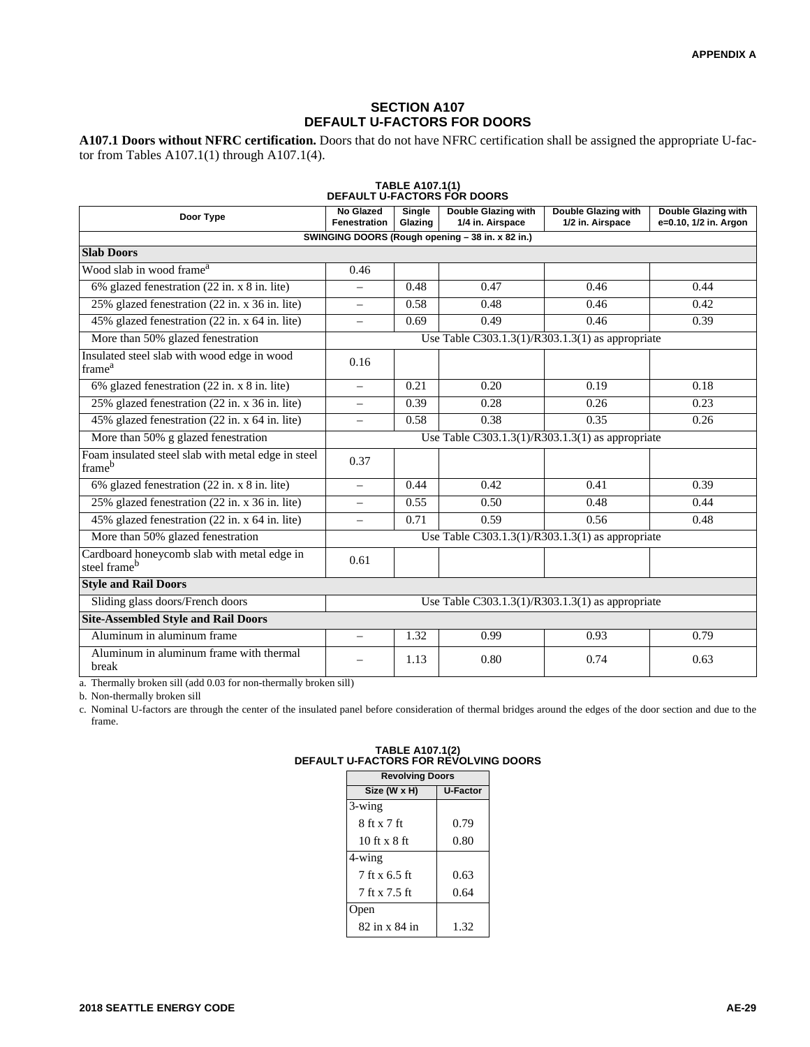#### **SECTION A107 DEFAULT U-FACTORS FOR DOORS**

**A107.1 Doors without NFRC certification.** Doors that do not have NFRC certification shall be assigned the appropriate U-factor from Tables A107.1(1) through A107.1(4).

| TABLE A107.1(1)<br><b>DEFAULT U-FACTORS FOR DOORS</b>                   |                                                  |                   |                                                  |                                         |                                                     |
|-------------------------------------------------------------------------|--------------------------------------------------|-------------------|--------------------------------------------------|-----------------------------------------|-----------------------------------------------------|
| Door Type                                                               | No Glazed<br><b>Fenestration</b>                 | Single<br>Glazing | Double Glazing with<br>1/4 in. Airspace          | Double Glazing with<br>1/2 in. Airspace | <b>Double Glazing with</b><br>e=0.10, 1/2 in. Argon |
|                                                                         |                                                  |                   | SWINGING DOORS (Rough opening - 38 in. x 82 in.) |                                         |                                                     |
| <b>Slab Doors</b>                                                       |                                                  |                   |                                                  |                                         |                                                     |
| Wood slab in wood frame <sup>a</sup>                                    | 0.46                                             |                   |                                                  |                                         |                                                     |
| 6% glazed fenestration (22 in. x 8 in. lite)                            | $\equiv$                                         | 0.48              | 0.47                                             | 0.46                                    | 0.44                                                |
| 25% glazed fenestration (22 in. x 36 in. lite)                          | $\equiv$                                         | 0.58              | 0.48                                             | 0.46                                    | 0.42                                                |
| 45% glazed fenestration (22 in. x 64 in. lite)                          | $\equiv$                                         | 0.69              | 0.49                                             | 0.46                                    | 0.39                                                |
| More than 50% glazed fenestration                                       |                                                  |                   | Use Table C303.1.3(1)/R303.1.3(1) as appropriate |                                         |                                                     |
| Insulated steel slab with wood edge in wood<br>frame <sup>a</sup>       | 0.16                                             |                   |                                                  |                                         |                                                     |
| 6% glazed fenestration (22 in. x 8 in. lite)                            | $\overline{\phantom{0}}$                         | 0.21              | 0.20                                             | 0.19                                    | 0.18                                                |
| 25% glazed fenestration (22 in. x 36 in. lite)                          | $\equiv$                                         | 0.39              | 0.28                                             | 0.26                                    | 0.23                                                |
| 45% glazed fenestration (22 in. x 64 in. lite)                          | $\overline{\phantom{0}}$                         | 0.58              | 0.38                                             | 0.35                                    | 0.26                                                |
| More than 50% g glazed fenestration                                     |                                                  |                   | Use Table C303.1.3(1)/R303.1.3(1) as appropriate |                                         |                                                     |
| Foam insulated steel slab with metal edge in steel<br>frameb            | 0.37                                             |                   |                                                  |                                         |                                                     |
| 6% glazed fenestration $(22 \text{ in. } x \text{ 8 in. } \text{lit})$  | $\equiv$                                         | 0.44              | 0.42                                             | 0.41                                    | 0.39                                                |
| 25% glazed fenestration (22 in. x 36 in. lite)                          | $\equiv$                                         | 0.55              | 0.50                                             | 0.48                                    | 0.44                                                |
| 45% glazed fenestration (22 in. x 64 in. lite)                          | $\overline{\phantom{0}}$                         | 0.71              | 0.59                                             | 0.56                                    | 0.48                                                |
| More than 50% glazed fenestration                                       |                                                  |                   | Use Table C303.1.3(1)/R303.1.3(1) as appropriate |                                         |                                                     |
| Cardboard honeycomb slab with metal edge in<br>steel frame <sup>b</sup> | 0.61                                             |                   |                                                  |                                         |                                                     |
| <b>Style and Rail Doors</b>                                             |                                                  |                   |                                                  |                                         |                                                     |
| Sliding glass doors/French doors                                        | Use Table C303.1.3(1)/R303.1.3(1) as appropriate |                   |                                                  |                                         |                                                     |
| <b>Site-Assembled Style and Rail Doors</b>                              |                                                  |                   |                                                  |                                         |                                                     |
| Aluminum in aluminum frame                                              | $\equiv$                                         | 1.32              | 0.99                                             | 0.93                                    | 0.79                                                |
| Aluminum in aluminum frame with thermal<br>break                        |                                                  | 1.13              | 0.80                                             | 0.74                                    | 0.63                                                |

a. Thermally broken sill (add 0.03 for non-thermally broken sill)

b. Non-thermally broken sill

c. Nominal U-factors are through the center of the insulated panel before consideration of thermal bridges around the edges of the door section and due to the frame.

| <b>U-Factor</b> |
|-----------------|
|                 |
|                 |
| 0.79            |
| 0.80            |
|                 |
| 0.63            |
| 0.64            |
|                 |
| 1.32            |
|                 |

# **TABLE A107.1(2) DEFAULT U-FACTORS FOR REVOLVING DOORS**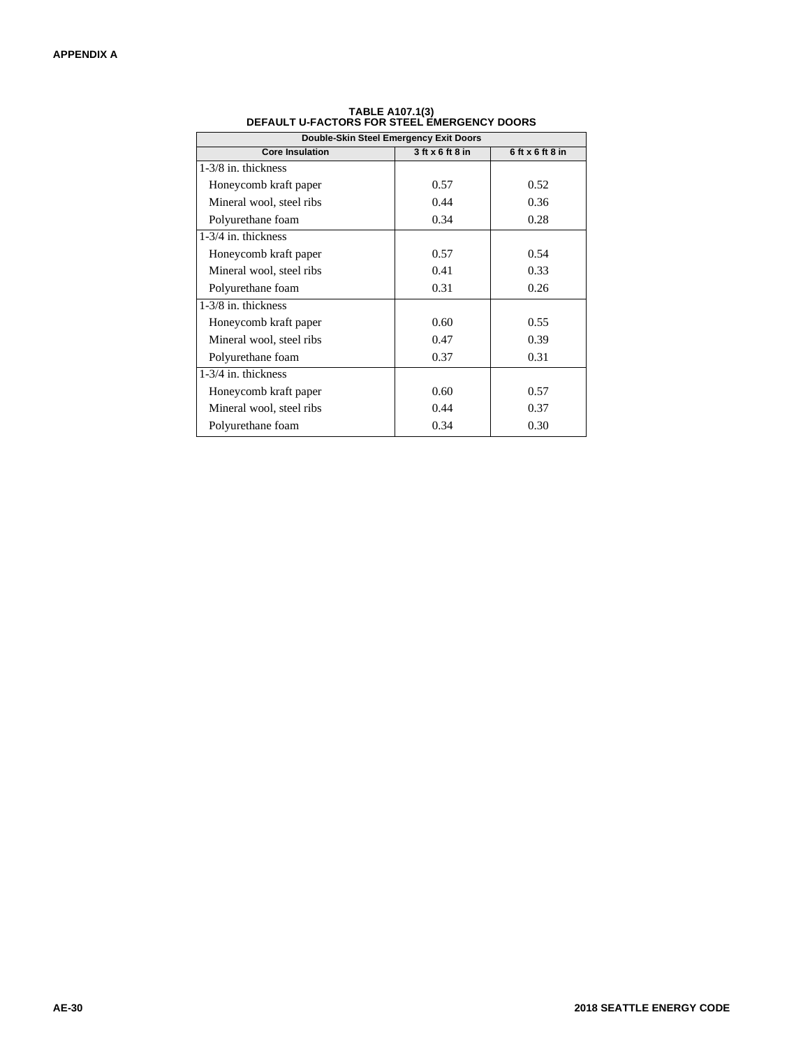| Double-Skin Steel Emergency Exit Doors |                      |                      |  |  |  |
|----------------------------------------|----------------------|----------------------|--|--|--|
| <b>Core Insulation</b>                 | $3$ ft $x$ 6 ft 8 in | $6$ ft $x$ 6 ft 8 in |  |  |  |
| 1-3/8 in. thickness                    |                      |                      |  |  |  |
| Honeycomb kraft paper                  | 0.57                 | 0.52                 |  |  |  |
| Mineral wool, steel ribs               | 0.44                 | 0.36                 |  |  |  |
| Polyurethane foam                      | 0.34                 | 0.28                 |  |  |  |
| $1-3/4$ in. thickness                  |                      |                      |  |  |  |
| Honeycomb kraft paper                  | 0.57                 | 0.54                 |  |  |  |
| Mineral wool, steel ribs               | 0.41                 | 0.33                 |  |  |  |
| Polyurethane foam                      | 0.31                 | 0.26                 |  |  |  |
| $1-3/8$ in. thickness                  |                      |                      |  |  |  |
| Honeycomb kraft paper                  | 0.60                 | 0.55                 |  |  |  |
| Mineral wool, steel ribs               | 0.47                 | 0.39                 |  |  |  |
| Polyurethane foam                      | 0.37                 | 0.31                 |  |  |  |
| 1-3/4 in. thickness                    |                      |                      |  |  |  |
| Honeycomb kraft paper                  | 0.60                 | 0.57                 |  |  |  |
| Mineral wool, steel ribs               | 0.44                 | 0.37                 |  |  |  |
| Polyurethane foam                      | 0.34                 | 0.30                 |  |  |  |

**TABLE A107.1(3) DEFAULT U-FACTORS FOR STEEL EMERGENCY DOORS**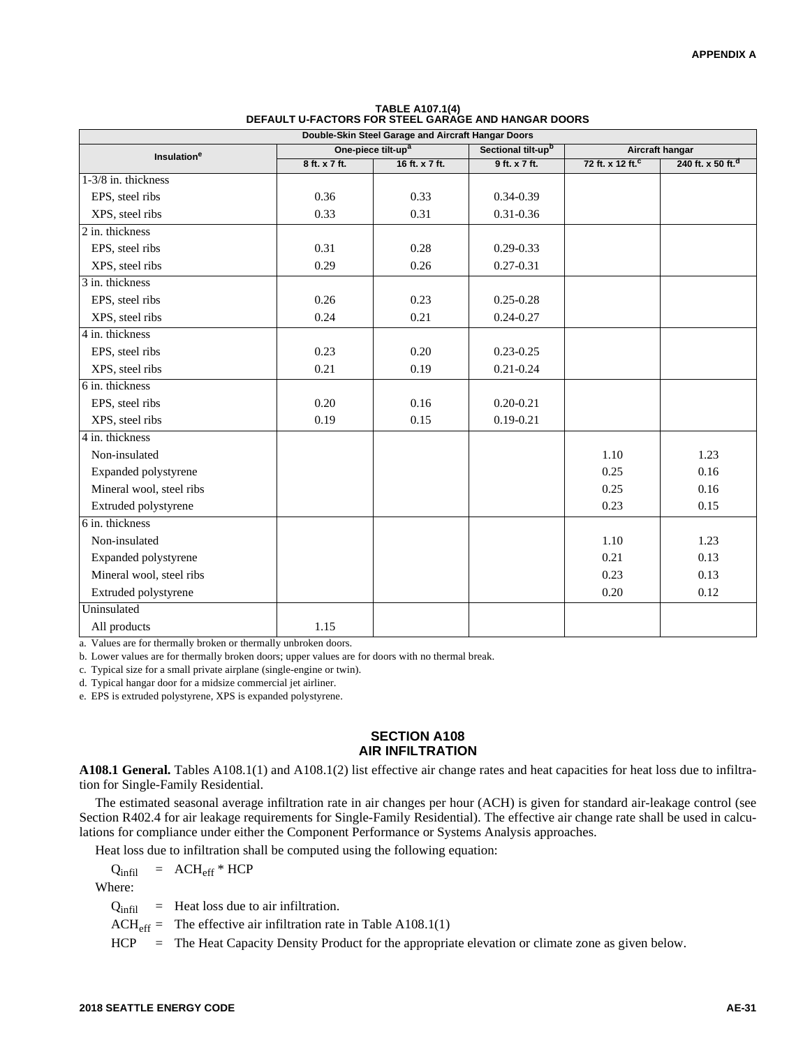| Double-Skin Steel Garage and Aircraft Hangar Doors        |               |                                |                 |                              |                               |
|-----------------------------------------------------------|---------------|--------------------------------|-----------------|------------------------------|-------------------------------|
| One-piece tilt-up <sup>a</sup><br>Insulation <sup>e</sup> |               | Sectional tilt-up <sup>b</sup> | Aircraft hangar |                              |                               |
|                                                           | 8 ft. x 7 ft. | 16 ft. x 7 ft.                 | 9 ft. x 7 ft.   | 72 ft. x 12 ft. <sup>c</sup> | 240 ft. x 50 ft. <sup>d</sup> |
| 1-3/8 in. thickness                                       |               |                                |                 |                              |                               |
| EPS, steel ribs                                           | 0.36          | 0.33                           | $0.34 - 0.39$   |                              |                               |
| XPS, steel ribs                                           | 0.33          | 0.31                           | $0.31 - 0.36$   |                              |                               |
| 2 in. thickness                                           |               |                                |                 |                              |                               |
| EPS, steel ribs                                           | 0.31          | 0.28                           | $0.29 - 0.33$   |                              |                               |
| XPS, steel ribs                                           | 0.29          | 0.26                           | $0.27 - 0.31$   |                              |                               |
| 3 in. thickness                                           |               |                                |                 |                              |                               |
| EPS, steel ribs                                           | 0.26          | 0.23                           | $0.25 - 0.28$   |                              |                               |
| XPS, steel ribs                                           | 0.24          | 0.21                           | $0.24 - 0.27$   |                              |                               |
| 4 in. thickness                                           |               |                                |                 |                              |                               |
| EPS, steel ribs                                           | 0.23          | 0.20                           | $0.23 - 0.25$   |                              |                               |
| XPS, steel ribs                                           | 0.21          | 0.19                           | $0.21 - 0.24$   |                              |                               |
| 6 in. thickness                                           |               |                                |                 |                              |                               |
| EPS, steel ribs                                           | 0.20          | 0.16                           | $0.20 - 0.21$   |                              |                               |
| XPS, steel ribs                                           | 0.19          | 0.15                           | $0.19 - 0.21$   |                              |                               |
| 4 in. thickness                                           |               |                                |                 |                              |                               |
| Non-insulated                                             |               |                                |                 | 1.10                         | 1.23                          |
| Expanded polystyrene                                      |               |                                |                 | 0.25                         | 0.16                          |
| Mineral wool, steel ribs                                  |               |                                |                 | 0.25                         | 0.16                          |
| Extruded polystyrene                                      |               |                                |                 | 0.23                         | 0.15                          |
| 6 in. thickness                                           |               |                                |                 |                              |                               |
| Non-insulated                                             |               |                                |                 | 1.10                         | 1.23                          |
| Expanded polystyrene                                      |               |                                |                 | 0.21                         | 0.13                          |
| Mineral wool, steel ribs                                  |               |                                |                 | 0.23                         | 0.13                          |
| Extruded polystyrene                                      |               |                                |                 | 0.20                         | 0.12                          |
| Uninsulated                                               |               |                                |                 |                              |                               |
| All products                                              | 1.15          |                                |                 |                              |                               |

# **TABLE A107.1(4) DEFAULT U-FACTORS FOR STEEL GARAGE AND HANGAR DOORS**

a. Values are for thermally broken or thermally unbroken doors.

b. Lower values are for thermally broken doors; upper values are for doors with no thermal break.

c. Typical size for a small private airplane (single-engine or twin).

d. Typical hangar door for a midsize commercial jet airliner.

e. EPS is extruded polystyrene, XPS is expanded polystyrene.

#### **SECTION A108 AIR INFILTRATION**

**A108.1 General.** Tables A108.1(1) and A108.1(2) list effective air change rates and heat capacities for heat loss due to infiltration for Single-Family Residential.

The estimated seasonal average infiltration rate in air changes per hour (ACH) is given for standard air-leakage control (see Section R402.4 for air leakage requirements for Single-Family Residential). The effective air change rate shall be used in calculations for compliance under either the Component Performance or Systems Analysis approaches.

Heat loss due to infiltration shall be computed using the following equation:

 $Q_{\text{infill}}$  = ACH<sub>eff</sub> \* HCP

Where:

 $Q<sub>infil</sub>$  = Heat loss due to air infiltration.

 $ACH_{eff}$  = The effective air infiltration rate in Table A108.1(1)

HCP = The Heat Capacity Density Product for the appropriate elevation or climate zone as given below.